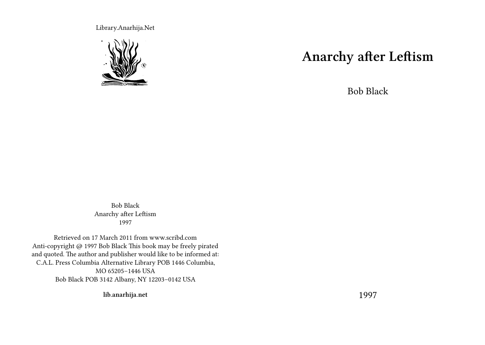Library.Anarhija.Net



## **Anarchy after Leftism**

Bob Black

Bob Black Anarchy after Leftism 1997

Retrieved on 17 March 2011 from www.scribd.com Anti-copyright @ 1997 Bob Black This book may be freely pirated and quoted. The author and publisher would like to be informed at: C.A.L. Press Columbia Alternative Library POB 1446 Columbia, MO 65205–1446 USA Bob Black POB 3142 Albany, NY 12203–0142 USA

**lib.anarhija.net**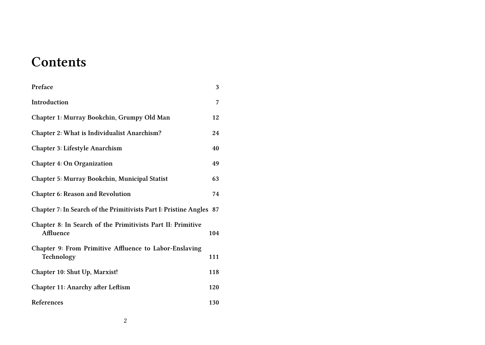## **Contents**

| Preface                                                                  | 3   |
|--------------------------------------------------------------------------|-----|
| Introduction                                                             | 7   |
| Chapter 1: Murray Bookchin, Grumpy Old Man                               | 12  |
| <b>Chapter 2: What is Individualist Anarchism?</b>                       | 24  |
| <b>Chapter 3: Lifestyle Anarchism</b>                                    | 40  |
| <b>Chapter 4: On Organization</b>                                        | 49  |
| Chapter 5: Murray Bookchin, Municipal Statist                            | 63  |
| <b>Chapter 6: Reason and Revolution</b>                                  | 74  |
| Chapter 7: In Search of the Primitivists Part I: Pristine Angles 87      |     |
| Chapter 8: In Search of the Primitivists Part II: Primitive<br>Affluence | 104 |
| Chapter 9: From Primitive Affluence to Labor-Enslaving<br>Technology     | 111 |
| Chapter 10: Shut Up, Marxist!                                            | 118 |
| <b>Chapter 11: Anarchy after Leftism</b>                                 | 120 |
| References                                                               | 130 |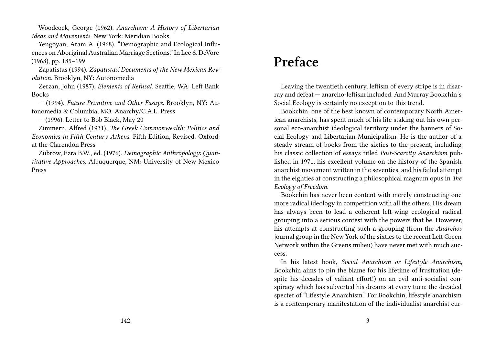Woodcock, George (1962). *Anarchism: A History of Libertarian Ideas and Movements.* New York: Meridian Books

Yengoyan, Aram A. (1968). "Demographic and Ecological Influences on Aboriginal Australian Marriage Sections." In Lee & DeVore (1968), pp. 185–199

Zapatistas (1994). *Zapatistas! Documents of the New Mexican Revolution.* Brooklyn, NY: Autonomedia

Zerzan, John (1987). *Elements of Refusal.* Seattle, WA: Left Bank Books

— (1994). *Future Primitive and Other Essays.* Brooklyn, NY: Autonomedia & Columbia, MO: Anarchy/C.A.L. Press

— (1996). Letter to Bob Black, May 20

Zimmern, Alfred (1931). *The Greek Commonwealth: Politics and Economics in Fifth-Century Athens.* Fifth Edition, Revised. Oxford: at the Clarendon Press

Zubrow, Ezra B.W., ed. (1976). *Demographic Anthropology: Quantitative Approaches.* Albuquerque, NM: University of New Mexico Press

#### **Preface**

Leaving the twentieth century, leftism of every stripe is in disarray and defeat — anarcho-leftism included. And Murray Bookchin's Social Ecology is certainly no exception to this trend.

Bookchin, one of the best known of contemporary North American anarchists, has spent much of his life staking out his own personal eco-anarchist ideological territory under the banners of Social Ecology and Libertarian Municipalism. He is the author of a steady stream of books from the sixties to the present, including his classic collection of essays titled *Post-Scarcity Anarchism* published in 1971, his excellent volume on the history of the Spanish anarchist movement written in the seventies, and his failed attempt in the eighties at constructing a philosophical magnum opus in *The Ecology of Freedom.*

Bookchin has never been content with merely constructing one more radical ideology in competition with all the others. His dream has always been to lead a coherent left-wing ecological radical grouping into a serious contest with the powers that be. However, his attempts at constructing such a grouping (from the *Anarchos* journal group in the New York of the sixties to the recent Left Green Network within the Greens milieu) have never met with much success.

In his latest book, *Social Anarchism or Lifestyle Anarchism,* Bookchin aims to pin the blame for his lifetime of frustration (despite his decades of valiant effort!) on an evil anti-socialist conspiracy which has subverted his dreams at every turn: the dreaded specter of "Lifestyle Anarchism." For Bookchin, lifestyle anarchism is a contemporary manifestation of the individualist anarchist cur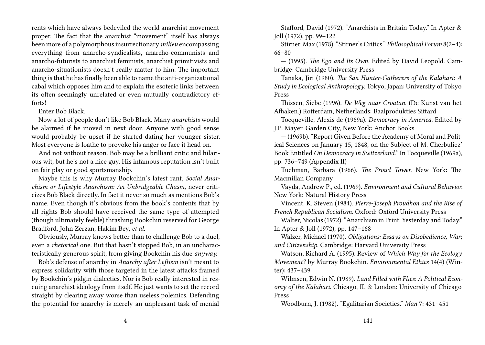rents which have always bedeviled the world anarchist movement proper. The fact that the anarchist "movement" itself has always been more of a polymorphous insurrectionary *milieu* encompassing everything from anarcho-syndicalists, anarcho-communists and anarcho-futurists to anarchist feminists, anarchist primitivists and anarcho-situationists doesn't really matter to him. The important thing is that he has finally been able to name the anti-organizational cabal which opposes him and to explain the esoteric links between its often seemingly unrelated or even mutually contradictory efforts!

#### Enter Bob Black.

Now a lot of people don't like Bob Black. Many *anarchists* would be alarmed if he moved in next door. Anyone with good sense would probably be upset if he started dating her younger sister. Most everyone is loathe to provoke his anger or face it head on.

And not without reason. Bob may be a brilliant critic and hilarious wit, but he's not a nice guy. His infamous reputation isn't built on fair play or good sportsmanship.

Maybe this is why Murray Bookchin's latest rant, *Social Anarchism or Lifestyle Anarchism: An Unbridgeable Chasm,* never criticizes Bob Black directly. In fact it never so much as mentions Bob's name. Even though it's obvious from the book's contents that by all rights Bob should have received the same type of attempted (though ultimately feeble) thrashing Bookchin reserved for George Bradford, John Zerzan, Hakim Bey, *et al.*

Obviously, Murray knows better than to challenge Bob to a duel, even a *rhetorical* one. But that hasn't stopped Bob, in an uncharacteristically generous spirit, from giving Bookchin his due *anyway.*

Bob's defense of anarchy in *Anarchy after Leftism* isn't meant to express solidarity with those targeted in the latest attacks framed by Bookchin's pidgin dialectics. Nor is Bob really interested in rescuing anarchist ideology from itself. He just wants to set the record straight by clearing away worse than useless polemics. Defending the potential for anarchy is merely an unpleasant task of menial

Stafford, David (1972). "Anarchists in Britain Today." In Apter & Joll (1972), pp. 99–122

Stirner, Max (1978). "Stirner's Critics." *Philosophical Forum* 8(2–4): 66–80

— (1995). *The Ego and Its Own.* Edited by David Leopold. Cambridge: Cambridge University Press

Tanaka, Jiri (1980). *The San Hunter-Gatherers of the Kalahari: A Study in Ecological Anthropology.* Tokyo, Japan: University of Tokyo Press

Thissen, Siebe (1996). *De Weg naar Croatan.* (De Kunst van het Afhaken.) Rotterdam, Netherlands: Baalprodukties Sittard

Tocqueville, Alexis de (1969a). *Democracy in America.* Edited by J.P. Mayer. Garden City, New York: Anchor Books

— (1969b). "Report Given Before the Academy of Moral and Political Sciences on January 15, 1848, on the Subject of M. Cherbuliez' Book Entitled *On Democracy in Switzerland."* In Tocqueville (1969a), pp. 736–749 (Appendix II)

Tuchman, Barbara (1966). *The Proud Tower.* New York: The Macmillan Company

Vayda, Andrew P., ed. (1969). *Environment and Cultural Behavior.* New York: Natural History Press

Vincent, K. Steven (1984). *Pierre-Joseph Proudhon and the Rise of French Republican Socialism.* Oxford: Oxford University Press

Walter, Nicolas (1972). "Anarchism in Print: Yesterday and Today." In Apter & Joll (1972), pp. 147–168

Walzer, Michael (1970). *Obligations: Essays on Disobedience, War; and Citizenship.* Cambridge: Harvard University Press

Watson, Richard A. (1995). Review of *Which Way for the Ecology Movement?* by Murray Bookchin. *Environmental Ethics* 14(4) (Winter): 437–439

Wilmsen, Edwin N. (1989). *Land Filled with Flies: A Political Economy of the Kalahari.* Chicago, IL & London: University of Chicago Press

Woodburn, J. (1982). "Egalitarian Societies." *Man* 7: 431–451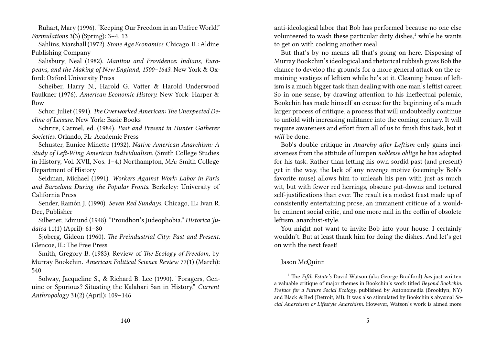Ruhart, Mary (1996). "Keeping Our Freedom in an Unfree World." *Formulations* 3(3) (Spring): 3–4, 13

Sahlins, Marshall (1972). *Stone Age Economics.* Chicago, IL: Aldine Publishing Company

Salisbury, Neal (1982). *Manitou and Providence: Indians, Europeans, and the Making of New England, 1500–1643.* New York & Oxford: Oxford University Press

Scheiber, Harry N., Harold G. Vatter & Harold Underwood Faulkner (1976). *American Economic History.* New York: Harper & Row

Schor, Juliet (1991). *The Overworked American: The Unexpected Decline of Leisure.* New York: Basic Books

Schrire, Carmel, ed. (1984). *Past and Present in Hunter Gatherer Societies.* Orlando, FL: Academic Press

Schuster, Eunice Minette (1932). *Native American Anarchism: A Study of Left-Wing American Individualism.* (Smith College Studies in History, Vol. XVII, Nos. 1–4.) Northampton, MA: Smith College Department of History

Seidman, Michael (1991). *Workers Against Work: Labor in Paris and Barcelona During the Popular Fronts.* Berkeley: University of California Press

Sender, Ramón J. (1990). *Seven Red Sundays.* Chicago, IL: Ivan R. Dee, Publisher

Silbener, Edmund (1948). "Proudhon's Judeophobia." *Historica Judaica* 11(1) (April): 61–80

Sjoberg, Gideon (1960). *The Preindustrial City: Past and Present.* Glencoe, IL: The Free Press

Smith, Gregory B. (1983). Review of *The Ecology of Freedom,* by Murray Bookchin. *American Political Science Review* 77(1) (March): 540

Solway, Jacqueline S., & Richard B. Lee (1990). "Foragers, Genuine or Spurious? Situating the Kalahari San in History." *Current Anthropology* 31(2) (April): 109–146

anti-ideological labor that Bob has performed because no one else volunteered to wash these particular dirty dishes,<sup>1</sup> while he wants to get on with cooking another meal.

But that's by no means all that's going on here. Disposing of Murray Bookchin's ideological and rhetorical rubbish gives Bob the chance to develop the grounds for a more general attack on the remaining vestiges of leftism while he's at it. Cleaning house of leftism is a much bigger task than dealing with one man's leftist career. So in one sense, by drawing attention to his ineffectual polemic, Bookchin has made himself an excuse for the beginning of a much larger process of critique, a process that will undoubtedly continue to unfold with increasing militance into the coming century. It will require awareness and effort from all of us to finish this task, but it *will* be done.

Bob's double critique in *Anarchy after Leftism* only gains incisiveness from the attitude of lumpen *noblesse oblige* he has adopted for his task. Rather than letting his own sordid past (and present) get in the way, the lack of any revenge motive (seemingly Bob's favorite muse) allows him to unleash his pen with just as much wit, but with fewer red herrings, obscure put-downs and tortured self-justifications than ever. The result is a modest feast made up of consistently entertaining prose, an immanent critique of a wouldbe eminent social critic, and one more nail in the coffin of obsolete leftism, anarchist-style.

You might not want to invite Bob into your house. I certainly wouldn't. But at least thank him for doing the dishes. And let's get on with the next feast!

#### Jason McQuinn

<sup>1</sup> The *Fifth Estate's* David Watson (aka George Bradford) *has* just written a valuable critique of major themes in Bookchin's work titled *Beyond Bookchin: Preface for a Future Social Ecology,* published by Autonomedia (Brooklyn, NY) and Black & Red (Detroit, MI). It was also stimulated by Bookchin's abysmal *Social Anarchism or Lifestyle Anarchism.* However, Watson's work is aimed more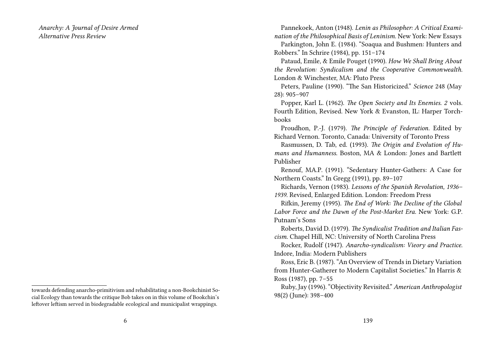*Anarchy: A Journal of Desire Armed Alternative Press Review*

Pannekoek, Anton (1948). *Lenin as Philosopher: A Critical Examination of the Philosophical Basis of Leninism.* New York: New Essays

Parkington, John E. (1984). "Soaqua and Bushmen: Hunters and Robbers." In Schrire (1984), pp. 151–174

Pataud, Emile, & Emile Pouget (1990). *How We Shall Bring About the Revolution: Syndicalism and the Cooperative Commonwealth.* London & Winchester, MA: Pluto Press

Peters, Pauline (1990). "The San Historicized." *Science* 248 (May 28): 905–907

Popper, Karl L. (1962). *The Open Society and Its Enemies. 2* vols. Fourth Edition, Revised. New York & Evanston, IL: Harper Torchbooks

Proudhon, P.-J. (1979). *The Principle of Federation.* Edited by Richard Vernon. Toronto, Canada: University of Toronto Press

Rasmussen, D. Tab, ed. (1993). *The Origin and Evolution of Humans and Humanness.* Boston, MA & London: Jones and Bartlett Publisher

Renouf, MA.P. (1991). "Sedentary Hunter-Gathers: A Case for Northern Coasts." In Gregg (1991), pp. 89–107

Richards, Vernon (1983). *Lessons of the Spanish Revolution, 1936– 1939.* Revised, Enlarged Edition. London: Freedom Press

Rifkin, Jeremy (1995). *The End of Work: The Decline of the Global Labor Force and the Dawn of the Post-Market Era.* New York: G.P. Putnam's Sons

Roberts, David D. (1979). *The Syndicalist Tradition and Italian Fascism.* Chapel Hill, NC: University of North Carolina Press

Rocker, Rudolf (1947). *Anarcho-syndicalism: Vieory and Practice.* Indore, India: Modern Publishers

Ross, Eric B. (1987). "An Overview of Trends in Dietary Variation from Hunter-Gatherer to Modern Capitalist Societies." In Harris & Ross (1987), pp. 7–55

Ruby, Jay (1996). "Objectivity Revisited." *American Anthropologist* 98(2) (June): 398–400

towards defending anarcho-primitivism and rehabilitating a non-Bookchinist Social Ecology than towards the critique Bob takes on in this volume of Bookchin's leftover leftism served in biodegradable ecological and municipalist wrappings.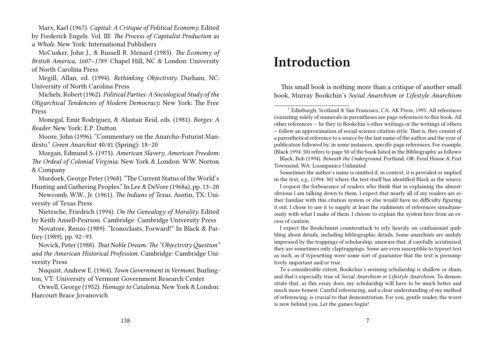Marx, Karl (1967). *Capital: A Critique of Political Economy.* Edited by Frederick Engels. Vol. III: *The Process of Capitalist Production as a Whole.* New York: International Publishers

McCusker, John J., & Russell R. Menard (1985). *The Economy of British America, 1607–1789*. Chapel Hill, NC & London: University of North Carolina Press

Megill, Allan, ed. (1994). *Rethinking Objectivity.* Durham, NC: University of North Carolina Press

Michels, Robert (1962). *Political Parties: A Sociological Study of the Oligarchical Tendencies of Modern Democracy.* New York: The Free Press

Monegal, Emir Rodriguez, & Alastair Reid, eds. (1981). *Borges: A Reader.* New York: E.P. Dutton

Moore, John (1996). "Commentary on the Anarcho-Futurist Manifesto." *Green Anarchist* 40/41 (Spring): 18–20

Morgan, Edmund S. (1975). *American Slavery, American Freedom: The Ordeal of Colonial Virginia.* New York & London: W.W. Norton & Company

Murdoek, George Peter (1968). "The Current Status of the World's Hunting and Gathering Peoples." In Lee & DeVore (1968a), pp. 13–20

Newcomb, W.W., Jr. (1961). *The Indians of Texas.* Austin, TX: University of Texas Press

Nietzsche, Friedrich (1994). *On the Genealogy of Morality.* Edited by Keith Ansell-Pearson. Cambridge: Cambridge University Press

Novatore, Renzo (1989). "Iconoclasts, Forward!" In Black & Parfrey (1989), pp. 92–93

Novick, Peter (1988). *That Noble Dream: The "ObjectivityQuestion" and the American Historical Profession.* Cambridge: Cambridge University Press

Nuquist, Andrew E. (1964). *Town Government in Vermont.* Burlington, VT: University of Vermont Government Research Center

Orwell, George (1952). *Homage to Catalonia.* New York & London: Harcourt Brace Jovanovich

## **Introduction**

This small book is nothing more than a critique of another small book, Murray Bookchin's *Social Anarchism or Lifestyle Anarchism:*

Black, Bob (1994). *Beneath the Underground.* Portland, OR: Feral House & Port Townsend, WA: Loompanics Unlimited

Sometimes the author's name is omitted if, in context, it is provided or implied in the text, *e,g.*, (1994: 50) where the text itself has identified Black as the source.

I request the forbearance of readers who think that in explaining the almostobvious I am talking down to them. I expect that nearly all of my readers are either familiar with this citation system or else would have no difficulty figuring it out. I chose to use it to supply at least the rudiments of references simultaneously with what I make of them. I choose to explain the system here from an excess of caution.

I expect the Bookchinist counterattack to rely heavily on confusionist quibbling about details, including bibliographic details. Some anarchists are unduly impressed by the trappings of scholarship, unaware that, if carefully scrutinized, they are sometimes only claptrappings. Some are even susceptible to typeset text as such, as if typesetting were some sort of guarantee that the text is presumptively important and/or true.

To a considerable extent, Bookchin's seeming scholarship is shallow or sham, and that's especially true of *Social Anarchism or Lifestyle Anarchism.* To demonstrate that, as this essay does, my scholarship will have to be much better and much more honest. Careful referencing, and a clear understanding of my method of referencing, is crucial to that demonstration. For you, gentle reader, the worst is now behind you. Let the games begin!

<sup>1</sup> Edinburgh, Scotland & San Francisco, CA: AK Press, 1995. All references consisting solely of numerals in parentheses are page references to this book. All other references — be they to Bookchin's other writings or the writings of others — follow an approximation of social-science citation style. That is, they consist of a parenthetical reference to a source by the last name of the author and the year of publication followed by, in some instances, specific page references. For example, (Black 1994: 50) refers to page 50 of the book listed in the Bibliography as follows: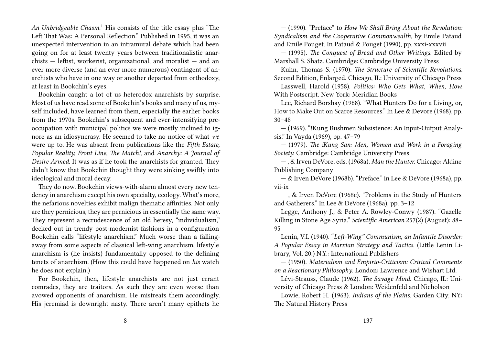*An Unbridgeable Chasm*. <sup>1</sup> His consists of the title essay plus "The Left That Was: A Personal Reflection." Published in 1995, it was an unexpected intervention in an intramural debate which had been going on for at least twenty years between traditionalistic anarchists — leftist, workerist, organizational, and moralist — and an ever more diverse (and an ever more numerous) contingent of anarchists who have in one way or another departed from orthodoxy, at least in Bookchin's eyes.

Bookchin caught a lot of us heterodox anarchists by surprise. Most of us have read some of Bookchin's books and many of us, myself included, have learned from them, especially the earlier books from the 1970s. Bookchin's subsequent and ever-intensifying preoccupation with municipal politics we were mostly inclined to ignore as an idiosyncrasy. He seemed to take no notice of what *we* were up to. He was absent from publications like the *Fifth Estate, Popular Reality, Front Line, The Match!,* and *Anarchy: A Journal of Desire Armed*. It was as if he took the anarchists for granted. They didn't know that Bookchin thought they were sinking swiftly into ideological and moral decay.

They do now. Bookchin views-with-alarm almost every new tendency in anarchism except his own specialty, ecology. What's more, the nefarious novelties exhibit malign thematic affinities. Not only are they pernicious, they are pernicious in essentially the same way. They represent a recrudescence of an old heresy, "individualism," decked out in trendy post-modernist fashions in a configuration Bookchin calls "lifestyle anarchism." Much worse than a fallingaway from some aspects of classical left-wing anarchism, lifestyle anarchism is (he insists) fundamentally opposed to the defining tenets of anarchism. (How this could have happened on *his* watch he does not explain.)

For Bookchin, then, lifestyle anarchists are not just errant comrades, they are traitors. As such they are even worse than avowed opponents of anarchism. He mistreats them accordingly. His jeremiad is downright nasty. There aren't many epithets he

— (1990). "Preface" to *How We Shall Bring About the Revolution: Syndicalism and the Cooperative Commonwealth,* by Emile Pataud and Emile Pouget. In Pataud & Pouget (1990), pp. xxxi-xxxvii

— (1995). *The Conquest of Bread and Other Writings.* Edited by Marshall S. Shatz. Cambridge: Cambridge University Press

Kuhn, Thomas S. (1970). *The Structure of Scientific Revolutions*. Second Edition, Enlarged. Chicago, IL: University of Chicago Press

Lasswell, Harold (1958). *Politics: Who Gets What, When, How.* With Postscript. New York: Meridian Books

Lee, Richard Borshay (1968). "What Hunters Do for a Living, or, How to Make Out on Scarce Resources." In Lee & Devore (1968), pp. 30–48

— (1969). "!Kung Bushmen Subsistence: An Input-Output Analysis." In Vayda (1969), pp. 47–79

— (1979). *The !Kung San: Men, Women and Work in a Foraging Society.* Cambridge: Cambridge University Press

— , & Irven DeVore, eds. (1968a). *Man the Hunter.* Chicago: Aldine Publishing Company

— & Irven DeVore (1968b). "Preface." in Lee & DeVore (1968a), pp. vii-ix

— , & Irven DeVore (1968c). "Problems in the Study of Hunters and Gatherers." In Lee & DeVore (1968a), pp. 3–12

Legge, Anthony J., & Peter A. Rowley-Conwy (1987). "Gazelle Killing in Stone Age Syria." *Scientific American* 257(2) (August): 88– 95

Lenin, V.I. (1940). "*Left-Wing" Communism, an Infantile Disorder: A Popular Essay in Marxian Strategy and Tactics.* (Little Lenin Library, Vol. 20.) N.Y.: International Publishers

— (1950). *Materialism and Empirio-Criticism: Critical Comments on a Reactionary Philosophy*. London: Lawrence and Wishart Ltd.

Lévi-Strauss, Claude (1962). *The Savage Mind*. Chicago, IL: University of Chicago Press & London: Weidenfeld and Nicholson

Lowie, Robert H. (1963). *Indians of the Plains*. Garden City, NY: The Natural History Press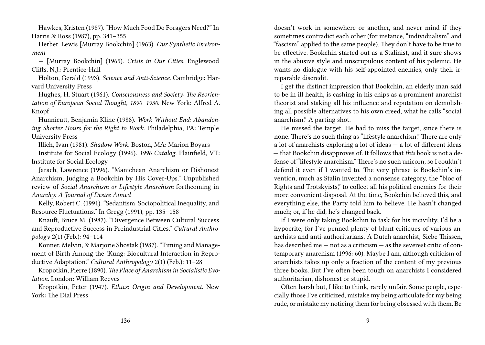Hawkes, Kristen (1987). "How Much Food Do Foragers Need?" In Harris & Ross (1987), pp. 341–355

Herber, Lewis [Murray Bookchin] (1963). *Our Synthetic Environment*

— [Murray Bookchin] (1965). *Crisis in Our Cities.* Englewood Cliffs, N.J.: Prentice-Hall

Holton, Gerald (1993). *Science and Anti-Science.* Cambridge: Harvard University Press

Hughes, H. Stuart (1961). *Consciousness and Society: The Reorientation of European Social Thought, 1890–1930.* New York: Alfred A. Knopf

Hunnicutt, Benjamin Kline (1988). *Work Without End: Abandoning Shorter Hours for the Right to Work.* Philadelphia, PA: Temple University Press

Illich, Ivan (1981). *Shadow Work.* Boston, MA: Marion Boyars

Institute for Social Ecology (1996). *1996 Catalog.* Plainfield, VT: Institute for Social Ecology

Jarach, Lawrence (1996). "Manichean Anarchism or Dishonest Anarchism; Judging a Bookchin by His Cover-Ups." Unpublished review of *Social Anarchism or Lifestyle Anarchism* forthcoming in *Anarchy: A Journal of Desire Aimed*

Kelly, Robert C. (1991). "Sedantism, Sociopolitical Inequality, and Resource Fluctuations." In Gregg (1991), pp. 135–158

Knauft, Bruce M. (1987). "Divergence Between Cultural Success and Reproductive Success in Preindustrial Cities." *Cultural Anthropology* 2(1) (Feb.): 94–114

Konner, Melvin, & Marjorie Shostak (1987). "Timing and Management of Birth Among the !Kung: Biocultural Interaction in Reproductive Adaptation." *Cultural Anthropology* 2(1) (Feb.): 11–28

Kropotkin, Pierre (1890). *The Place of Anarchism in Socialistic Evolution.* London: William Reeves

Kropotkin, Peter (1947). *Ethics: Origin and Development.* New York: The Dial Press

doesn't work in somewhere or another, and never mind if they sometimes contradict each other (for instance, "individualism" and "fascism" applied to the same people). They don't have to be true to be effective. Bookchin started out as a Stalinist, and it sure shows in the abusive style and unscrupulous content of his polemic. He wants no dialogue with his self-appointed enemies, only their irreparable discredit.

I get the distinct impression that Bookchin, an elderly man said to be in ill health, is cashing in his chips as a prominent anarchist theorist and staking all his influence and reputation on demolishing all possible alternatives to his own creed, what he calls "social anarchism." A parting shot.

He missed the target. He had to miss the target, since there is none. There's no such thing as "lifestyle anarchism." There are only a lot of anarchists exploring a lot of ideas  $-$  a lot of different ideas — that Bookchin disapproves of. It follows that *this* book is not a defense of "lifestyle anarchism." There's no such unicorn, so I couldn't defend it even if I wanted to. The very phrase is Bookchin's invention, much as Stalin invented a nonsense category, the "bloc of Rights and Trotskyists," to collect all his political enemies for their more convenient disposal. At the time, Bookchin believed this, and everything else, the Party told him to believe. He hasn't changed much; or, if he did, he's changed back.

If I were only taking Bookchin to task for his incivility, I'd be a hypocrite, for I've penned plenty of blunt critiques of various anarchists and anti-authoritarians. A Dutch anarchist, Siebe Thissen, has described me – not as a criticism – as the severest critic of contemporary anarchism (1996: 60). Maybe I am, although criticism of anarchists takes up only a fraction of the content of my previous three books. But I've often been tough on anarchists I considered authoritarian, dishonest or stupid.

Often harsh but, I like to think, rarely unfair. Some people, especially those I've criticized, mistake my being articulate for my being rude, or mistake my noticing them for being obsessed with them. Be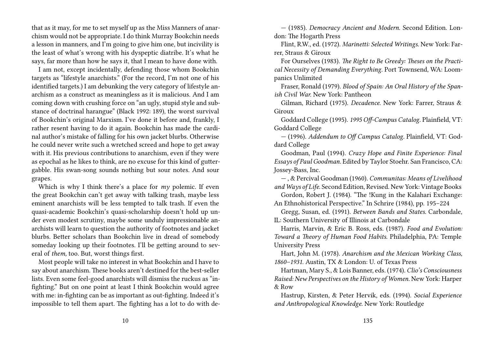that as it may, for me to set myself up as the Miss Manners of anarchism would not be appropriate. I do think Murray Bookchin needs a lesson in manners, and I'm going to give him one, but incivility is the least of what's wrong with his dyspeptic diatribe. It's what he says, far more than how he says it, that I mean to have done with.

I am not, except incidentally, defending those whom Bookchin targets as "lifestyle anarchists." (For the record, I'm not one of his identified targets.) I am debunking the very category of lifestyle anarchism as a construct as meaningless as it is malicious. And I am coming down with crushing force on "an ugly, stupid style and substance of doctrinal harangue" (Black 1992: 189), the worst survival of Bookchin's original Marxism. I've done it before and, frankly, I rather resent having to do it again. Bookchin has made the cardinal author's mistake of falling for his own jacket blurbs. Otherwise he could never write such a wretched screed and hope to get away with it. His previous contributions to anarchism, even if they were as epochal as he likes to think, are no excuse for this kind of guttergabble. His swan-song sounds nothing but sour notes. And sour grapes.

Which is why I think there's a place for *my* polemic. If even the great Bookchin can't get away with talking trash, maybe less eminent anarchists will be less tempted to talk trash. If even the quasi-academic Bookchin's quasi-scholarship doesn't hold up under even modest scrutiny, maybe some unduly impressionable anarchists will learn to question the authority of footnotes and jacket blurbs. Better scholars than Bookchin live in dread of somebody someday looking up their footnotes. I'll be getting around to several of *them,* too. But, worst things first.

Most people will take no interest in what Bookchin and I have to say about anarchism. These books aren't destined for the best-seller lists. Even some feel-good anarchists will dismiss the ruckus as "infighting." But on one point at least I think Bookchin would agree with me: in-fighting can be as important as out-fighting. Indeed it's impossible to tell them apart. The fighting has a lot to do with de-

— (1985). *Democracy Ancient and Modern.* Second Edition. London: The Hogarth Press

Flint, R.W., ed. (1972). *Marinetti: Selected Writings.* New York: Farrer, Straus & Giroux

For Ourselves (1983). *The Right to Be Greedy: Theses on the Practical Necessity of Demanding Everything.* Port Townsend, WA: Loompanics Unlimited

Fraser, Ronald (1979). *Blood of Spain: An Oral History of the Spanish Civil War.* New York: Pantheon

Gilman, Richard (1975). *Decadence.* New York: Farrer, Straus & Giroux

Goddard College (1995). *1995 Off-Campus Catalog.* Plainfield, VT: Goddard College

— (1996). *Addendum to Off Campus Catalog.* Plainfield, VT: Goddard College

Goodman, Paul (1994). *Crazy Hope and Finite Experience: Final Essays of Paul Goodman.* Edited by Taylor Stoehr. San Francisco, CA: Jossey-Bass, Inc.

— , & Percival Goodman (1960). *Communitas: Means of Livelihood and Ways of Life.* Second Edition, Revised. New York: Vintage Books

Gordon, Robert J. (1984). "The !Kung in the Kalahari Exchange: An Ethnohistorical Perspective." In Schrire (1984), pp. 195–224

Gregg, Susan, ed. (1991). *Between Bands and States.* Carbondale, IL: Southern University of Illinois at Carbondale

Harris, Marvin, & Eric B. Ross, eds. (1987). *Food and Evolution: Toward a Theory of Human Food Habits.* Philadelphia, PA: Temple University Press

Hart, John M. (1978). *Anarchism and the Mexican Working Class, 1860–1931.* Austin, TX & London: U. of Texas Press

Hartman, Mary S., & Lois Banner, eds. (1974). *Clio's Consciousness Raised: New Perspectives on the History of Women.* New York: Harper & Row

Hastrup, Kirsten, & Peter Hervik, eds. (1994). *Social Experience and Anthropological Knowledge.* New York: Routledge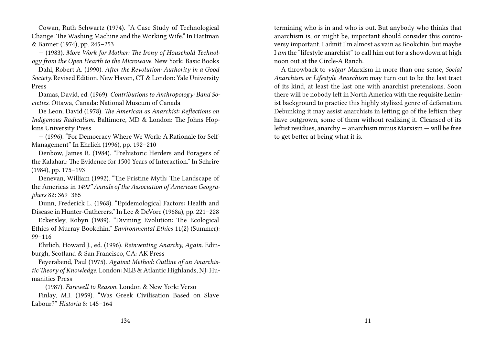Cowan, Ruth Schwartz (1974). "A Case Study of Technological Change: The Washing Machine and the Working Wife." In Hartman & Banner (1974), pp. 245–253

— (1983). *More Work for Mother: The Irony of Household Technology from the Open Hearth to the Microwave*. New York: Basic Books

Dahl, Robert A. (1990). *After the Revolution: Authority in a Good Society.* Revised Edition. New Haven, CT & London: Yale University Press

Damas, David, ed. (1969). *Contributions to Anthropology: Band Societies.* Ottawa, Canada: National Museum of Canada

De Leon, David (1978). *The American as Anarchist: Reflections on Indigenous Radicalism.* Baltimore, MD & London: The Johns Hopkins University Press

— (1996). "For Democracy Where We Work: A Rationale for Self-Management" In Ehrlich (1996), pp. 192–210

Denbow, James R. (1984). "Prehistoric Herders and Foragers of the Kalahari: The Evidence for 1500 Years of Interaction." In Schrire (1984), pp. 175–193

Denevan, William (1992). "The Pristine Myth: The Landscape of the Americas in *1492" Annals of the Association of American Geographers* 82: 369–385

Dunn, Frederick L. (1968). "Epidemological Factors: Health and Disease in Hunter-Gatherers." In Lee & DeVore (1968a), pp. 221–228

Eckersley, Robyn (1989). "Divining Evolution: The Ecological Ethics of Murray Bookchin." *Environmental Ethics* 11(2) (Summer): 99–116

Ehrlich, Howard J., ed. (1996). *Reinventing Anarchy, Again.* Edinburgh, Scotland & San Francisco, CA: AK Press

Feyerabend, Paul (1975). *Against Method: Outline of an Anarchistic Theory of Knowledge*. London: NLB & Atlantic Highlands, NJ: Humanities Press

— (1987). *Farewell to Reason.* London & New York: Verso

Finlay, M.I. (1959). "Was Greek Civilisation Based on Slave Labour?" *Historia* 8: 145–164

termining who is in and who is out. But anybody who thinks that anarchism is, or might be, important should consider this controversy important. I admit I'm almost as vain as Bookchin, but maybe I *am* the "lifestyle anarchist" to call him out for a showdown at high noon out at the Circle-A Ranch.

A throwback to *vulgar* Marxism in more than one sense, *Social Anarchism or Lifestyle Anarchism* may turn out to be the last tract of its kind, at least the last one with anarchist pretensions. Soon there will be nobody left in North America with the requisite Leninist background to practice this highly stylized genre of defamation. Debunking it may assist anarchists in letting go of the leftism they have outgrown, some of them without realizing it. Cleansed of its leftist residues, anarchy — anarchism minus Marxism — will be free to get better at being what it is.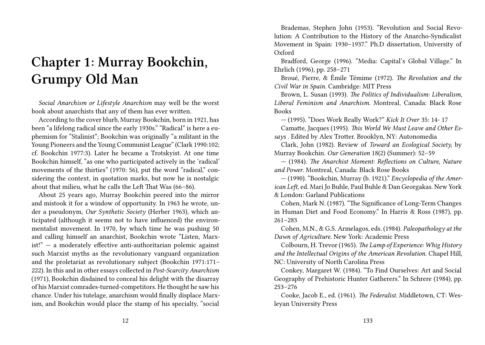## **Chapter 1: Murray Bookchin, Grumpy Old Man**

*Social Anarchism or Lifestyle Anarchism* may well be the worst book about anarchists that any of them has ever written.

According to the cover blurb, Murray Bookchin, born in 1921, has been "a lifelong radical since the early 1930s." "Radical" is here a euphemism for "Stalinist"; Bookchin was originally "a militant in the Young Pioneers and the Young Communist League" (Clark 1990:102; cf. Bookchin 1977:3). Later he became a Trotskyist. At one time Bookchin himself, "as one who participated actively in the 'radical' movements of the thirties" (1970: 56), put the word "radical," considering the context, in quotation marks, but now he is nostalgic about that milieu, what he calls the Left That Was (66–86).

About 25 years ago, Murray Bookchin peered into the mirror and mistook it for a window of opportunity. In 1963 he wrote, under a pseudonym, *Our Synthetic Society* (Herber 1963), which anticipated (although it seems not to have influenced) the environmentalist movement. In 1970, by which time he was pushing 50 and calling himself an anarchist, Bookchin wrote "Listen, Marxist!" — a moderately effective anti-authoritarian polemic against such Marxist myths as the revolutionary vanguard organization and the proletariat as revolutionary subject (Bookchin 1971:171– 222). In this and in other essays collected in *Post-Scarcity Anarchism* (1971), Bookchin disdained to conceal his delight with the disarray of his Marxist comrades-turned-competitors. He thought he saw his chance. Under his tutelage, anarchism would finally displace Marxism, and Bookchin would place the stamp of his specialty, "social

Brademas, Stephen John (1953). "Revolution and Social Revolution: A Contribution to the History of the Anarcho-Syndicalist Movement in Spain: 1930–1937." Ph.D dissertation, University of Oxford

Bradford, George (1996). "Media: Capital's Global Village." In Ehrlich (1996), pp. 258–271

Broué, Pierre, & Émile Témime (1972). *The Revolution and the Civil War in Spain.* Cambridge: MIT Press

Brown, L. Susan (1993). *The Politics of Individualism: Liberalism, Liberal Feminism and Anarchism*. Montreal, Canada: Black Rose Books

— (1995). "Does Work Really Work?" *Kick It Over* 35: 14- 17

Camatte, Jacques (1995). *This World We Must Leave and Other Essays* . Edited by Alex Trotter. Brooklyn, NY: Autonomedia

Clark, John (1982). Review of *Toward an Ecological Society,* by Murray Bookchin. *Our Generation* 18(2) (Summer): 52–59

— (1984). *The Anarchist Moment: Reflections on Culture, Nature and Power*. Montreal, Canada: Black Rose Books

— (1990). "Bookchin, Murray (b. 1921)." *Encyclopedia of the American Left,* ed. Mari Jo Buhle, Paul Buhle & Dan Georgakas. New York & London: Garland Publications

Cohen, Mark N. (1987). "The Significance of Long-Term Changes in Human Diet and Food Economy." In Harris & Ross (1987), pp. 261–283

Cohen, M.N., & G.S. Armelagos, eds. (1984). *Paleopathology at the Dawn of Agriculture*. New York: Academic Press

Colbourn, H. Trevor (1965). *The Lamp of Experience: Whig History and the Intellectual Origins of the American Revolution.* Chapel Hill, NC: University of North Carolina Press

Conkey, Margaret W. (1984). "To Find Ourselves: Art and Social Geography of Prehistoric Hunter Gatherers." In Schrere (1984), pp. 253–276

Cooke, Jacob E., ed. (1961). *The Federalist.* Middletown, CT: Wesleyan University Press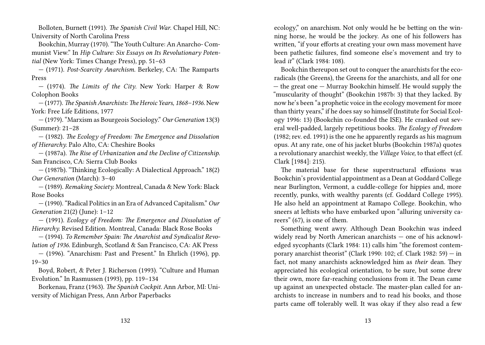Bolloten, Burnett (1991). *The Spanish Civil War*. Chapel Hill, NC: University of North Carolina Press

Bookchin, Murray (1970). "The Youth Culture: An Anarcho- Communist View." In *Hip Culture: Six Essays on Its Revolutionary Potential* (New York: Times Change Press), pp. 51–63

— (1971). *Post-Scarcity Anarchism.* Berkeley, CA: The Ramparts Press

— (1974). *The Limits of the City*. New York: Harper & Row Colophon Books

— (1977). *The Spanish Anarchists: The Heroic Years, 1868–1936*. New York: Free Life Editions, 1977

— (1979). "Marxism as Bourgeois Sociology." *Our Generation* 13(3) (Summer): 21–28

— (1982). *The Ecology of Freedom: The Emergence and Dissolution of Hierarchy.* Palo Alto, CA: Cheshire Books

— (1987a). *The Rise of Urbanization and the Decline of Citizenship.* San Francisco, CA: Sierra Club Books

— (1987b). "Thinking Ecologically: A Dialectical Approach." 18(2) *Our Generation* (March): 3–40

— (1989). *Remaking Society.* Montreal, Canada & New York: Black Rose Books

— (1990). "Radical Politics in an Era of Advanced Capitalism." *Our Generation* 21(2) (June): 1–12

— (1991). *Ecology of Freedom: The Emergence and Dissolution of Hierarchy.* Revised Edition. Montreal, Canada: Black Rose Books

— (1994). *To Remember Spain: The Anarchist and Syndicalist Revolution of 1936.* Edinburgh, Scotland & San Francisco, CA: AK Press

— (1996). "Anarchism: Past and Present." In Ehrlich (1996), pp. 19–30

Boyd, Robert, & Peter J. Richerson (1993). "Culture and Human Evolution." In Rasmussen (1993), pp. 119–134

Borkenau, Franz (1963). *The Spanish Cockpit.* Ann Arbor, MI: University of Michigan Press, Ann Arbor Paperbacks

ecology," on anarchism. Not only would he be betting on the winning horse, he would be the jockey. As one of his followers has written, "if your efforts at creating your own mass movement have been pathetic failures, find someone else's movement and try to lead *it*" (Clark 1984: 108).

Bookchin thereupon set out to conquer the anarchists for the ecoradicals (the Greens), the Greens for the anarchists, and all for one — the great one — Murray Bookchin himself. He would supply the "muscularity of thought" (Bookchin 1987b: 3) that they lacked. By now he's been "a prophetic voice in the ecology movement for more than thirty years," if he does say so himself (Institute for Social Ecology 1996: 13) (Bookchin co-founded the ISE). He cranked out several well-padded, largely repetitious books. *The Ecology of Freedom* (1982; rev. ed. 1991) is the one he apparently regards as his magnum opus. At any rate, one of his jacket blurbs (Bookchin 1987a) quotes a revolutionary anarchist weekly, the *Village Voice,* to that effect (cf. Clark [1984]: 215).

The material base for these superstructural effusions was Bookchin's providential appointment as a Dean at Goddard College near Burlington, Vermont, a cuddle-college for hippies and, more recently, punks, with wealthy parents (cf. Goddard College 1995). He also held an appointment at Ramapo College. Bookchin, who sneers at leftists who have embarked upon "alluring university careers" (67), is one of them.

Something went awry. Although Dean Bookchin was indeed widely read by North American anarchists — one of his acknowledged sycophants (Clark 1984: 11) calls him "the foremost contemporary anarchist theorist" (Clark 1990: 102; cf. Clark 1982: 59) — in fact, not many anarchists acknowledged him as *their* dean. They appreciated his ecological orientation, to be sure, but some drew their own, more far-reaching conclusions from it. The Dean came up against an unexpected obstacle. The master-plan called for anarchists to increase in numbers and to read his books, and those parts came off tolerably well. It was okay if they also read a few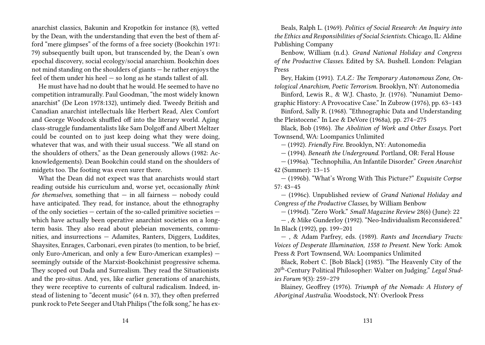anarchist classics, Bakunin and Kropotkin for instance (8), vetted by the Dean, with the understanding that even the best of them afford "mere glimpses" of the forms of a free society (Bookchin 1971: 79) subsequently built upon, but transcended by, the Dean's own epochal discovery, social ecology/social anarchism. Bookchin does not mind standing on the shoulders of giants — he rather enjoys the feel of them under his heel — so long as he stands tallest of all.

He must have had no doubt that he would. He seemed to have no competition intramurally. Paul Goodman, "the most widely known anarchist" (De Leon 1978:132), untimely died. Tweedy British and Canadian anarchist intellectuals like Herbert Read, Alex Comfort and George Woodcock shuffled off into the literary world. Aging class-struggle fundamentalists like Sam Dolgoff and Albert Meltzer could be counted on to just keep doing what they were doing, whatever that was, and with their usual success. "We all stand on the shoulders of others," as the Dean generously allows (1982: Acknowledgements). Dean Bookchin could stand on the shoulders of midgets too. The footing was even surer there.

What the Dean did not expect was that anarchists would start reading outside his curriculum and, worse yet, occasionally *think for themselves*, something that — in all fairness — nobody could have anticipated. They read, for instance, about the ethnography of the only societies — certain of the so-called primitive societies which have actually been operative anarchist societies on a longterm basis. They also read about plebeian movements, communities, and insurrections — Adamites, Ranters, Diggers, Luddites, Shaysites, Enrages, Carbonari, even pirates (to mention, to be brief, only Euro-American, and only a few Euro-American examples) seemingly outside of the Marxist-Bookchinist progressive schema. They scoped out Dada and Surrealism. They read the Situationists and the pro-situs. And, yes, like earlier generations of anarchists, they were receptive to currents of cultural radicalism. Indeed, instead of listening to "decent music" (64 n. 37), they often preferred punk rock to Pete Seeger and Utah Philips ("the folk song," he has ex-

Beals, Ralph L. (1969). *Politics of Social Research: An Inquiry into the Ethics and Responsibilities of Social Scientists.* Chicago, IL: Aldine Publishing Company

Benbow, William (n.d.). *Grand National Holiday and Congress of the Productive Classes.* Edited by SA. Bushell. London: Pelagian Press

Bey, Hakim (1991). *T.A.Z.: The Temporary Autonomous Zone, Ontological Anarchism, Poetic Terrorism.* Brooklyn, NY: Autonomedia

Binford, Lewis R., & W.J. Chasto, Jr. (1976). "Nunamiut Demographic History: A Provocative Case." In Zubrow (1976), pp. 63–143

Binford, Sally R. (1968). "Ethnographic Data and Understanding the Pleistocene." In Lee & DeVore (1968a), pp. 274–275

Black, Bob (1986). *The Abolition of Work and Other Essays.* Port Townsend, WA: Loompanics Unlimited

— (1992). *Friendly Fire.* Brooklyn, NY: Autonomedia

— (1994). *Beneath the Underground.* Portland, OR: Feral House

— (1996a). "Technophilia, An Infantile Disorder." *Green Anarchist* 42 (Summer): 13–15

— (1996b). "What's Wrong With This Picture?" *Exquisite Corpse* 57: 43–45

— (1996c). Unpublished review of *Grand National Holiday and Congress of the Productive Classes*, by William Benbow

— (1996d). "Zero Work." *Small Magazine Review* 28(6) (June): 22

— , & Mike Gunderloy (1992). "Neo-Individualism Reconsidered." In Black (1992), pp. 199–201

— , & Adam Parfrey, eds. (1989). *Rants and Incendiary Tracts: Voices of Desperate Illumination, 1558 to Present.* New York: Amok Press & Port Townsend, WA: Loompanics Unlimited

Black, Robert C. [Bob Black] (1985). "The Heavenly City of the 20th-Century Political Philosopher: Walzer on Judging." *Legal Studies Forum* 9(3): 259–279

Blainey, Geoffrey (1976). *Triumph of the Nomads: A History of Aboriginal Australia*. Woodstock, NY: Overlook Press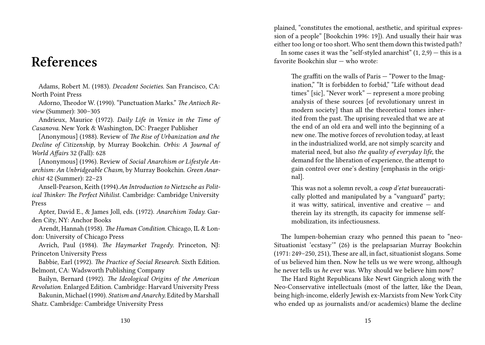### **References**

Adams, Robert M. (1983). *Decadent Societies.* San Francisco, CA: North Point Press

Adorno, Theodor W. (1990). "Punctuation Marks." *The Antioch Review* (Summer): 300–305

Andrieux, Maurice (1972). *Daily Life in Venice in the Time of Casanova.* New York & Washington, DC: Praeger Publisher

[Anonymous] (1988). Review of *The Rise of Urbanization and the Decline of Citizenship,* by Murray Bookchin. *Orbis: A Journal of World Affairs* 32 (Fall): 628

[Anonymous] (1996). Review of *Social Anarchism or Lifestyle Anarchism: An Unbridgeable Chasm,* by Murray Bookchin. *Green Anarchist* 42 (Summer): 22–23

Ansell-Pearson, Keith (1994).*An Introduction to Nietzsche as Political Thinker: The Perfect Nihilist.* Cambridge: Cambridge University Press

Apter, David E., & James Joll, eds. (1972). *Anarchism Today.* Garden City, NY: Anchor Books

Arendt, Hannah (1958). *The Human Condition.* Chicago, IL & London: University of Chicago Press

Avrich, Paul (1984). *The Haymarket Tragedy*. Princeton, NJ: Princeton University Press

Babbie, Earl (1992). *The Practice of Social Research*. Sixth Edition. Belmont, CA: Wadsworth Publishing Company

Bailyn, Bernard (1992). *The Ideological Origins of the American Revolution.* Enlarged Edition. Cambridge: Harvard University Press

Bakunin, Michael (1990). *Statism and Anarchy.* Edited by Marshall Shatz. Cambridge: Cambridge University Press

plained, "constitutes the emotional, aesthetic, and spiritual expression of a people" [Bookchin 1996: 19]). And usually their hair was either too long or too short. Who sent them down this twisted path?

In some cases it was the "self-styled anarchist"  $(1, 2, 9)$  - this is a favorite Bookchin slur — who wrote:

The graffiti on the walls of Paris — "Power to the Imagination," "It is forbidden to forbid," "Life without dead times" [sic], "Never work" — represent a more probing analysis of these sources [of revolutionary unrest in modern society] than all the theoretical tomes inherited from the past. The uprising revealed that we are at the end of an old era and well into the beginning of a new one. The motive forces of revolution today, at least in the industrialized world, are not simply scarcity and material need, but also *the quality of everyday life,* the demand for the liberation of experience, the attempt to gain control over one's destiny [emphasis in the original].

This was not a solemn revolt, a *coup d'etat* bureaucratically plotted and manipulated by a "vanguard" party; it was witty, satirical, inventive and creative — and therein lay its strength, its capacity for immense selfmobilization, its infectiousness.

The lumpen-bohemian crazy who penned this paean to "neo-Situationist 'ecstasy'" (26) is the prelapsarian Murray Bookchin (1971: 249–250, 251), These are all, in fact, situationist slogans. Some of us believed him then. Now he tells us we were wrong, although he never tells us *he* ever was. Why should we believe him now?

The Hard Right Republicans like Newt Gingrich along with the Neo-Conservative intellectuals (most of the latter, like the Dean, being high-income, elderly Jewish ex-Marxists from New York City who ended up as journalists and/or academics) blame the decline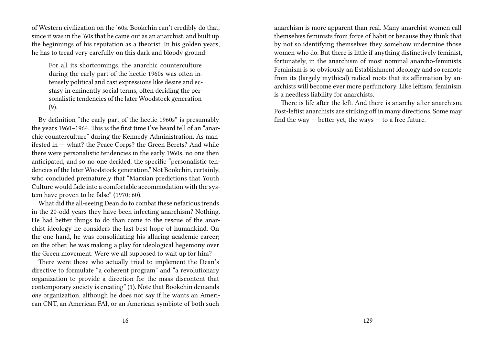of Western civilization on the '60s. Bookchin can't credibly do that, since it was in the '60s that he came out as an anarchist, and built up the beginnings of his reputation as a theorist. In his golden years, he has to tread very carefully on this dark and bloody ground:

For all its shortcomings, the anarchic counterculture during the early part of the hectic 1960s was often intensely political and cast expressions like desire and ecstasy in eminently social terms, often deriding the personalistic tendencies of the later Woodstock generation (9).

By definition "the early part of the hectic 1960s" is presumably the years 1960–1964. This is the first time I've heard tell of an "anarchic counterculture" during the Kennedy Administration. As manifested in — what? the Peace Corps? the Green Berets? And while there were personalistic tendencies in the early 1960s, no one then anticipated, and so no one derided, the specific "personalistic tendencies of the later Woodstock generation." Not Bookchin, certainly, who concluded prematurely that "Marxian predictions that Youth Culture would fade into a comfortable accommodation with the system have proven to be false" (1970: 60).

What did the all-seeing Dean do to combat these nefarious trends in the 20-odd years they have been infecting anarchism? Nothing. He had better things to do than come to the rescue of the anarchist ideology he considers the last best hope of humankind. On the one hand, he was consolidating his alluring academic career; on the other, he was making a play for ideological hegemony over the Green movement. Were we all supposed to wait up for him?

There were those who actually tried to implement the Dean's directive to formulate "a coherent program" and "a revolutionary organization to provide a direction for the mass discontent that contemporary society is creating" (1). Note that Bookchin demands *one* organization, although he does not say if he wants an American CNT, an American FAI, or an American symbiote of both such

anarchism is more apparent than real. Many anarchist women call themselves feminists from force of habit or because they think that by not so identifying themselves they somehow undermine those women who do. But there is little if anything distinctively feminist, fortunately, in the anarchism of most nominal anarcho-feminists. Feminism is so obviously an Establishment ideology and so remote from its (largely mythical) radical roots that its affirmation by anarchists will become ever more perfunctory. Like leftism, feminism is a needless liability for anarchists.

There is life after the left. And there is anarchy after anarchism. Post-leftist anarchists are striking off in many directions. Some may find the way  $-$  better yet, the ways  $-$  to a free future.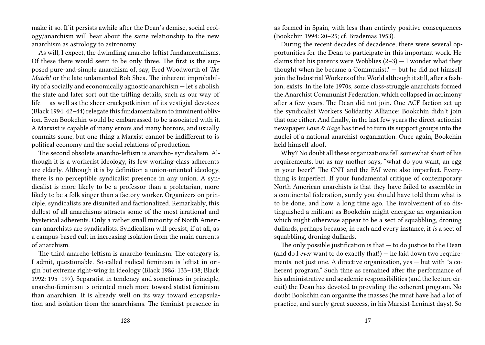make it so. If it persists awhile after the Dean's demise, social ecology/anarchism will bear about the same relationship to the new anarchism as astrology to astronomy.

As will, I expect, the dwindling anarcho-leftist fundamentalisms. Of these there would seem to be only three. The first is the supposed pure-and-simple anarchism of, say, Fred Woodworth of *The Match!* or the late unlamented Bob Shea. The inherent improbability of a socially and economically agnostic anarchism — let's abolish the state and later sort out the trifling details, such as our way of life — as well as the sheer crackpotkinism of its vestigial devotees (Black 1994: 42–44) relegate this fundamentalism to imminent oblivion. Even Bookchin would be embarrassed to be associated with it. A Marxist is capable of many errors and many horrors, and usually commits some, but one thing a Marxist cannot be indifferent to is political economy and the social relations of production.

The second obsolete anarcho-leftism is anarcho- syndicalism. Although it is a workerist ideology, its few working-class adherents are elderly. Although it is by definition a union-oriented ideology, there is no perceptible syndicalist presence in any union. A syndicalist is more likely to be a professor than a proletarian, more likely to be a folk singer than a factory worker. Organizers on principle, syndicalists are disunited and factionalized. Remarkably, this dullest of all anarchisms attracts some of the most irrational and hysterical adherents. Only a rather small minority of North American anarchists are syndicalists. Syndicalism will persist, if at all, as a campus-based cult in increasing isolation from the main currents of anarchism.

The third anarcho-leftism is anarcho-feminism. The category is, I admit, questionable. So-called radical feminism is leftist in origin but extreme right-wing in ideology (Black 1986: 133–138; Black 1992: 195–197). Separatist in tendency and sometimes in principle, anarcho-feminism is oriented much more toward statist feminism than anarchism. It is already well on its way toward encapsulation and isolation from the anarchisms. The feminist presence in

as formed in Spain, with less than entirely positive consequences (Bookchin 1994: 20–25; cf. Brademas 1953).

During the recent decades of decadence, there were several opportunities for the Dean to participate in this important work. He claims that his parents were Wobblies  $(2-3)$  – I wonder what they thought when he became a Communist? — but he did not himself join the Industrial Workers of the World although it still, after a fashion, exists. In the late 1970s, some class-struggle anarchists formed the Anarchist Communist Federation, which collapsed in acrimony after a few years. The Dean did not join. One ACF faction set up the syndicalist Workers Solidarity Alliance; Bookchin didn't join that one either. And finally, in the last few years the direct-actionist newspaper *Love & Rage* has tried to turn its support groups into the nuclei of a national anarchist organization. Once again, Bookchin held himself aloof.

Why? No doubt all these organizations fell somewhat short of his requirements, but as my mother says, "what do you want, an egg in your beer?" The CNT and the FAI were also imperfect. Everything is imperfect. If your fundamental critique of contemporary North American anarchists is that they have failed to assemble in a continental federation, surely you should have told them what is to be done, and how, a long time ago. The involvement of so distinguished a militant as Bookchin might energize an organization which might otherwise appear to be a sect of squabbling, droning dullards, perhaps because, in each and every instance, it *is* a sect of squabbling, droning dullards.

The only possible justification is that  $-$  to do justice to the Dean (and do I *ever* want to do exactly that!) — he laid down two requirements, not just one. A directive organization, yes — but with "a coherent program." Such time as remained after the performance of his administrative and academic responsibilities (and the lecture circuit) the Dean has devoted to providing the coherent program. No doubt Bookchin can organize the masses (he must have had a lot of practice, and surely great success, in his Marxist-Leninist days). So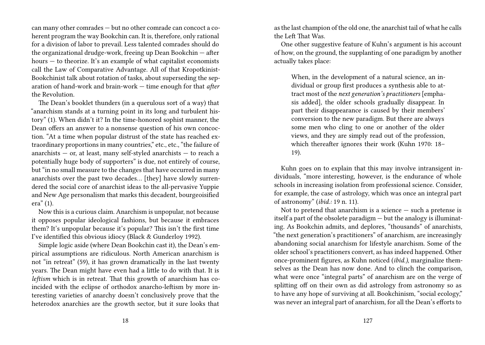can many other comrades — but no other comrade can concoct a coherent program the way Bookchin can. It is, therefore, only rational for a division of labor to prevail. Less talented comrades should do the organizational drudge-work, freeing up Dean Bookchin — after hours — to theorize. It's an example of what capitalist economists call the Law of Comparative Advantage. All of that Kropotkinist-Bookchinist talk about rotation of tasks, about superseding the separation of hand-work and brain-work — time enough for that *after* the Revolution.

The Dean's booklet thunders (in a querulous sort of a way) that "anarchism stands at a turning point in its long and turbulent history" (1). When didn't it? In the time-honored sophist manner, the Dean offers an answer to a nonsense question of his own concoction. "At a time when popular distrust of the state has reached extraordinary proportions in many countries," etc., etc., "the failure of anarchists — or, at least, many self-styled anarchists — to reach a potentially huge body of supporters" is due, not entirely of course, but "in no small measure to the changes that have occurred in many anarchists over the past two decades… [they] have slowly surrendered the social core of anarchist ideas to the all-pervasive Yuppie and New Age personalism that marks this decadent, bourgeoisified era" (1).

Now this is a curious claim. Anarchism is unpopular, not because it opposes popular ideological fashions, but because it embraces them? It's unpopular because it's popular? This isn't the first time I've identified this obvious idiocy (Black & Gunderloy 1992).

Simple logic aside (where Dean Bookchin cast it), the Dean's empirical assumptions are ridiculous. North American anarchism is not "in retreat" (59), it has grown dramatically in the last twenty years. The Dean might have even had a little to do with that. It is *leftism* which is in retreat. That this growth of anarchism has coincided with the eclipse of orthodox anarcho-leftism by more interesting varieties of anarchy doesn't conclusively prove that the heterodox anarchies are the growth sector, but it sure looks that

as the last champion of the old one, the anarchist tail of what he calls the Left That Was.

One other suggestive feature of Kuhn's argument is his account of how, on the ground, the supplanting of one paradigm by another actually takes place:

When, in the development of a natural science, an individual or group first produces a synthesis able to attract most of the *next generation's practitioners* [emphasis added], the older schools gradually disappear. In part their disappearance is caused by their members' conversion to the new paradigm. But there are always some men who cling to one or another of the older views, and they are simply read out of the profession, which thereafter ignores their work (Kuhn 1970: 18– 19).

Kuhn goes on to explain that this may involve intransigent individuals, "more interesting, however, is the endurance of whole schools in increasing isolation from professional science. Consider, for example, the case of astrology, which was once an integral part of astronomy" (*ibid.:* 19 n. 11).

Not to pretend that anarchism is a science  $-$  such a pretense is itself a part of the obsolete paradigm — but the analogy is illuminating. As Bookchin admits, and deplores, "thousands" of anarchists, "the next generation's practitioners" of anarchism, are increasingly abandoning social anarchism for lifestyle anarchism. Some of the older school's practitioners convert, as has indeed happened. Other once-prominent figures, as Kuhn noticed (*ibid.),* marginalize themselves as the Dean has now done. And to clinch the comparison, what were once "integral parts" of anarchism are on the verge of splitting off on their own as did astrology from astronomy so as to have any hope of surviving at all. Bookchinism, "social ecology," was never an integral part of anarchism, for all the Dean's efforts to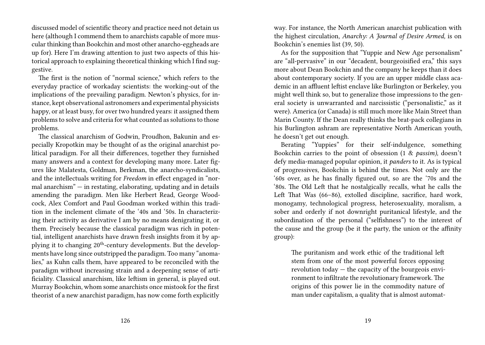discussed model of scientific theory and practice need not detain us here (although I commend them to anarchists capable of more muscular thinking than Bookchin and most other anarcho-eggheads are up for). Here I'm drawing attention to just two aspects of this historical approach to explaining theoretical thinking which I find suggestive.

The first is the notion of "normal science," which refers to the everyday practice of workaday scientists: the working-out of the implications of the prevailing paradigm. Newton's physics, for instance, kept observational astronomers and experimental physicists happy, or at least busy, for over two hundred years: it assigned them problems to solve and criteria for what counted as solutions to those problems.

The classical anarchism of Godwin, Proudhon, Bakunin and especially Kropotkin may be thought of as the original anarchist political paradigm. For all their differences, together they furnished many answers and a context for developing many more. Later figures like Malatesta, Goldman, Berkman, the anarcho-syndicalists, and the intellectuals writing for *Freedom* in effect engaged in "normal anarchism"  $-$  in restating, elaborating, updating and in details amending the paradigm. Men like Herbert Read, George Woodcock, Alex Comfort and Paul Goodman worked within this tradition in the inclement climate of the '40s and '50s. In characterizing their activity as derivative I am by no means denigrating it, or them. Precisely because the classical paradigm was rich in potential, intelligent anarchists have drawn fresh insights from it by applying it to changing  $20<sup>th</sup>$ -century developments. But the developments have long since outstripped the paradigm. Too many "anomalies," as Kuhn calls them, have appeared to be reconciled with the paradigm without increasing strain and a deepening sense of artificiality. Classical anarchism, like leftism in general, is played out. Murray Bookchin, whom some anarchists once mistook for the first theorist of a new anarchist paradigm, has now come forth explicitly

way. For instance, the North American anarchist publication with the highest circulation, *Anarchy: A Journal of Desire Armed,* is on Bookchin's enemies list (39, 50).

As for the supposition that "Yuppie and New Age personalism" are "all-pervasive" in our "decadent, bourgeoisified era," this says more about Dean Bookchin and the company he keeps than it does about contemporary society. If you are an upper middle class academic in an affluent leftist enclave like Burlington or Berkeley, you might well think so, but to generalize those impressions to the general society is unwarranted and narcissistic ("personalistic," as it were). America (or Canada) is still much more like Main Street than Marin County. If the Dean really thinks the brat-pack collegians in his Burlington ashram are representative North American youth, he doesn't get out enough.

Berating "Yuppies" for their self-indulgence, something Bookchin carries to the point of obsession (1 & *passim),* doesn't defy media-managed popular opinion, it *panders* to it. As is typical of progressives, Bookchin is behind the times. Not only are the '60s over, as he has finally figured out, so are the '70s and the '80s. The Old Left that he nostalgically recalls, what he calls the Left That Was (66–86), extolled discipline, sacrifice, hard work, monogamy, technological progress, heterosexuality, moralism, a sober and orderly if not downright puritanical lifestyle, and the subordination of the personal ("selfishness") to the interest of the cause and the group (be it the party, the union or the affinity group):

The puritanism and work ethic of the traditional left stem from one of the most powerful forces opposing revolution today  $-$  the capacity of the bourgeois environment to infiltrate the revolutionary framework. The origins of this power lie in the commodity nature of man under capitalism, a quality that is almost automat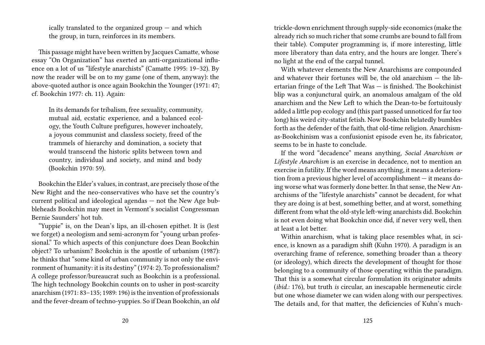ically translated to the organized group — and which the group, in turn, reinforces in its members.

This passage might have been written by Jacques Camatte, whose essay "On Organization" has exerted an anti-organizational influence on a lot of us "lifestyle anarchists" (Camatte 1995: 19–32). By now the reader will be on to my game (one of them, anyway): the above-quoted author is once again Bookchin the Younger (1971: 47; cf. Bookchin 1977: ch. 11). Again:

In its demands for tribalism, free sexuality, community, mutual aid, ecstatic experience, and a balanced ecology, the Youth Culture prefigures, however inchoately, a joyous communist and classless society, freed of the trammels of hierarchy and domination, a society that would transcend the historic splits between town and country, individual and society, and mind and body (Bookchin 1970: 59).

Bookchin the Elder's values, in contrast, are precisely those of the New Right and the neo-conservatives who have set the country's current political and ideological agendas — not the New Age bubbleheads Bookchin may meet in Vermont's socialist Congressman Bernie Saunders' hot tub.

"Yuppie" is, on the Dean's lips, an ill-chosen epithet. It is (lest we forget) a neologism and semi-acronym for "young urban professional." To which aspects of this conjuncture does Dean Bookchin object? To urbanism? Bookchin is the apostle of urbanism (1987): he thinks that "some kind of urban community is not only the environment of humanity: it is its destiny" (1974: 2). To professionalism? A college professor/bureaucrat such as Bookchin is a professional. The high technology Bookchin counts on to usher in post-scarcity anarchism (1971: 83–135; 1989: 196) is the invention of professionals and the fever-dream of techno-yuppies. So if Dean Bookchin, an *old*

trickle-down enrichment through supply-side economics (make the already rich so much richer that some crumbs are bound to fall from their table). Computer programming is, if more interesting, little more liberatory than data entry, and the hours are longer. There's no light at the end of the carpal tunnel.

With whatever elements the New Anarchisms are compounded and whatever their fortunes will be, the old anarchism  $-$  the libertarian fringe of the Left That Was — is finished. The Bookchinist blip was a conjunctural quirk, an anomalous amalgam of the old anarchism and the New Left to which the Dean-to-be fortuitously added a little pop ecology and (this part passed unnoticed for far too long) his weird city-statist fetish. Now Bookchin belatedly bumbles forth as the defender of the faith, that old-time religion. Anarchismas-Bookchinism was a confusionist episode even he, its fabricator, seems to be in haste to conclude.

If the word "decadence" means anything, *Social Anarchism or Lifestyle Anarchism* is an exercise in decadence, not to mention an exercise in futility. If the word means anything, it means a deterioration from a previous higher level of accomplishment — it means doing worse what was formerly done better. In that sense, the New Anarchisms of the "lifestyle anarchists" cannot be decadent, for what they are doing is at best, something better, and at worst, something different from what the old-style left-wing anarchists did. Bookchin is not even doing what Bookchin once did, if never very well, then at least a lot better.

Within anarchism, what is taking place resembles what, in science, is known as a paradigm shift (Kuhn 1970). A paradigm is an overarching frame of reference, something broader than a theory (or ideology), which directs the development of thought for those belonging to a community of those operating within the paradigm. That this is a somewhat circular formulation its originator admits (*ibid.:* 176), but truth *is* circular, an inescapable hermeneutic circle but one whose diameter we can widen along with our perspectives. The details and, for that matter, the deficiencies of Kuhn's much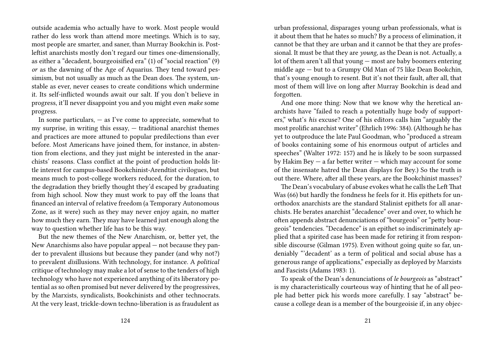outside academia who actually have to work. Most people would rather do less work than attend more meetings. Which is to say, most people are smarter, and saner, than Murray Bookchin is. Postleftist anarchists mostly don't regard our times one-dimensionally, as either a "decadent, bourgeoisified era" (1) of "social reaction" (9) *or* as the dawning of the Age of Aquarius. They tend toward pessimism, but not usually as much as the Dean does. The system, unstable as ever, never ceases to create conditions which undermine it. Its self-inflicted wounds await our salt. If you don't believe in progress, it'll never disappoint you and you might even *make* some progress.

In some particulars,  $-$  as I've come to appreciate, somewhat to my surprise, in writing this essay, — traditional anarchist themes and practices are more attuned to popular predilections than ever before. Most Americans have joined them, for instance, in abstention from elections, and they just might be interested in the anarchists' reasons. Class conflict at the point of production holds little interest for campus-based Bookchinist-Arendtist civilogues, but means much to post-college workers reduced, for the duration, to the degradation they briefly thought they'd escaped by graduating from high school. Now they must work to pay off the loans that financed an interval of relative freedom (a Temporary Autonomous Zone, as it were) such as they may never enjoy again, no matter how much they earn. They may have learned just enough along the way to question whether life has to be this way.

But the new themes of the New Anarchism, or, better yet, the New Anarchisms also have popular appeal — not because they pander to prevalent illusions but because they pander (and why not?) to prevalent *dis*illusions. With technology, for instance. A *political* critique of technology may make a lot of sense to the tenders of high technology who have not experienced anything of its liberatory potential as so often promised but never delivered by the progressives, by the Marxists, syndicalists, Bookchinists and other technocrats. At the very least, trickle-down techno-liberation is as fraudulent as

urban professional, disparages young urban professionals, what is it about them that he hates so much? By a process of elimination, it cannot be that they are urban and it cannot be that they are professional. It must be that they are *young,* as the Dean is not. Actually, a lot of them aren't all that young — most are baby boomers entering middle age — but to a Grumpy Old Man of 75 like Dean Bookchin, that's young enough to resent. But it's not their fault, after all, that most of them will live on long after Murray Bookchin is dead and forgotten.

And one more thing: Now that we know why the heretical anarchists have "failed to reach a potentially huge body of supporters," what's *his* excuse? One of his editors calls him "arguably the most prolific anarchist writer" (Ehrlich 1996: 384). (Although he has yet to outproduce the late Paul Goodman, who "produced a stream of books containing some of his enormous output of articles and speeches" (Walter 1972: 157) and he is likely to be soon surpassed by Hakim Bey — a far better writer — which may account for some of the insensate hatred the Dean displays for Bey.) So the truth is out there. Where, after all these years, are the Bookchinist masses?

The Dean's vocabulary of abuse evokes what he calls the Left That Was (66) but hardly the fondness he feels for it. His epithets for unorthodox anarchists are the standard Stalinist epithets for all anarchists. He berates anarchist "decadence" over and over, to which he often appends abstract denunciations of "bourgeois" or "petty bourgeois" tendencies. "Decadence" is an epithet so indiscriminately applied that a spirited case has been made for retiring it from responsible discourse (Gilman 1975). Even without going quite so far, undeniably "'decadent' as a term of political and social abuse has a generous range of applications," especially as deployed by Marxists and Fascists (Adams 1983: 1).

To speak of the Dean's denunciations of *le bourgeois* as "abstract" is my characteristically courteous way of hinting that he of all people had better pick his words more carefully. I say "abstract" because a college dean is a member of the bourgeoisie if, in any objec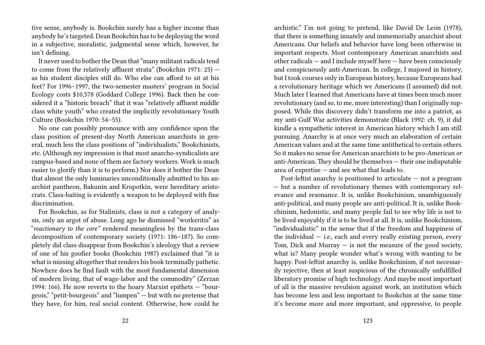tive sense, anybody is. Bookchin surely has a higher income than anybody he's targeted. Dean Bookchin has to be deploying the word in a subjective, moralistic, judgmental sense which, however, he isn't defining.

It never used to bother the Dean that "many militant radicals tend to come from the relatively affluent strata" (Bookchin 1971: 25) as his student disciples still do. Who else can afford to sit at his feet? For 1996–1997, the two-semester masters' program in Social Ecology costs \$10,578 (Goddard College 1996). Back then he considered it a "historic breach" that it was "relatively affluent middle class white youth" who created the implicitly revolutionary Youth Culture (Bookchin 1970: 54–55).

No one can possibly pronounce with any confidence upon the class position of present-day North American anarchists in general, much less the class positions of "individualists," Bookchinists, etc. (Although my impression is that most anarcho-syndicalists are campus-based and none of them are factory workers. Work is much easier to glorify than it is to perform.) Nor does it bother the Dean that almost the only luminaries unconditionally admitted to his anarchist pantheon, Bakunin and Kropotkin, were hereditary aristocrats. Class-baiting is evidently a weapon to be deployed with fine discrimination.

For Bookchin, as for Stalinists, class is not a category of analysis, only an argot of abuse. Long ago he dismissed "workeritis" as "*reactionary to the core"* rendered meaningless by the trans-class decomposition of contemporary society (1971: 186–187). So completely did class disappear from Bookchin's ideology that a review of one of his goofier books (Bookchin 1987) exclaimed that "it is what is missing altogether that renders his book terminally pathetic. Nowhere does he find fault with the most fundamental dimension of modern living, that of wage-labor and the commodity" (Zerzan 1994: 166). He now reverts to the hoary Marxist epithets — "bourgeois," "petit-bourgeois" and "lumpen" — but with no pretense that they have, for him, real social content. Otherwise, how could he

archistic." I'm not going to pretend, like David De Leon (1978), that there is something innately and immemorially anarchist about Americans. Our beliefs and behavior have long been otherwise in important respects. Most contemporary American anarchists and other radicals — and I include myself here — have been consciously and conspicuously anti-American. In college, I majored in history, but I took courses only in European history, because Europeans had a revolutionary heritage which we Americans (I assumed) did not. Much later I learned that Americans have at times been much more revolutionary (and so, to me, more interesting) than I originally supposed. While this discovery didn't transform me into a patriot, as my anti-Gulf War activities demonstrate (Black 1992: ch. 9), it did kindle a sympathetic interest in American history which I am still pursuing. Anarchy is at once very much an elaboration of certain American values and at the same time antithetical to certain others. So it makes no sense for American anarchists to be pro-American *or* anti-American. They should be themselves — their one indisputable area of expertise — and see what that leads to.

Post-leftist anarchy is positioned to articulate  $-$  not a program — but a number of revolutionary themes with contemporary relevance and resonance. It is, unlike Bookchinism, unambiguously anti-political, and many people are anti-political. It is, unlike Bookchinism, hedonistic, and many people fail to see why life is not to be lived enjoyably if it is to be lived at all. It is, unlike Bookchinism, "individualistic" in the sense that if the freedom and happiness of the individual  $-$  *i.e.*, each and every really existing person, every Tom, Dick and Murray  $-$  is not the measure of the good society, what is? Many people wonder what's wrong with wanting to be happy. Post-leftist anarchy is, unlike Bookchinism, if not necessarily rejective, then at least suspicious of the chronically unfulfilled liberatory promise of high technology. And maybe most important of all is the massive revulsion against work, an institution which has become less and less important to Bookchin at the same time it's become more and more important, and oppressive, to people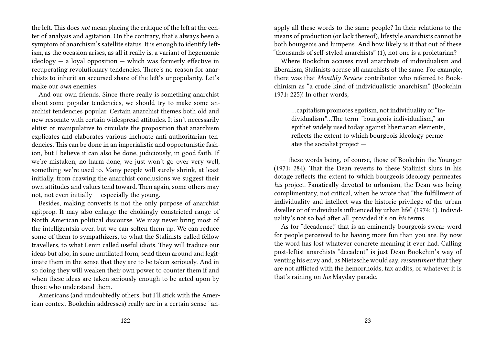the left. This does *not* mean placing the critique of the left at the center of analysis and agitation. On the contrary, that's always been a symptom of anarchism's satellite status. It is enough to identify leftism, as the occasion arises, as all it really is, a variant of hegemonic ideology — a loyal opposition — which was formerly effective in recuperating revolutionary tendencies. There's no reason for anarchists to inherit an accursed share of the left's unpopularity. Let's make our *own* enemies.

And our own friends. Since there really is something anarchist about some popular tendencies, we should try to make some anarchist tendencies popular. Certain anarchist themes both old and new resonate with certain widespread attitudes. It isn't necessarily elitist or manipulative to circulate the proposition that anarchism explicates and elaborates various inchoate anti-authoritarian tendencies. This can be done in an imperialistic and opportunistic fashion, but I believe it can also be done, judiciously, in good faith. If we're mistaken, no harm done, we just won't go over very well, something we're used to. Many people will surely shrink, at least initially, from drawing the anarchist conclusions we suggest their own attitudes and values tend toward. Then again, some others may not, not even initially — especially the young.

Besides, making converts is not the only purpose of anarchist agitprop. It may also enlarge the chokingly constricted range of North American political discourse. We may never bring most of the intelligentsia over, but we can soften them up. We can reduce some of them to sympathizers, to what the Stalinists called fellow travellers, to what Lenin called useful idiots. They will traduce our ideas but also, in some mutilated form, send them around and legitimate them in the sense that they are to be taken seriously. And in so doing they will weaken their own power to counter them if and when these ideas are taken seriously enough to be acted upon by those who understand them.

Americans (and undoubtedly others, but I'll stick with the American context Bookchin addresses) really are in a certain sense "anapply all these words to the same people? In their relations to the means of production (or lack thereof), lifestyle anarchists cannot be both bourgeois and lumpens. And how likely is it that out of these "thousands of self-styled anarchists" (1), not one is a proletarian?

Where Bookchin accuses rival anarchists of individualism and liberalism, Stalinists accuse all anarchists of the same. For example, there was that *Monthly Review* contributor who referred to Bookchinism as "a crude kind of individualistic anarchism" (Bookchin 1971: 225)! In other words,

…capitalism promotes egotism, not individuality or "individualism."…The term "bourgeois individualism," an epithet widely used today against libertarian elements, reflects the extent to which bourgeois ideology permeates the socialist project —

— these words being, of course, those of Bookchin the Younger (1971: 284). That the Dean reverts to these Stalinist slurs in his dotage reflects the extent to which bourgeois ideology permeates *his* project. Fanatically devoted to urbanism, the Dean was being complimentary, not critical, when he wrote that "the fulfillment of individuality and intellect was the historic privilege of the urban dweller or of individuals influenced by urban life" (1974: 1). Individuality's not so bad after all, provided it's on *his* terms.

As for "decadence," that is an eminently bourgeois swear-word for people perceived to be having more fun than you are. By now the word has lost whatever concrete meaning it ever had. Calling post-leftist anarchists "decadent" is just Dean Bookchin's way of venting his envy and, as Nietzsche would say,*ressentiment* that they are not afflicted with the hemorrhoids, tax audits, or whatever it is that's raining on *his* Mayday parade.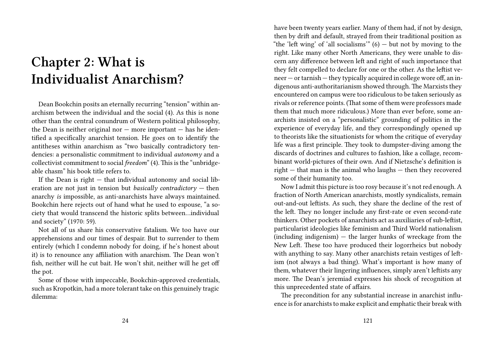## **Chapter 2: What is Individualist Anarchism?**

Dean Bookchin posits an eternally recurring "tension" within anarchism between the individual and the social (4). As this is none other than the central conundrum of Western political philosophy, the Dean is neither original nor  $-$  more important  $-$  has he identified a specifically anarchist tension. He goes on to identify the antitheses within anarchism as "two basically contradictory tendencies: a personalistic commitment to individual *autonomy* and a collectivist commitment to social *freedom*" (4). This is the "unbridgeable chasm" his book title refers to.

If the Dean is right  $-$  that individual autonomy and social liberation are not just in tension but *basically contradictory —* then anarchy *is* impossible, as anti-anarchists have always maintained. Bookchin here rejects out of hand what he used to espouse, "a society that would transcend the historic splits between…individual and society" (1970: 59).

Not all of us share his conservative fatalism. We too have our apprehensions and our times of despair. But to surrender to them entirely (which I condemn nobody for doing, if he's honest about it) is to renounce any affiliation with anarchism. The Dean won't fish, neither will he cut bait. He won't shit, neither will he get off the pot.

Some of those with impeccable, Bookchin-approved credentials, such as Kropotkin, had a more tolerant take on this genuinely tragic dilemma:

have been twenty years earlier. Many of them had, if not by design, then by drift and default, strayed from their traditional position as "the 'left wing' of 'all socialisms"  $(6)$  – but not by moving to the right. Like many other North Americans, they were unable to discern any difference between left and right of such importance that they felt compelled to declare for one or the other. As the leftist veneer — or tarnish — they typically acquired in college wore off, an indigenous anti-authoritarianism showed through. The Marxists they encountered on campus were too ridiculous to be taken seriously as rivals or reference points. (That some of them were professors made them that much more ridiculous.) More than ever before, some anarchists insisted on a "personalistic" grounding of politics in the experience of everyday life, and they correspondingly opened up to theorists like the situationists for whom the critique of everyday life was a first principle. They took to dumpster-diving among the discards of doctrines and cultures to fashion, like a collage, recombinant world-pictures of their own. And if Nietzsche's definition is right — that man is the animal who laughs — then they recovered some of their humanity too.

Now I admit this picture is too rosy because it's not red enough. A fraction of North American anarchists, mostly syndicalists, remain out-and-out leftists. As such, they share the decline of the rest of the left. They no longer include any first-rate or even second-rate thinkers. Other pockets of anarchists act as auxiliaries of sub-leftist, particularist ideologies like feminism and Third World nationalism  $(including\,\,inj)$  — the larger hunks of wreckage from the New Left. These too have produced their logorrheics but nobody with anything to say. Many other anarchists retain vestiges of leftism (not always a bad thing). What's important is how many of them, whatever their lingering influences, simply aren't leftists any more. The Dean's jeremiad expresses his shock of recognition at this unprecedented state of affairs.

The precondition for any substantial increase in anarchist influence is for anarchists to make explicit and emphatic their break with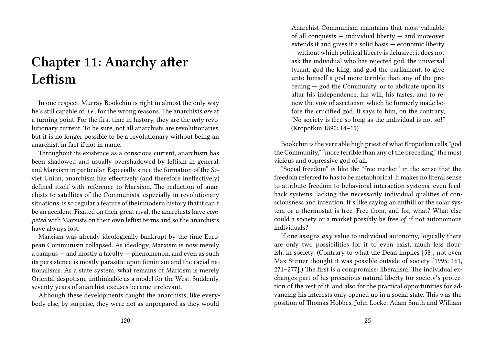## **Chapter 11: Anarchy after Leftism**

In one respect, Murray Bookchin is right in almost the only way he's still capable of, *i.e.,* for the wrong reasons. The anarchists *are* at a turning point. For the first time in history, they are the *only* revolutionary current. To be sure, not all anarchists are revolutionaries, but it is no longer possible to be a revolutionary without being an anarchist, in fact if not in name.

Throughout its existence as a conscious current, anarchism has been shadowed and usually overshadowed by leftism in general, and Marxism in particular. Especially since the formation of the Soviet Union, anarchism has effectively (and therefore ineffectively) defined itself with reference to Marxism. The reduction of anarchists to satellites of the Communists, especially in revolutionary situations, is so regular a feature of their modern history that it can't be an accident. Fixated on their great rival, the anarchists have *competed* with Marxists on their own leftist terms and so the anarchists have always lost.

Marxism was already ideologically bankrupt by the time European Communism collapsed. As ideology, Marxism is now merely a campus — and mostly a faculty — phenomenon, and even as such its persistence is mostly parasitic upon feminism and the racial nationalisms. As a state system, what remains of Marxism is merely Oriental despotism, unthinkable as a model for the West. Suddenly, seventy years of anarchist excuses became irrelevant.

Although these developments caught the anarchists, like everybody else, by surprise, they were not as unprepared as they would

Anarchist Communism maintains that most valuable of all conquests  $-$  individual liberty  $-$  and moreover extends it and gives it a solid basis — economic liberty — without which political liberty is delusive; it does not ask the individual who has rejected god, the universal tyrant, god the king, and god the parliament, to give unto himself a god more terrible than any of the preceding — god the Community, or to abdicate upon its altar his independence, his will, his tastes, and to renew the vow of asceticism which he formerly made before the crucified god. It says to him, on the contrary, "No society is free so long as the individual is not so!" (Kropotkin 1890: 14–15)

Bookchin is the veritable high priest of what Kropotkin calls "god the Community," "more terrible than any of the preceding," the most vicious and oppressive god of all.

"Social freedom" is like the "free market" in the sense that the freedom referred to has to be metaphorical. It makes no literal sense to attribute freedom to behavioral interaction systems, even feedback systems, lacking the necessarily individual qualities of consciousness and intention. It's like saying an anthill or the solar system or a thermostat is free. Free from, and for, what? What else could a society or a market possibly be free *of* if not autonomous individuals?

If one assigns *any* value to individual autonomy, logically there are only two possibilities for it to even exist, much less flourish, in society. (Contrary to what the Dean implies [58], not even Max Stirner thought it was possible outside of society [1995: 161, 271–277].) The first is a compromise: liberalism. The individual exchanges part of his precarious natural liberty for society's protection of the rest of it, and also for the practical opportunities for advancing his interests only opened up in a social state. This was the position of Thomas Hobbes, John Locke, Adam Smith and William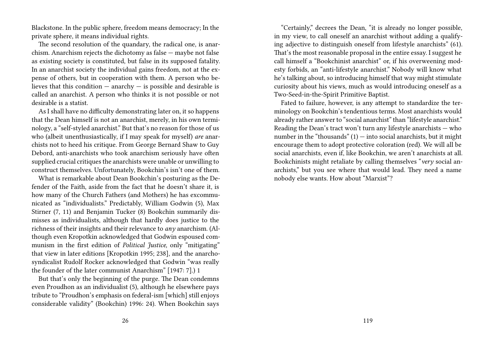Blackstone. In the public sphere, freedom means democracy; In the private sphere, it means individual rights.

The second resolution of the quandary, the radical one, is anarchism. Anarchism rejects the dichotomy as false — maybe not false as existing society is constituted, but false in its supposed fatality. In an anarchist society the individual gains freedom, not at the expense of others, but in cooperation with them. A person who believes that this condition  $-$  anarchy  $-$  is possible and desirable is called an anarchist. A person who thinks it is not possible or not desirable is a statist.

As I shall have no difficulty demonstrating later on, it so happens that the Dean himself is not an anarchist, merely, in his own terminology, a "self-styled anarchist." But that's no reason for those of us who (albeit unenthusiastically, if I may speak for myself) *are* anarchists not to heed his critique. From George Bernard Shaw to Guy Debord, anti-anarchists who took anarchism seriously have often supplied crucial critiques the anarchists were unable or unwilling to construct themselves. Unfortunately, Bookchin's isn't one of them.

What is remarkable about Dean Bookchin's posturing as the Defender of the Faith, aside from the fact that he doesn't share it, is how many of the Church Fathers (and Mothers) he has excommunicated as "individualists." Predictably, William Godwin (5), Max Stirner (7, 11) and Benjamin Tucker (8) Bookchin summarily dismisses as individualists, although that hardly does justice to the richness of their insights and their relevance to *any* anarchism. (Although even Kropotkin acknowledged that Godwin espoused communism in the first edition of *Political Justice,* only "mitigating" that view in later editions [Kropotkin 1995; 238], and the anarchosyndicalist Rudolf Rocker acknowledged that Godwin "was really the founder of the later communist Anarchism" [1947: 7].) 1

But that's only the beginning of the purge. The Dean condemns even Proudhon as an individualist (5), although he elsewhere pays tribute to "Proudhon's emphasis on federal-ism [which] still enjoys considerable validity" (Bookchin) 1996: 24). When Bookchin says

"Certainly," decrees the Dean, "it is already no longer possible, in my view, to call oneself an anarchist without adding a qualifying adjective to distinguish oneself from lifestyle anarchists" (61). That's the most reasonable proposal in the entire essay. I suggest he call himself a "Bookchinist anarchist" or, if his overweening modesty forbids, an "anti-lifestyle anarchist." Nobody will know what he's talking about, so introducing himself that way might stimulate curiosity about his views, much as would introducing oneself as a Two-Seed-in-the-Spirit Primitive Baptist.

Fated to failure, however, is any attempt to standardize the terminology on Bookchin's tendentious terms. Most anarchists would already rather answer to "social anarchist" than "lifestyle anarchist." Reading the Dean's tract won't turn any lifestyle anarchists — who number in the "thousands"  $(1)$  — into social anarchists, but it might encourage them to adopt protective coloration (red). We will all be social anarchists, even if, like Bookchin, we aren't anarchists at all. Bookchinists might retaliate by calling themselves "*very* social anarchists," but you see where that would lead. They need a name nobody else wants. How about "Marxist"?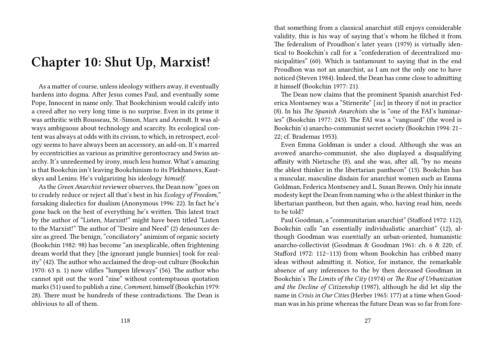## **Chapter 10: Shut Up, Marxist!**

As a matter of course, unless ideology withers away, it eventually hardens into dogma. After Jesus comes Paul, and eventually some Pope, Innocent in name only. That Bookchinism would calcify into a creed after no very long time is no surprise. Even in its prime it was arthritic with Rousseau, St.-Simon, Marx and Arendt. It was always ambiguous about technology and scarcity. Its ecological content was always at odds with its civism, to which, in retrospect, ecology seems to have always been an accessory, an add-on. It's marred by eccentricities as various as primitive gerontocracy and Swiss anarchy. It's unredeemed by irony, much less humor. What's amazing is that Bookchin isn't leaving Bookchinism to its Plekhanovs, Kautskys and Lenins. He's vulgarizing his ideology *himself*.

As the *Green Anarchist* reviewer observes, the Dean now "goes on to crudely reduce or reject all that's best in his *Ecology of Freedom,"* forsaking dialectics for dualism (Anonymous 1996: 22). In fact he's gone back on the best of everything he's written. This latest tract by the author of "Listen, Marxist!" might have been titled "Listen to the Marxist!" The author of "Desire and Need" (2) denounces desire as greed. The benign, "conciliatory" animism of organic society (Bookchin 1982: 98) has become "an inexplicable, often frightening dream world that they [the ignorant jungle bunnies] took for reality" (42). The author who acclaimed the drop-out culture (Bookchin 1970: 63 n. 1) now vilifies "lumpen lifeways" (56). The author who cannot spit out the word "zine" without contemptuous quotation marks (51) used to publish a zine, *Comment*, himself (Bookchin 1979: 28). There must be hundreds of these contradictions. The Dean is oblivious to all of them.

that something from a classical anarchist still enjoys considerable validity, this is his way of saying that's whom he filched it from. The federalism of Proudhon's later years (1979) is virtually identical to Bookchin's call for a "confederation of decentralized municipalities" (60). Which is tantamount to saying that in the end Proudhon was not an anarchist, as I am not the only one to have noticed (Steven 1984). Indeed, the Dean has come close to admitting it himself (Bookchin 1977: 21).

The Dean now claims that the prominent Spanish anarchist Federica Montseney was a "Stirnerite" [*sic*] in theory if not in practice (8). In his *The Spanish Anarchists* she is "one of the FAI's luminaries" (Bookchin 1977: 243). The FAI was a "vanguard" (the word is Bookchin's) anarcho-communist secret society (Bookchin 1994: 21– 22; cf. Brademas 1953).

Even Emma Goldman is under a cloud. Although she was an avowed anarcho-communist, she also displayed a disqualifying affinity with Nietzsche (8), and she was, after all, "by no means the ablest thinker in the libertarian pantheon" (13). Bookchin has a muscular, masculine disdain for anarchist women such as Emma Goldman, Federica Montseney and L. Susan Brown. Only his innate modesty kept the Dean from naming who *is* the ablest thinker in the libertarian pantheon, but then again, who, having read him, needs to be told?

Paul Goodman, a "communitarian anarchist" (Stafford 1972: 112), Bookchin calls "an essentially individualistic anarchist" (12), although Goodman was *essentially* an urban-oriented, humanistic anarcho-collectivist (Goodman & Goodman 1961: ch. 6 & 220; cf. Stafford 1972: 112–113) from whom Bookchin has cribbed many ideas without admitting it. Notice, for instance, the remarkable absence of any inferences to the by then deceased Goodman in Bookchin's *The Limits of the City* (1974) or *The Rise of Urbanization and the Decline of Citizenship* (1987), although he did let slip the name in *Crisis in Our Cities* (Herber 1965: 177) at a time when Goodman was in his prime whereas the future Dean was so far from fore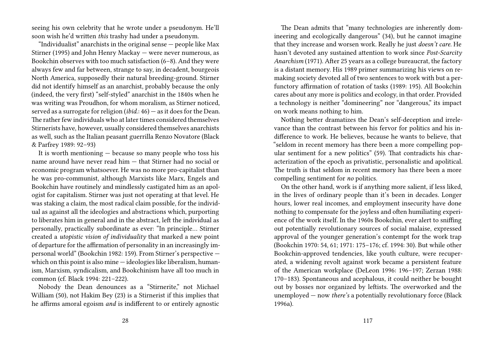seeing his own celebrity that he wrote under a pseudonym. He'll soon wish he'd written *this* trashy had under a pseudonym.

"Individualist" anarchists in the original sense — people like Max Stirner (1995) and John Henry Mackay — were never numerous, as Bookchin observes with too much satisfaction (6–8). And they were always few and far between, strange to say, in decadent, bourgeois North America, supposedly their natural breeding-ground. Stirner did not identify himself as an anarchist, probably because the only (indeed, the very first) "self-styled" anarchist in the 1840s when he was writing was Proudhon, for whom moralism, as Stirner noticed, served as a surrogate for religion (*ibid*.: 46) — as it does for the Dean. The rather few individuals who at later times considered themselves Stirnerists have, however, usually considered themselves anarchists as well, such as the Italian peasant guerrilla Renzo Novatore (Black & Parfrey 1989: 92–93)

It is worth mentioning  $-$  because so many people who toss his name around have never read him — that Stirner had no social or economic program whatsoever. He was no more pro-capitalist than he was pro-communist, although Marxists like Marx, Engels and Bookchin have routinely and mindlessly castigated him as an apologist for capitalism. Stirner was just not operating at that level. He was staking a claim, the most radical claim possible, for the individual as against all the ideologies and abstractions which, purporting to liberates him in general and in the abstract, left the individual as personally, practically subordinate as ever: "In principle… Stirner created a *utopistic vision of individuality* that marked a new point of departure for the affirmation of personality in an increasingly impersonal world" (Bookchin 1982: 159). From Stirner's perspective which on this point is also mine — ideologies like liberalism, humanism, Marxism, syndicalism, and Bookchinism have all too much in common (cf. Black 1994: 221–222).

Nobody the Dean denounces as a "Stirnerite," not Michael William (50), not Hakim Bey (23) is a Stirnerist if this implies that he affirms amoral egoism *and* is indifferent to or entirely agnostic

The Dean admits that "many technologies are inherently domineering and ecologically dangerous" (34), but he cannot imagine that they increase and worsen work. Really he just *doesn't care.* He hasn't devoted any sustained attention to work since *Post-Scarcity Anarchism* (1971). After 25 years as a college bureaucrat, the factory is a distant memory. His 1989 primer summarizing his views on remaking society devoted all of two sentences to work with but a perfunctory affirmation of rotation of tasks (1989: 195). All Bookchin cares about any more is politics and ecology, in that order. Provided a technology is neither "domineering" nor "dangerous," its impact on work means nothing to him.

Nothing better dramatizes the Dean's self-deception and irrelevance than the contrast between his fervor for politics and his indifference to work. He believes, because he wants to believe, that "seldom in recent memory has there been a more compelling popular sentiment for a new politics" (59). That contradicts his characterization of the epoch as privatistic, personalistic and apolitical. The truth is that seldom in recent memory has there been a more compelling sentiment for *no* politics.

On the other hand, work is if anything more salient, if less liked, in the lives of ordinary people than it's been in decades. Longer hours, lower real incomes, and employment insecurity have done nothing to compensate for the joyless and often humiliating experience of the work itself. In the 1960s Bookchin, ever alert to sniffing out potentially revolutionary sources of social malaise, expressed approval of the younger generation's contempt for the work trap (Bookchin 1970: 54, 61; 1971: 175–176; cf. 1994: 30). But while other Bookchin-approved tendencies, like youth culture, were recuperated, a widening revolt against work became a persistent feature of the American workplace (DeLeon 1996: 196–197; Zerzan 1988: 170–183). Spontaneous and acephalous, it could neither be bought out by bosses nor organized by leftists. The overworked and the unemployed — now *there's* a potentially revolutionary force (Black 1996a).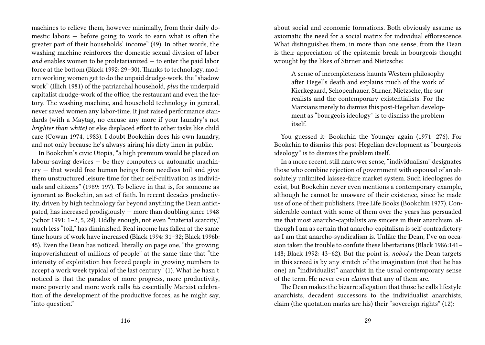machines to relieve them, however minimally, from their daily domestic labors — before going to work to earn what is often the greater part of their households' income" (49). In other words, the washing machine reinforces the domestic sexual division of labor *and* enables women to be proletarianized — to enter the paid labor force at the bottom (Black 1992: 29–30). Thanks to technology, modern working women get to do the unpaid drudge-work, the "shadow work" (Illich 1981) of the patriarchal household, *plus* the underpaid capitalist drudge-work of the office, the restaurant and even the factory. The washing machine, and household technology in general, never saved women any labor-time. It just raised performance standards (with a Maytag, no excuse any more if your laundry's not *brighter than white)* or else displaced effort to other tasks like child care (Cowan 1974, 1983). I doubt Bookchin does his own laundry, and not only because he's always airing his dirty linen in public.

In Bookchin's civic Utopia, "a high premium would be placed on labour-saving devices  $-$  be they computers or automatic machinery — that would free human beings from needless toil and give them unstructured leisure time for their self-cultivation as individuals and citizens" (1989: 197). To believe in that is, for someone as ignorant as Bookchin, an act of faith. In recent decades productivity, driven by high technology far beyond anything the Dean anticipated, has increased prodigiously — more than doubling since 1948 (Schor 1991: 1–2, 5, 29). Oddly enough, not even "material scarcity," much less "toil," has diminished. Real income has fallen at the same time hours of work have increased (Black 1994: 31–32; Black 1996b: 45). Even the Dean has noticed, literally on page one, "the growing impoverishment of millions of people" at the same time that "the intensity of exploitation has forced people in growing numbers to accept a work week typical of the last century" (1). What he hasn't noticed is that the paradox of more progress, more productivity, more poverty and more work calls *his* essentially Marxist celebration of the development of the productive forces, as he might say, "into question."

about social and economic formations. Both obviously assume as axiomatic the need for a social matrix for individual efflorescence. What distinguishes them, in more than one sense, from the Dean is their appreciation of the epistemic break in bourgeois thought wrought by the likes of Stirner and Nietzsche:

A sense of incompleteness haunts Western philosophy after Hegel's death and explains much of the work of Kierkegaard, Schopenhauer, Stirner, Nietzsche, the surrealists and the contemporary existentialists. For the Marxians merely to dismiss this post-Hegelian development as "bourgeois ideology" is to dismiss the problem itself.

You guessed it: Bookchin the Younger again (1971: 276). For Bookchin to dismiss this post-Hegelian development as "bourgeois ideology" is to dismiss the problem itself.

In a more recent, still narrower sense, "individualism" designates those who combine rejection of government with espousal of an absolutely unlimited laissez-faire market system. Such ideologues do exist, but Bookchin never even mentions a contemporary example, although he cannot be unaware of their existence, since he made use of one of their publishers, Free Life Books (Bookchin 1977). Considerable contact with some of them over the years has persuaded me that most anarcho-capitalists are sincere in their anarchism, although I am as certain that anarcho-capitalism is self-contradictory as I am that anarcho-syndicalism is. Unlike the Dean, I've on occasion taken the trouble to confute these libertarians (Black 1986:141– 148; Black 1992: 43–62). But the point is, *nobody* the Dean targets in this screed is by any stretch of the imagination (not that he has one) an "individualist" anarchist in the usual contemporary sense of the term. He never even *claims* that any of them are.

The Dean makes the bizarre allegation that those he calls lifestyle anarchists, decadent successors to the individualist anarchists, claim (the quotation marks are his) their "sovereign rights" (12):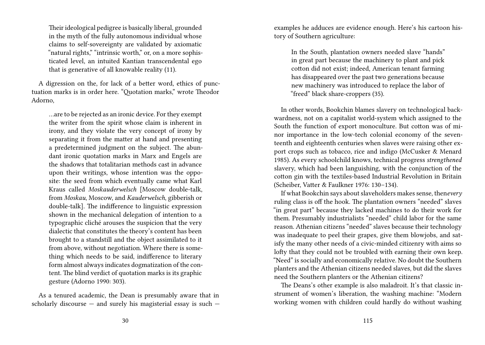Their ideological pedigree is basically liberal, grounded in the myth of the fully autonomous individual whose claims to self-sovereignty are validated by axiomatic "natural rights," "intrinsic worth," or, on a more sophisticated level, an intuited Kantian transcendental ego that is generative of all knowable reality (11).

A digression on the, for lack of a better word, ethics of punctuation marks is in order here. "Quotation marks," wrote Theodor Adorno,

…are to be rejected as an ironic device. For they exempt the writer from the spirit whose claim is inherent in irony, and they violate the very concept of irony by separating it from the matter at hand and presenting a predetermined judgment on the subject. The abundant ironic quotation marks in Marx and Engels are the shadows that totalitarian methods cast in advance upon their writings, whose intention was the opposite: the seed from which eventually came what Karl Kraus called *Moskauderwelsch* [Moscow double-talk, from *Moskau*, Moscow, and *Kauderwelsch*, gibberish or double-talk]. The indifference to linguistic expression shown in the mechanical delegation of intention to a typographic cliché arouses the suspicion that the very dialectic that constitutes the theory's content has been brought to a standstill and the object assimilated to it from above, without negotiation. Where there is something which needs to be said, indifference to literary form almost always indicates dogmatization of the content. The blind verdict of quotation marks is its graphic gesture (Adorno 1990: 303).

As a tenured academic, the Dean is presumably aware that in scholarly discourse  $-$  and surely his magisterial essay is such  $-$  examples he adduces are evidence enough. Here's his cartoon history of Southern agriculture:

In the South, plantation owners needed slave "hands" in great part because the machinery to plant and pick cotton did not exist; indeed, American tenant farming has disappeared over the past two generations because new machinery was introduced to replace the labor of "freed" black share-croppers (35).

In other words, Bookchin blames slavery on technological backwardness, not on a capitalist world-system which assigned to the South the function of export monoculture. But cotton was of minor importance in the low-tech colonial economy of the seventeenth and eighteenth centuries when slaves were raising other export crops such as tobacco, rice and indigo (McCusker & Menard 1985). As every schoolchild knows, technical progress *strengthened* slavery, which had been languishing, with the conjunction of the cotton gin with the textiles-based Industrial Revolution in Britain (Scheiber, Vatter & Faulkner 1976: 130–134).

If what Bookchin says about slaveholders makes sense, then*every* ruling class is off the hook. The plantation owners "needed" slaves "in great part" because they lacked machines to do their work for them. Presumably industrialists "needed" child labor for the same reason. Athenian citizens "needed" slaves because their technology was inadequate to peel their grapes, give them blowjobs, and satisfy the many other needs of a civic-minded citizenry with aims so lofty that they could not be troubled with earning their own keep. "Need" is socially and economically relative. No doubt the Southern planters and the Athenian citizens needed slaves, but did the slaves need the Southern planters or the Athenian citizens?

The Deans's other example is also maladroit. It's that classic instrument of women's liberation, the washing machine: "Modern working women with children could hardly do without washing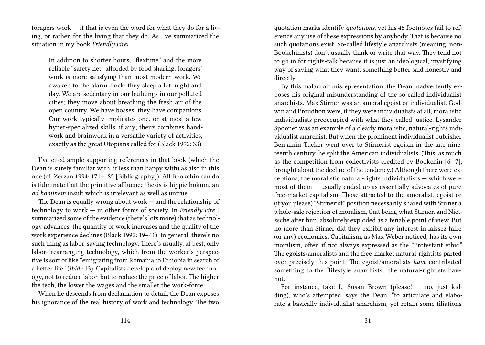foragers work  $-$  if that is even the word for what they do for a living, or rather, for the living that they do. As I've summarized the situation in my book *Friendly Fire:*

In addition to shorter hours, "flextime" and the more reliable "safety net" afforded by food sharing, foragers' work is more satisfying than most modern work. We awaken to the alarm clock; they sleep a lot, night and day. We are sedentary in our buildings in our polluted cities; they move about breathing the fresh air of the open country. We have bosses; they have companions. Our work typically implicates one, or at most a few hyper-specialized skills, if any; theirs combines handwork and brainwork in a versatile variety of activities, exactly as the great Utopians called for (Black 1992: 33).

I've cited ample supporting references in that book (which the Dean is surely familiar with, if less than happy with) as also in this one (cf. Zerzan 1994: 171–185 [Bibliography]). All Bookchin can do is fulminate that the primitive affluence thesis is hippie hokum, an *ad hominem* insult which is irrelevant as well as untrue.

The Dean is equally wrong about work — and the relationship of technology to work — in other forms of society. In *Friendly Fire* I summarized some of the evidence (there's lots more) that as technology advances, the quantity of work increases and the quality of the work experience declines (Black 1992: 19–41). In general, there's no such thing as labor-saving technology. There's usually, at best, only labor- rearranging technology, which from the worker's perspective is sort of like "emigrating from Romania to Ethiopia in search of a better life" (*ibid.:* 13). Capitalists develop and deploy new technology, not to reduce labor, but to reduce the price of labor. The higher the tech, the lower the wages and the smaller the work-force.

When he descends from declamation to detail, the Dean exposes his ignorance of the real history of work and technology. The two quotation marks identify *quotations*, yet his 45 footnotes fail to reference any use of these expressions by anybody. That is because no such quotations exist. So-called lifestyle anarchists (meaning: non-Bookchinists) don't usually think or write that way. They tend not to go in for rights-talk because it is just an ideological, mystifying way of saying what they want, something better said honestly and directly.

By this maladroit misrepresentation, the Dean inadvertently exposes his original misunderstanding of the so-called individualist anarchists. Max Stirner was an amoral egoist or individualist. Godwin and Proudhon were, if they were individualists at all, moralistic individualists preoccupied with what they called justice. Lysander Spooner was an example of a clearly moralistic, natural-rights individualist anarchist. But when the prominent individualist publisher Benjamin Tucker went over to Stirnerist egoism in the late nineteenth century, he split the American individualists. (This, as much as the competition from collectivists credited by Bookchin [6- 7], brought about the decline of the tendency.) Although there were exceptions, the moralistic natural-rights individualists — which were most of them — usually ended up as essentially advocates of pure free-market capitalism. Those attracted to the amoralist, egoist or (if you please) "Stirnerist" position necessarily shared with Stirner a whole-sale rejection of moralism, that being what Stirner, and Nietzsche after him, absolutely exploded as a tenable point of view. But no more than Stirner did they exhibit any interest in laissez-faire (or any) economics. Capitalism, as Max Weber noticed, has its own moralism, often if not always expressed as the "Protestant ethic." The egoists/amoralists and the free-market natural-rightists parted over precisely this point. The egoist/amoralists *have* contributed something to the "lifestyle anarchists," the natural-rightists have not.

For instance, take L. Susan Brown (please!  $-$  no, just kidding), who's attempted, says the Dean, "to articulate and elaborate a basically individualist anarchism, yet retain some filiations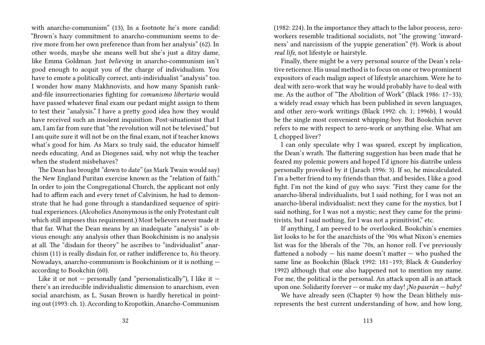with anarcho-communism" (13), In a footnote he's more candid: "Brown's hazy commitment to anarcho-communism seems to derive more from her own preference than from her analysis" (62). In other words, maybe she means well but she's just a ditzy dame, like Emma Goldman. Just *believing* in anarcho-communism isn't good enough to acquit you of the charge of individualism. You have to emote a politically correct, anti-individualist "analysis" too. I wonder how many Makhnovists, and how many Spanish rankand-file insurrectionaries fighting for *comunismo libertario* would have passed whatever final exam our pedant might assign to them to test their "analysis." I have a pretty good idea how they would have received such an insolent inquisition. Post-situationist that I am, I am far from sure that "the revolution will not be televised," but I am quite sure it will not be on the final exam, not if teacher knows what's good for him. As Marx so truly said, the educator himself needs educating. And as Diogenes said, why not whip the teacher when the student misbehaves?

The Dean has brought "down to date" (as Mark Twain would say) the New England Puritan exercise known as the "relation of faith." In order to join the Congregational Church, the applicant not only had to affirm each and every tenet of Calvinism, he had to demonstrate that he had gone through a standardized sequence of spiritual experiences. (Alcoholics Anonymous is the only Protestant cult which still imposes this requirement.) Most believers never made it that far. What the Dean means by an inadequate "analysis" is obvious enough: any analysis other than Bookchinism is no analysis at all. The "disdain for theory" he ascribes to "individualist" anarchism (11) is really disdain for, or rather indifference to, *his* theory. Nowadays, anarcho-communism is Bookchinism or it is nothing according to Bookchin (60).

Like it or not  $-$  personally (and "personalistically"), I like it  $$ there's an irreducible individualistic dimension to anarchism, even social anarchism, as L. Susan Brown is hardly heretical in pointing out (1993: ch. 1). According to Kropotkin, Anarcho-Communism

(1982: 224). In the importance they attach to the labor process, zeroworkers resemble traditional socialists, not "the growing 'inwardness' and narcissism of the yuppie generation" (9). Work is about *real life,* not lifestyle or hairstyle.

Finally, there might be a very personal source of the Dean's relative reticence. His usual method is to focus on one or two prominent expositors of each malign aspect of lifestyle anarchism. Were he to deal with zero-work that way he would probably have to deal with me. As the author of "The Abolition of Work" (Black 1986: 17–33), a widely read essay which has been published in seven languages, and other zero-work writings (Black 1992: ch. 1; 1996b), I would be the single most convenient whipping-boy. But Bookchin never refers to me with respect to zero-work or anything else. What am I, chopped liver?

I can only speculate why I was spared, except by implication, the Dean's wrath. The flattering suggestion has been made that he feared my polemic powers and hoped I'd ignore his diatribe unless personally provoked by it (Jarach 1996: 3). If so, he miscalculated. I'm a better friend to my friends than that, and besides, I like a good fight. I'm not the kind of guy who says: "First they came for the anarcho-liberal individualists, but I said nothing, for I was not an anarcho-liberal individualist; next they came for the mystics, but I said nothing, for I was not a mystic; next they came for the primitivists, but I said nothing, for I was not a primitivist," etc.

If anything, I am peeved to be overlooked. Bookchin's enemies list looks to be for the anarchists of the '90s what Nixon's enemies list was for the liberals of the '70s, an honor roll. I've previously flattened a nobody  $-$  his name doesn't matter  $-$  who pushed the same line as Bookchin (Black 1992: 181–193; Black & Gunderloy 1992) although that one also happened not to mention my name. For me, the political is the personal. An attack upon all is an attack upon one. Solidarity forever — or make my day! *¡No paserán — baby!*

We have already seen (Chapter 9) how the Dean blithely misrepresents the best current understanding of how, and how long,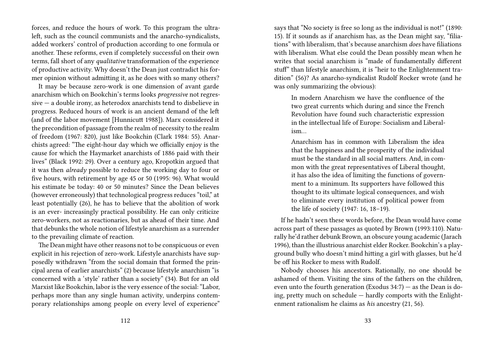forces, and reduce the hours of work. To this program the ultraleft, such as the council communists and the anarcho-syndicalists, added workers' control of production according to one formula or another. These reforms, even if completely successful on their own terms, fall short of any *qualitative* transformation of the experience of productive activity. Why doesn't the Dean just contradict his former opinion without admitting it, as he does with so many others?

It may be because zero-work is one dimension of avant garde anarchism which on Bookchin's terms looks *progressive* not regressive — a double irony, as heterodox anarchists tend to disbelieve in progress. Reduced hours of work is an ancient demand of the left (and of the labor movement [Hunnicutt 1988]). Marx considered it the precondition of passage from the realm of necessity to the realm of freedom (1967: 820), just like Bookchin (Clark 1984: 55). Anarchists agreed: "The eight-hour day which we officially enjoy is the cause for which the Haymarket anarchists of 1886 paid with their lives" (Black 1992: 29). Over a century ago, Kropotkin argued that it was then *already* possible to reduce the working day to four or five hours, with retirement by age 45 or 50 (1995: 96). What would his estimate be today: 40 or 50 minutes? Since the Dean believes (however erroneously) that technological progress reduces "toil," at least potentially (26), he has to believe that the abolition of work is an ever- increasingly practical possibility. He can only criticize zero-workers, not as reactionaries, but as ahead of their time. And that debunks the whole notion of lifestyle anarchism as a surrender to the prevailing climate of reaction.

The Dean might have other reasons not to be conspicuous or even explicit in his rejection of zero-work. Lifestyle anarchists have supposedly withdrawn "from the social domain that formed the principal arena of earlier anarchists" (2) because lifestyle anarchism "is concerned with a 'style' rather than a society" (34). But for an old Marxist like Bookchin, labor is the very essence of the social: "Labor, perhaps more than any single human activity, underpins contemporary relationships among people on every level of experience"

says that "No society is free so long as the individual is not!" (1890: 15). If it sounds as if anarchism has, as the Dean might say, "filiations" with liberalism, that's because anarchism *does* have filiations with liberalism. What else could the Dean possibly mean when he writes that social anarchism is "made of fundamentally different stuff" than lifestyle anarchism, it is "heir to the Enlightenment tradition" (56)? As anarcho-syndicalist Rudolf Rocker wrote (and he was only summarizing the obvious):

In modern Anarchism we have the confluence of the two great currents which during and since the French Revolution have found such characteristic expression in the intellectual life of Europe: Socialism and Liberalism…

Anarchism has in common with Liberalism the idea that the happiness and the prosperity of the individual must be the standard in all social matters. And, in common with the great representatives of Liberal thought, it has also the idea of limiting the functions of government to a minimum. Its supporters have followed this thought to its ultimate logical consequences, and wish to eliminate every institution of political power from the life of society (1947: 16, 18–19).

If he hadn't seen these words before, the Dean would have come across part of these passages as quoted by Brown (1993:110). Naturally he'd rather debunk Brown, an obscure young academic (Jarach 1996), than the illustrious anarchist elder Rocker. Bookchin's a playground bully who doesn't mind hitting a girl with glasses, but he'd be off his Rocker to mess with Rudolf.

Nobody chooses his ancestors. Rationally, no one should be ashamed of them. Visiting the sins of the fathers on the children, even unto the fourth generation (Exodus 34:7) — as the Dean is doing, pretty much on schedule — hardly comports with the Enlightenment rationalism he claims as *his* ancestry (21, 56).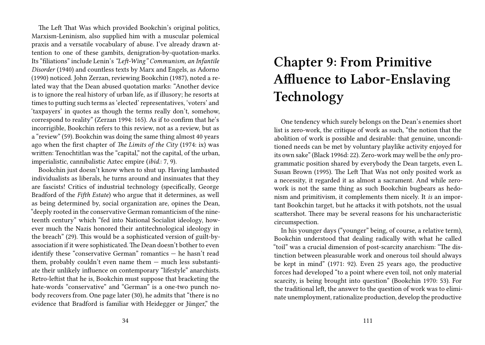The Left That Was which provided Bookchin's original politics, Marxism-Leninism, also supplied him with a muscular polemical praxis and a versatile vocabulary of abuse. I've already drawn attention to one of these gambits, denigration-by-quotation-marks. Its "filiations" include Lenin's *"Left-Wing" Communism, an Infantile Disorder* (1940) and countless texts by Marx and Engels, as Adorno (1990) noticed. John Zerzan, reviewing Bookchin (1987), noted a related way that the Dean abused quotation marks: "Another device is to ignore the real history of urban life, as if illusory; he resorts at times to putting such terms as 'elected' representatives, 'voters' and 'taxpayers' in quotes as though the terms really don't, somehow, correspond to reality" (Zerzan 1994: 165). As if to confirm that he's incorrigible, Bookchin refers to this review, not as a review, but as a "review" (59). Bookchin was doing the same thing almost 40 years ago when the first chapter of *The Limits of the City* (1974: ix) was written: Tenochtitlan was the "capital," not the capital, of the urban, imperialistic, cannibalistic Aztec empire (*ibid*.: 7, 9).

Bookchin just doesn't know when to shut up. Having lambasted individualists as liberals, he turns around and insinuates that they are fascists! Critics of industrial technology (specifically, George Bradford of the *Fifth Estate*) who argue that it determines, as well as being determined by, social organization are, opines the Dean, "deeply rooted in the conservative German romanticism of the nineteenth century" which "fed into National Socialist ideology, however much the Nazis honored their antitechnological ideology in the breach" (29). This would be a sophisticated version of guilt-byassociation if it were sophisticated. The Dean doesn't bother to even identify these "conservative German" romantics — he hasn't read them, probably couldn't even name them — much less substantiate their unlikely influence on contemporary "lifestyle" anarchists. Retro-leftist that he is, Bookchin must suppose that bracketing the hate-words "conservative" and "German" is a one-two punch nobody recovers from. One page later (30), he admits that "there is no evidence that Bradford is familiar with Heidegger or Jünger," the

# **Chapter 9: From Primitive Affluence to Labor-Enslaving Technology**

One tendency which surely belongs on the Dean's enemies short list is zero-work, the critique of work as such, "the notion that the abolition of work is possible and desirable: that genuine, unconditioned needs can be met by voluntary playlike activity enjoyed for its own sake" (Black 1996d: 22). Zero-work may well be the *only* programmatic position shared by everybody the Dean targets, even L. Susan Brown (1995). The Left That Was not only posited work as a necessity, it regarded it as almost a sacrament. And while zerowork is not the same thing as such Bookchin bugbears as hedonism and primitivism, it complements them nicely. It *is* an important Bookchin target, but he attacks it with potshots, not the usual scattershot. There may be several reasons for his uncharacteristic circumspection.

In his younger days ("younger" being, of course, a relative term), Bookchin understood that dealing radically with what he called "toil" was a crucial dimension of post-scarcity anarchism: "The distinction between pleasurable work and onerous toil should always be kept in mind" (1971: 92). Even 25 years ago, the productive forces had developed "to a point where even toil, not only material scarcity, is being brought into question" (Bookchin 1970: 53). For the traditional left, the answer to the question of work was to eliminate unemployment, rationalize production, develop the productive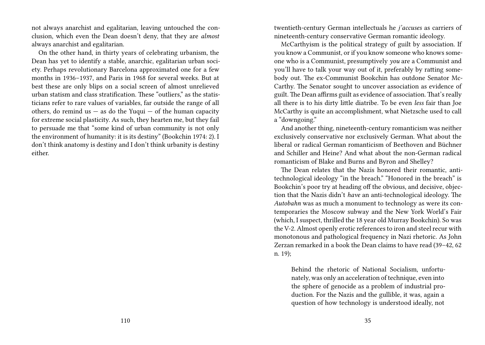not always anarchist and egalitarian, leaving untouched the conclusion, which even the Dean doesn't deny, that they are *almost* always anarchist and egalitarian.

On the other hand, in thirty years of celebrating urbanism, the Dean has yet to identify a stable, anarchic, egalitarian urban society. Perhaps revolutionary Barcelona approximated one for a few months in 1936–1937, and Paris in 1968 for several weeks. But at best these are only blips on a social screen of almost unrelieved urban statism and class stratification. These "outliers," as the statisticians refer to rare values of variables, far outside the range of all others, do remind us  $-$  as do the Yuqui  $-$  of the human capacity for extreme social plasticity. As such, they hearten me, but they fail to persuade me that "some kind of urban community is not only the environment of humanity: it is its destiny" (Bookchin 1974: 2). I don't think anatomy is destiny and I don't think urbanity is destiny either.

twentieth-century German intellectuals he *j'accuses* as carriers of nineteenth-century conservative German romantic ideology.

McCarthyism is the political strategy of guilt by association. If you know a Communist, or if you know someone who knows someone who is a Communist, presumptively *you* are a Communist and you'll have to talk your way out of it, preferably by ratting somebody out. The ex-Communist Bookchin has outdone Senator Mc-Carthy. The Senator sought to uncover association as evidence of guilt. The Dean affirms guilt as evidence of association. That's really all there is to his dirty little diatribe. To be even *less* fair than Joe McCarthy is quite an accomplishment, what Nietzsche used to call a "downgoing."

And another thing, nineteenth-century romanticism was neither exclusively conservative nor exclusively German. What about the liberal or radical German romanticism of Beethoven and Büchner and Schiller and Heine? And what about the non-German radical romanticism of Blake and Burns and Byron and Shelley?

The Dean relates that the Nazis honored their romantic, antitechnological ideology "in the breach." "Honored in the breach" is Bookchin's poor try at heading off the obvious, and decisive, objection that the Nazis didn't *have* an anti-technological ideology. The *Autobahn* was as much a monument to technology as were its contemporaries the Moscow subway and the New York World's Fair (which, I suspect, thrilled the 18 year old Murray Bookchin). So was the V-2. Almost openly erotic references to iron and steel recur with monotonous and pathological frequency in Nazi rhetoric. As John Zerzan remarked in a book the Dean claims to have read (39–42, 62 n. 19);

Behind the rhetoric of National Socialism, unfortunately, was only an acceleration of technique, even into the sphere of genocide as a problem of industrial production. For the Nazis and the gullible, it was, again a question of how technology is understood ideally, not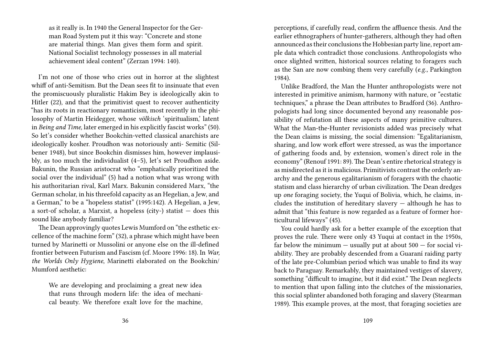as it really is. In 1940 the General Inspector for the German Road System put it this way: "Concrete and stone are material things. Man gives them form and spirit. National Socialist technology possesses in all material achievement ideal content" (Zerzan 1994: 140).

I'm not one of those who cries out in horror at the slightest whiff of anti-Semitism. But the Dean sees fit to insinuate that even the promiscuously pluralistic Hakim Bey is ideologically akin to Hitler (22), and that the primitivist quest to recover authenticity "has its roots in reactionary romanticism, most recently in the philosophy of Martin Heidegger, whose *völkisch* 'spiritualism,' latent in *Being and Time,* later emerged in his explicitly fascist works" (50). So let's consider whether Bookchin-vetted classical anarchists are ideologically kosher. Proudhon was notoriously anti- Semitic (Silbener 1948), but since Bookchin dismisses him, however implausibly, as too much the individualist (4–5), let's set Proudhon aside. Bakunin, the Russian aristocrat who "emphatically prioritized the social over the individual" (5) had a notion what was wrong with his authoritarian rival, Karl Marx. Bakunin considered Marx, "the German scholar, in his threefold capacity as an Hegelian, a Jew, and a German," to be a "hopeless statist" (1995:142). A Hegelian, a Jew, a sort-of scholar, a Marxist, a hopeless (city-) statist  $-$  does this sound like anybody familiar?

The Dean approvingly quotes Lewis Mumford on "the esthetic excellence of the machine form" (32), a phrase which might have been turned by Marinetti or Mussolini or anyone else on the ill-defined frontier between Futurism and Fascism (cf. Moore 1996: 18). In *War, the Worlds Only Hygiene*, Marinetti elaborated on the Bookchin/ Mumford aesthetic:

We are developing and proclaiming a great new idea that runs through modern life: the idea of mechanical beauty. We therefore exalt love for the machine, perceptions, if carefully read, confirm the affluence thesis. And the earlier ethnographers of hunter-gatherers, although they had often announced as their conclusions the Hobbesian party line, report ample data which contradict those conclusions. Anthropologists who once slighted written, historical sources relating to foragers such as the San are now combing them very carefully (*e.g.,* Parkington 1984).

Unlike Bradford, the Man the Hunter anthropologists were not interested in primitive animism, harmony with nature, or "ecstatic techniques," a phrase the Dean attributes to Bradford (36). Anthropologists had long since documented beyond any reasonable possibility of refutation all these aspects of many primitive cultures. What the Man-the-Hunter revisionists added was precisely what the Dean claims is missing, the social dimension: "Egalitarianism, sharing, and low work effort were stressed, as was the importance of gathering foods and, by extension, women's direct role in the economy" (Renouf 1991: 89). The Dean's entire rhetorical strategy is as misdirected as it is malicious. Primitivists contrast the orderly anarchy and the generous egalitarianism of foragers with the chaotic statism and class hierarchy of urban civilization. The Dean dredges up *one* foraging society, the Yuqui of Bolivia, which, he claims, includes the institution of hereditary slavery  $-$  although he has to admit that "this feature is now regarded as a feature of former horticultural lifeways" (45).

You could hardly ask for a better example of the exception that proves the rule. There were only 43 Yuqui at contact in the 1950s, far below the minimum  $-$  usually put at about 500  $-$  for social viability. They are probably descended from a Guaraní raiding party of the late pre-Columbian period which was unable to find its way back to Paraguay. Remarkably, they maintained vestiges of slavery, something "difficult to imagine, but it did exist." The Dean neglects to mention that upon falling into the clutches of the missionaries, this social splinter abandoned both foraging and slavery (Stearman 1989). This example proves, at the most, that foraging societies are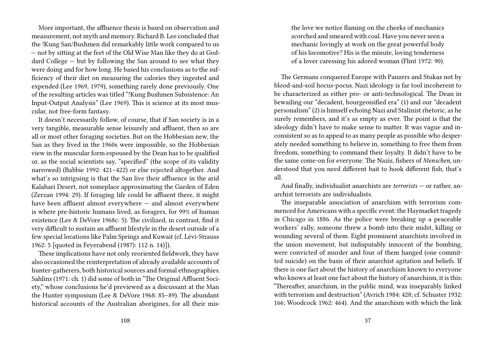More important, the affluence thesis is based on observation and measurement, not myth and memory. Richard B. Lee concluded that the !Kung San/Bushmen did remarkably little work compared to us — not by sitting at the feet of the Old Wise Man like they do at Goddard College — but by following the San around to see what they were doing and for how long. He based his conclusions as to the sufficiency of their diet on measuring the calories they ingested and expended (Lee 1969, 1979), something rarely done previously. One of the resulting articles was titled "!Kung Bushmen Subsistence: An Input-Output Analysis" (Lee 1969). This is science at its most muscular, not free-form fantasy.

It doesn't necessarily follow, of course, that if San society is in a very tangible, measurable sense leisurely and affluent, then so are all or most other foraging societies. But on the Hobbesian new, the San as they lived in the 1960s were impossible, so the Hobbesian view in the muscular form espoused by the Dean has to be qualified or, as the social scientists say, "specified" (the scope of its validity narrowed) (Babbie 1992: 421–422) or else rejected altogether. And what's so intriguing is that the San live their affluence in the arid Kalahari Desert, not someplace approximating the Garden of Eden (Zerzan 1994: 29). If foraging life could be affluent there, it might have been affluent almost everywhere — and almost everywhere is where pre-historic humans lived, as foragers, for 99% of human existence (Lee & DeVore 1968c: 5). The civilized, in contrast, find it very difficult to sustain an affluent lifestyle in the desert outside of a few special locations like Palm Springs and Kuwait (cf. Lévi-Strauss 1962: 5 [quoted in Feyerabend (1987): 112 n. 14)]).

These implications have not only reoriented fieldwork, they have also occasioned the reinterpretation of already available accounts of hunter-gatherers, both historical sources and formal ethnographies. Sahlins (1971: ch. 1) did some of both in "The Original Affluent Society," whose conclusions he'd previewed as a discussant at the Man the Hunter symposium (Lee & DeVore 1968: 85–89). The abundant historical accounts of the Australian aborigines, for all their misthe love we notice flaming on the cheeks of mechanics scorched and smeared with coal. Have you never seen a mechanic lovingly at work on the great powerful body of his locomotive? His is the minute, loving tenderness of a lover caressing his adored woman (Flint 1972: 90).

The Germans conquered Europe with Panzers and Stukas not by blood-and-soil hocus-pocus. Nazi ideology is far tool incoherent to be characterized as either pro- or anti-technological. The Dean in bewailing our "decadent, bourgeoisified era" (1) and our "decadent personalism" (2) is himself echoing Nazi and Stalinist rhetoric, as he surely remembers, and it's as empty as ever. The point is that the ideology didn't have to make sense to matter. It was vague and inconsistent so as to appeal to as many people as possible who desperately needed something to believe in, something to free them from freedom, something to command their loyalty. It didn't have to be the same come-on for everyone. The Nazis, fishers of *Menschen,* understood that you need different bait to hook different fish, that's all.

And finally, individualist anarchists are *terrorists* — or rather, anarchist terrorists are individualists.

The inseparable association of anarchism with terrorism commenced for Americans with a specific event: the Haymarket tragedy in Chicago in 1886. As the police were breaking up a peaceable workers' rally, someone threw a bomb into their midst, killing or wounding several of them. Eight prominent anarchists involved in the union movement, but indisputably innocent of the bombing, were convicted of murder and four of them hanged (one committed suicide) on the basis of their anarchist agitation and beliefs. If there is one fact about the history of anarchism known to everyone who knows at least one fact about the history of anarchism, it is this: "Thereafter, anarchism, in the public mind, was inseparably linked with terrorism and destruction" (Avrich 1984: 428; cf. Schuster 1932: 166; Woodcock 1962: 464). And the anarchism with which the link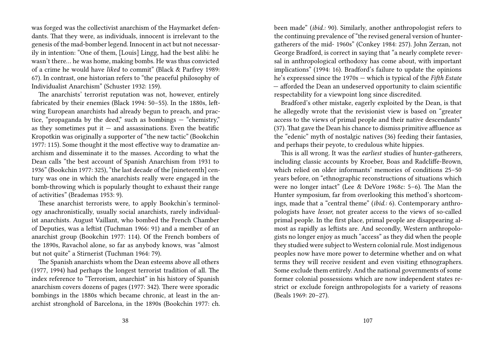was forged was the collectivist anarchism of the Haymarket defendants. That they were, as individuals, innocent is irrelevant to the genesis of the mad-bomber legend. Innocent in act but not necessarily in intention: "One of them, [Louis] Lingg, had the best alibi: he wasn't there… he was home, making bombs. He was thus convicted of a crime he would have *liked* to commit" (Black & Parfrey 1989: 67). In contrast, one historian refers to "the peaceful philosophy of Individualist Anarchism" (Schuster 1932: 159).

The anarchists' terrorist reputation was not, however, entirely fabricated by their enemies (Black 1994: 50–55). In the 1880s, leftwing European anarchists had already begun to preach, and practice, "propaganda by the deed," such as bombings — "chemistry," as they sometimes put it  $-$  and assassinations. Even the beatific Kropotkin was originally a supporter of "the new tactic" (Bookchin 1977: 115). Some thought it the most effective way to dramatize anarchism and disseminate it to the masses. According to what the Dean calls "the best account of Spanish Anarchism from 1931 to 1936" (Bookchin 1977: 325), "the last decade of the [nineteenth] century was one in which the anarchists really were engaged in the bomb-throwing which is popularly thought to exhaust their range of activities" (Brademas 1953: 9).

These anarchist terrorists were, to apply Bookchin's terminology anachronistically, usually social anarchists, rarely individualist anarchists. August Vaillant, who bombed the French Chamber of Deputies, was a leftist (Tuchman 1966: 91) and a member of an anarchist group (Bookchin 1977: 114). Of the French bombers of the 1890s, Ravachol alone, so far as anybody knows, was "almost but not quite" a Stirnerist (Tuchman 1964: 79).

The Spanish anarchists whom the Dean esteems above all others (1977, 1994) had perhaps the longest terrorist tradition of all. The index reference to "Terrorism, anarchist" in his history of Spanish anarchism covers dozens of pages (1977: 342). There were sporadic bombings in the 1880s which became chronic, at least in the anarchist stronghold of Barcelona, in the 1890s (Bookchin 1977: ch.

been made" (*ibid.:* 90). Similarly, another anthropologist refers to the continuing prevalence of "the revised general version of huntergatherers of the mid- 1960s" (Conkey 1984: 257). John Zerzan, not George Bradford, is correct in saying that "a nearly complete reversal in anthropological orthodoxy has come about, with important implications" (1994: 16). Bradford's failure to update the opinions he's expressed since the 1970s — which is typical of the *Fifth Estate* — afforded the Dean an undeserved opportunity to claim scientific respectability for a viewpoint long since discredited.

Bradford's other mistake, eagerly exploited by the Dean, is that he allegedly wrote that the revisionist view is based on "greater access to the views of primal people and their native descendants" (37). That gave the Dean his chance to dismiss primitive affluence as the "edenic" myth of nostalgic natives (36) feeding their fantasies, and perhaps their peyote, to credulous white hippies.

This is all wrong. It was the *earliest* studies of hunter-gatherers, including classic accounts by Kroeber, Boas and Radcliffe-Brown, which relied on older informants' memories of conditions 25–50 years before, on "ethnographic reconstructions of situations which were no longer intact" (Lee & DeVore 1968c: 5–6). The Man the Hunter symposium, far from overlooking this method's shortcomings, made that a "central theme" (*ibid.:* 6). Contemporary anthropologists have *lesser,* not greater access to the views of so-called primal people. In the first place, primal people are disappearing almost as rapidly as leftists are. And secondly, Western anthropologists no longer enjoy as much "access" as they did when the people they studied were subject to Western colonial rule. Most indigenous peoples now have more power to determine whether and on what terms they will receive resident and even visiting ethnographers. Some exclude them entirely. And the national governments of some former colonial possessions which are now independent states restrict or exclude foreign anthropologists for a variety of reasons (Beals 1969: 20–27).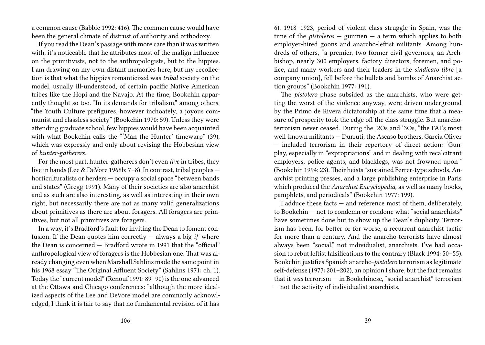a common cause (Babbie 1992: 416). The common cause would have been the general climate of distrust of authority and orthodoxy.

If you read the Dean's passage with more care than it was written with, it's noticeable that he attributes most of the malign influence on the primitivists, not to the anthropologists, but to the hippies. I am drawing on my own distant memories here, but my recollection is that what the hippies romanticized was *tribal* society on the model, usually ill-understood, of certain pacific Native American tribes like the Hopi and the Navajo. At the time, Bookchin apparently thought so too. "In its demands for tribalism," among others, "the Youth Culture prefigures, however inchoately, a joyous communist and classless society" (Bookchin 1970: 59). Unless they were attending graduate school, few hippies would have been acquainted with what Bookchin calls the "'Man the Hunter' timewarp" (39), which was expressly and only about revising the Hobbesian view of *hunter-gatherers.*

For the most part, hunter-gatherers don't even *live* in tribes, they live in bands (Lee & DeVore 1968b: 7–8). In contrast, tribal peoples horticulturalists or herders — occupy a social space "between bands and states" (Gregg 1991). Many of their societies are also anarchist and as such are also interesting, as well as interesting in their own right, but necessarily there are not as many valid generalizations about primitives as there are about foragers. All foragers are primitives, but not all primitives are foragers.

In a way, it's Bradford's fault for inviting the Dean to foment confusion. If the Dean quotes him correctly — always a big *if* where the Dean is concerned — Bradford wrote in 1991 that the "official" anthropological view of foragers is the Hobbesian one. That was already changing even when Marshall Sahlins made the same point in his 1968 essay "The Original Affluent Society" (Sahlins 1971: ch. 1). Today the "current model" (Renouf 1991: 89–90) is the one advanced at the Ottawa and Chicago conferences: "although the more idealized aspects of the Lee and DeVore model are commonly acknowledged, I think it is fair to say that no fundamental revision of it has

6). 1918–1923, period of violent class struggle in Spain, was the time of the *pistoleros* — gunmen — a term which applies to both employer-hired goons and anarcho-leftist militants. Among hundreds of others, "a premier, two former civil governors, an Archbishop, nearly 300 employers, factory directors, foremen, and police, and many workers and their leaders in the *sindicato libre* [a company union], fell before the bullets and bombs of Anarchist action groups" (Bookchin 1977: 191).

The *pistolero* phase subsided as the anarchists, who were getting the worst of the violence anyway, were driven underground by the Primo de Rivera dictatorship at the same time that a measure of prosperity took the edge off the class struggle. But anarchoterrorism never ceased. During the '2Os and '3Os, "the FAI's most well-known militants — Durruti, the Ascaso brothers, Garcia Oliver — included terrorism in their repertory of direct action: 'Gunplay, especially in "expropriations" and in dealing with recalcitrant employers, police agents, and blacklegs, was not frowned upon'" (Bookchin 1994: 23). Their heists "sustained Ferrer-type schools, Anarchist printing presses, and a large publishing enterprise in Paris which produced the *Anarchist Encyclopedia,* as well as many books, pamphlets, and periodicals" (Bookchin 1977: 199).

I adduce these facts — and reference most of them, deliberately, to Bookchin — not to condemn or condone what "social anarchists" have sometimes done but to show up the Dean's duplicity. Terrorism has been, for better or for worse, a recurrent anarchist tactic for more than a century. And the anarcho-terrorists have almost always been "social," not individualist, anarchists. I've had occasion to rebut leftist falsifications to the contrary (Black 1994: 50–55). Bookchin justifies Spanish anarcho-*pistolero* terrorism as legitimate self-defense (1977: 201–202), an opinion I share, but the fact remains that it *was* terrorism — in Bookchinese, "social anarchist" terrorism — not the activity of individualist anarchists.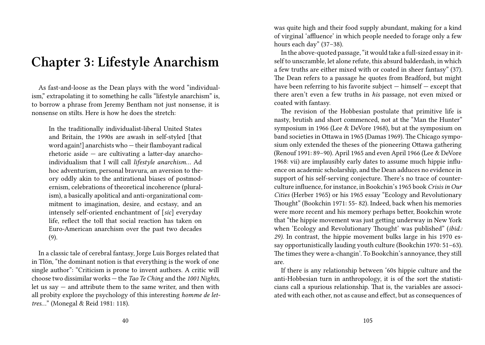#### **Chapter 3: Lifestyle Anarchism**

As fast-and-loose as the Dean plays with the word "individualism," extrapolating it to something he calls "lifestyle anarchism" is, to borrow a phrase from Jeremy Bentham not just nonsense, it is nonsense on stilts. Here is how he does the stretch:

In the traditionally individualist-liberal United States and Britain, the 1990s are awash in self-styled [that word again!] anarchists who — their flamboyant radical rhetoric aside — are cultivating a latter-day anarchoindividualism that I will call *lifestyle anarchism*… Ad hoc adventurism, personal bravura, an aversion to theory oddly akin to the antirational biases of postmodernism, celebrations of theoretical incoherence (pluralism), a basically apolitical and anti-organizational commitment to imagination, desire, and ecstasy, and an intensely self-oriented enchantment of [*sic*] everyday life, reflect the toll that social reaction has taken on Euro-American anarchism over the past two decades (9).

In a classic tale of cerebral fantasy, Jorge Luis Borges related that in Tlön, "the dominant notion is that everything is the work of one single author": "Criticism is prone to invent authors. A critic will choose two dissimilar works — the *Tao Te Ching* and the *1001 Nights*, let us say — and attribute them to the same writer, and then with all probity explore the psychology of this interesting *homme de lettres…*" (Monegal & Reid 1981: 118).

was quite high and their food supply abundant, making for a kind of virginal 'affluence' in which people needed to forage only a few hours each day" (37–38).

In the above-quoted passage, "it would take a full-sized essay in itself to unscramble, let alone refute, this absurd balderdash, in which a few truths are either mixed with or coated in sheer fantasy" (37). The Dean refers to a passage he quotes from Bradford, but might have been referring to his favorite subject — himself — except that there aren't even a few truths in *his* passage, not even mixed or coated with fantasy.

The revision of the Hobbesian postulate that primitive life is nasty, brutish and short commenced, not at the "Man the Hunter" symposium in 1966 (Lee & DeVore 1968), but at the symposium on band societies in Ottawa in 1965 (Damas 1969). The Chicago symposium only extended the theses of the pioneering Ottawa gathering (Renouf 1991: 89–90). April 1965 and even April 1966 (Lee & DeVore 1968: vii) are implausibly early dates to assume much hippie influence on academic scholarship, and the Dean adduces no evidence in support of his self-serving conjecture. There's no trace of counterculture influence, for instance, in Bookchin's 1965 book *Crisis in Our Cities* (Herber 1965) or his 1965 essay "Ecology and Revolutionary Thought" (Bookchin 1971: 55- 82). Indeed, back when his memories were more recent and his memory perhaps better, Bookchin wrote that "the hippie movement was just getting underway in New York when 'Ecology and Revolutionary Thought' was published" (*ibid.: 29).* In contrast, the hippie movement bulks large in his 1970 essay opportunistically lauding youth culture (Bookchin 1970: 51–63). The times they were a-changin'. To Bookchin's annoyance, they still are.

If there is any relationship between '60s hippie culture and the anti-Hobbesian turn in anthropology, it is of the sort the statisticians call a spurious relationship. That is, the variables are associated with each other, not as cause and effect, but as consequences of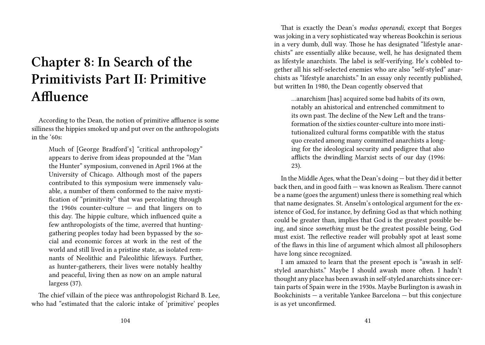# **Chapter 8: In Search of the Primitivists Part II: Primitive Affluence**

According to the Dean, the notion of primitive affluence is some silliness the hippies smoked up and put over on the anthropologists in the '60s:

Much of [George Bradford's] "critical anthropology" appears to derive from ideas propounded at the "Man the Hunter" symposium, convened in April 1966 at the University of Chicago. Although most of the papers contributed to this symposium were immensely valuable, a number of them conformed to the naive mystification of "primitivity" that was percolating through the 1960s counter-culture — and that lingers on to this day. The hippie culture, which influenced quite a few anthropologists of the time, averred that huntinggathering peoples today had been bypassed by the social and economic forces at work in the rest of the world and still lived in a pristine state, as isolated remnants of Neolithic and Paleolithic lifeways. Further, as hunter-gatherers, their lives were notably healthy and peaceful, living then as now on an ample natural largess (37).

The chief villain of the piece was anthropologist Richard B. Lee, who had "estimated that the caloric intake of 'primitive' peoples

That is exactly the Dean's *modus operandi,* except that Borges was joking in a very sophisticated way whereas Bookchin is serious in a very dumb, dull way. Those he has designated "lifestyle anarchists" are essentially alike because, well, he has designated them as lifestyle anarchists. The label is self-verifying. He's cobbled together all his self-selected enemies who are also "self-styled" anarchists as "lifestyle anarchists." In an essay only recently published, but written In 1980, the Dean cogently observed that

…anarchism [has] acquired some bad habits of its own, notably an ahistorical and entrenched commitment to its own past. The decline of the New Left and the transformation of the sixties counter-culture into more institutionalized cultural forms compatible with the status quo created among many committed anarchists a longing for the ideological security and pedigree that also afflicts the dwindling Marxist sects of our day (1996: 23).

In the Middle Ages, what the Dean's doing — but they did it better back then, and in good faith — was known as Realism. There cannot be a name (goes the argument) unless there is something real which that name designates. St. Anselm's ontological argument for the existence of God, for instance, by defining God as that which nothing could be greater than, implies that God is the greatest possible being, and since *something* must be the greatest possible being, God must exist. The reflective reader will probably spot at least some of the flaws in this line of argument which almost all philosophers have long since recognized.

I am amazed to learn that the present epoch is "awash in selfstyled anarchists." Maybe I should awash more often. I hadn't thought any place has been awash in self-styled anarchists since certain parts of Spain were in the 1930s. Maybe Burlington is awash in Bookchinists — a veritable Yankee Barcelona — but this conjecture is as yet unconfirmed.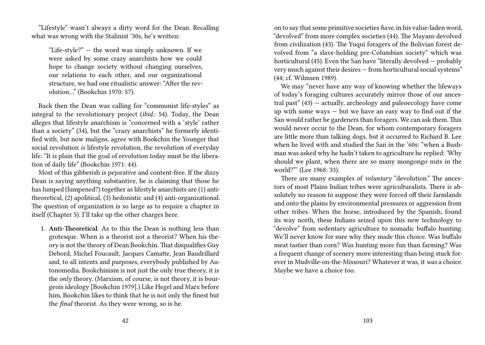"Lifestyle" wasn't always a dirty word for the Dean. Recalling what was wrong with the Stalinist '30s, he's written:

"Life-style?" — the word was simply unknown. If we were asked by some crazy anarchists how we could hope to change society without changing ourselves, our relations to each other, and our organizational structure, we had one ritualistic answer: "After the revolution…" (Bookchin 1970: 57).

Back then the Dean was calling for "communist life-styles" as integral to the revolutionary project (*ibid*.: 54). Today, the Dean alleges that lifestyle anarchism is "concerned with a 'style' rather than a society" (34), but the "crazy anarchists" he formerly identified with, but now maligns, agree with Bookchin the Younger that social revolution *is* lifestyle revolution, the revolution of everyday life: "It is plain that the goal of revolution today must be the liberation of daily life" (Bookchin 1971: 44).

Most of this gibberish is pejorative and content-free. If the dizzy Dean is saying anything substantive, he is claiming that those he has lumped (lumpened?) together as lifestyle anarchists are (1) antitheoretical, (2) apolitical, (3) hedonistic and (4) anti-organizational. The question of organization is so large as to require a chapter in itself (Chapter 5). I'll take up the other charges here.

1. **Anti-Theoretical**. As to this the Dean is nothing less than grotesque. When is a theorist not a theorist? When his theory is not the theory of Dean Bookchin. That disqualifies Guy Debord, Michel Foucault, Jacques Camatte, Jean Baudrillard and, to all intents and purposes, everybody published by Autonomedia. Bookchinism is not just the only true theory, it is the *only* theory. (Marxism, of course, is not theory, it is bourgeois ideology [Bookchin 1979].) Like Hegel and Marx before him, Bookchin likes to think that he is not only the finest but the *final* theorist. As they were wrong, so is he.

on to say that some primitive societies *have,* in his value-laden word, "devolved" from more complex societies (44). The Mayans devolved from civilization (43). The Yuqui foragers of the Bolivian forest devolved from "a slave-holding pre-Columbian society" which was horticultural (45). Even the San have "literally devolved — probably very much against their desires — from horticultural social systems" (44; cf. Wilmsen 1989).

We may "never have any way of knowing whether the lifeways of today's foraging cultures accurately mirror those of our ancestral past"  $(43)$  — actually, archeology and paleoecology have come up with some ways — but we have an easy way to find out if the San would rather be gardeners than foragers. We can ask them. This would never occur to the Dean, for whom contemporary foragers are little more than talking dogs, but it occurred to Richard B. Lee when he lived with and studied the San in the '60s: "when a Bushman was asked why he hadn't taken to agriculture he replied: 'Why should we plant, when there are so many mongongo nuts in the world?"' (Lee 1968: 33).

There are many examples of *voluntary* "devolution." The ancestors of most Plains Indian tribes were agriculturalists. There is absolutely no reason to suppose they were forced off their farmlands and onto the plains by environmental pressures or aggression from other tribes. When the horse, introduced by the Spanish, found its way north, these Indians seized upon this new technology to "devolve" from sedentary agriculture to nomadic buffalo hunting. We'll never know for sure why they made this choice. Was buffalo meat tastier than corn? Was hunting more fun than farming? Was a frequent change of scenery more interesting than being stuck forever in Mudville-on-the-Missouri? Whatever it was, it *was* a choice. Maybe we have a choice too.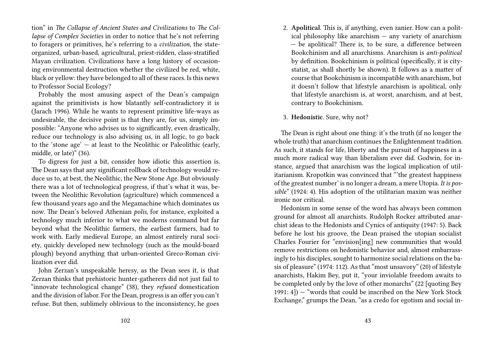tion" in *The Collapse of Ancient States and Civilizations* to *The Collapse of Complex Societies* in order to notice that he's not referring to foragers or primitives, he's referring to a *civilization,* the stateorganized, urban-based, agricultural, priest-ridden, class-stratified Mayan civilization. Civilizations have a long history of occasioning environmental destruction whether the civilized be red, white, black or yellow: they have belonged to all of these races. Is this news to Professor Social Ecology?

Probably the most amusing aspect of the Dean's campaign against the primitivists is how blatantly self-contradictory it is (Jarach 1996). While he wants to represent primitive life-ways as undesirable, the decisive point is that they are, for us, simply impossible: "Anyone who advises us to significantly, even drastically, reduce our technology is also advising us, in all logic, to go back to the 'stone age'  $-$  at least to the Neolithic or Paleolithic (early, middle, or late)" (36).

To digress for just a bit, consider how idiotic this assertion is. The Dean says that any significant rollback of technology would reduce us to, at best, the Neolithic, the New Stone Age. But obviously there was a lot of technological progress, if that's what it was, between the Neolithic Revolution (agriculture) which commenced a few thousand years ago and the Megamachine which dominates us now. The Dean's beloved Athenian *polis*, for instance, exploited a technology much inferior to what we moderns command but far beyond what the Neolithic farmers, the earliest farmers, had to work with. Early medieval Europe, an almost entirely rural society, quickly developed new technology (such as the mould-board plough) beyond anything that urban-oriented Greco-Roman civilization ever did.

John Zerzan's unspeakable heresy, as the Dean sees it, is that Zerzan thinks that prehistoric hunter-gatherers did not just fail to "innovate technological change" (38), they *refused* domestication and the division of labor. For the Dean, progress is an offer you can't refuse. But then, sublimely oblivious to the inconsistency, he goes

- 2. **Apolitical**. This is, if anything, even zanier. How can a political philosophy like anarchism — any variety of anarchism — be apolitical? There is, to be sure, a difference between Bookchinism and all anarchisms. Anarchism is *anti-political* by definition. Bookchinism is political (specifically, it is citystatist, as shall shortly be shown). It follows as a matter of course that Bookchinism is incompatible with anarchism, but it doesn't follow that lifestyle anarchism is apolitical, only that lifestyle anarchism is, at worst, anarchism, and at best, contrary to Bookchinism.
- 3. **Hedonistic**. Sure, why not?

The Dean is right about one thing: it's the truth (if no longer the whole truth) that anarchism continues the Enlightenment tradition. As such, it stands for life, liberty and the pursuit of happiness in a much more radical way than liberalism ever did. Godwin, for instance, argued that anarchism was the logical implication of utilitarianism. Kropotkin was convinced that "'the greatest happiness of the greatest number' is no longer a dream, a mere Utopia. *It is possible*" (1924: 4). His adoption of the utilitarian maxim was neither ironic nor critical.

Hedonism in some sense of the word has always been common ground for almost all anarchists. Rudolph Rocker attributed anarchist ideas to the Hedonists and Cynics of antiquity (1947: 5). Back before he lost his groove, the Dean praised the utopian socialist Charles Fourier for "envision[ing] new communities that would remove restrictions on hedonistic behavior and, almost embarrassingly to his disciples, sought to harmonize social relations on the basis of pleasure" (1974: 112). As that "most unsavory" (20) of lifestyle anarchists, Hakim Bey, put it, "your inviolable freedom awaits to be completed only by the love of other monarchs" (22 [quoting Bey 1991: 4]) — "words that could be inscribed on the New York Stock Exchange," grumps the Dean, "as a credo for egotism and social in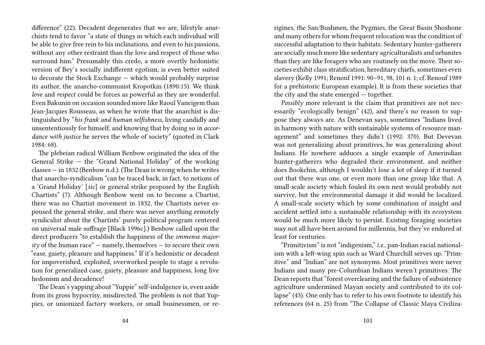difference" (22). Decadent degenerates that we are, lifestyle anarchists tend to favor "a state of things in which each individual will be able to give free rein to his inclinations, and even to his passions, without any other restraint than the love and respect of those who surround him." Presumably this credo, a more overtly hedonistic version of Bey's socially indifferent egotism, is even better suited to decorate the Stock Exchange — which would probably surprise its author, the anarcho-communist Kropotkin (1890:15). We think *love* and *respect* could be forces as powerful as they are wonderful. Even Bakunin on occasion sounded more like Raoul Vaneigem than Jean-Jacques Rousseau, as when he wrote that the anarchist is distinguished by "*his frank and human selfishness*, living candidly and unsententiously for himself, and knowing that by doing so *in accordance with justice* he serves the whole of society" (quoted in Clark 1984: 68).

The plebeian radical William Benbow originated the idea of the General Strike — the "Grand National Holiday" of the working classes — in 1832 (Benbow n.d.). (The Dean is wrong when he writes that anarcho-syndicalism "can be traced back, in fact, to notions of a 'Grand Holiday' [*sic*] or general strike proposed by the English Chartists" (7). Although Benbow went on to become a Chartist, there was no Chartist movement in 1832, the Chartists never espoused the general strike, and there was never anything remotely syndicalist about the Chartists' purely political program centered on universal male suffrage [Black 1996c].) Benbow called upon the direct producers "to establish the happiness of the *immense major of the human race"*  $-$  *namely, themselves*  $-$  *to secure their own* "ease, gaiety, pleasure and happiness." If it's hedonistic or decadent for impoverished, exploited, overworked people to stage a revolution for generalized case, gaiety, pleasure and happiness, long live hedonism and decadence!

The Dean's yapping about "Yuppie" self-indulgence is, even aside from its gross hypocrisy, misdirected. The problem is not that Yuppies, or unionized factory workers, or small businessmen, or rerigines, the San/Bushmen, the Pygmies, the Great Basin Shoshone and many others for whom frequent relocation was the condition of successful adaptation to their habitats. Sedentary hunter-gatherers are socially much more like sedentary agriculturalists and urbanites than they are like foragers who are routinely on the move. Their societies exhibit class stratification, hereditary chiefs, sometimes even slavery (Kelly 1991; Renouf 1991: 90–91, 98, 101 n. 1; cf. Renouf 1989 for a prehistoric European example). It is from these societies that the city and the state emerged — together.

*Possibly* more relevant is the claim that primitives are not necessarily "ecologically benign" (42), and there's no reason to suppose they always are. As Denevan says, sometimes "Indians lived in harmony with nature with sustainable systems of resource management" and sometimes they didn't (1992: 370). But Devevan was not generalizing about primitives, he was generalizing about Indians. He nowhere adduces a single example of Amerindian hunter-gatherers who degraded their environment, and neither does Bookchin, although I wouldn't lose a lot of sleep if it turned out that there was one, or even more than one group like that. A small-scale society which fouled its own nest would probably not survive, but the environmental damage it did would be localized. A small-scale society which by some combination of insight and accident settled into a sustainable relationship with its ecosystem would be much more likely to persist. Existing foraging societies may not all have been around for millennia, but they've endured at least for centuries.

"Primitivism" is not "indigenism," *i.e.,* pan-Indian racial nationalism with a left-wing spin such as Ward Churchill serves up. "Primitive" and "Indian" are not synonyms. Most primitives were never Indians and many pre-Columbian Indians weren't primitives. The Dean reports that "forest overclearing and the failure of subsistence agriculture undermined Mayan society and contributed to its collapse" (43). One only has to refer to his own footnote to identify his references (64 n. 25) from "The Collapse of Classic Maya Civiliza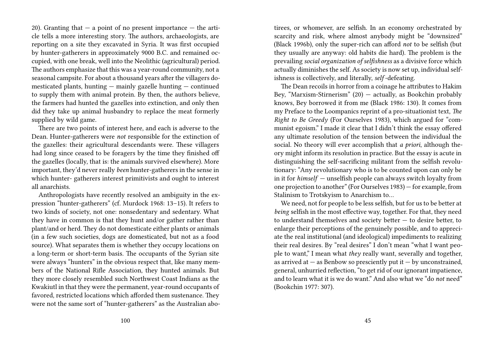20). Granting that  $-$  a point of no present importance  $-$  the article tells a more interesting story. The authors, archaeologists, are reporting on a site they excavated in Syria. It was first occupied by hunter-gatherers in approximately 9000 B.C. and remained occupied, with one break, well into the Neolithic (agricultural) period. The authors emphasize that this was a year-round community, not a seasonal campsite. For about a thousand years after the villagers domesticated plants, hunting — mainly gazelle hunting — continued to supply them with animal protein. By then, the authors believe, the farmers had hunted the gazelles into extinction, and only then did they take up animal husbandry to replace the meat formerly supplied by wild game.

There are two points of interest here, and each is adverse to the Dean. Hunter-gatherers were *not* responsible for the extinction of the gazelles: their agricultural descendants were. These villagers had long since ceased to be foragers by the time they finished off the gazelles (locally, that is: the animals survived elsewhere). More important, they'd never really *been* hunter-gatherers in the sense in which hunter- gatherers interest primitivists and ought to interest all anarchists.

Anthropologists have recently resolved an ambiguity in the expression "hunter-gatherers" (cf. Murdock 1968: 13–15). It refers to two kinds of society, not one: nonsedentary and sedentary. What they have in common is that they hunt and/or gather rather than plant/and or herd. They do not domesticate either plants or animals (in a few such societies, dogs are domesticated, but not as a food source). What separates them is whether they occupy locations on a long-term or short-term basis. The occupants of the Syrian site were always "hunters" in the obvious respect that, like many members of the National Rifle Association, they hunted animals. But they more closely resembled such Northwest Coast Indians as the Kwakiutl in that they were the permanent, year-round occupants of favored, restricted locations which afforded them sustenance. They were not the same sort of "hunter-gatherers" as the Australian abotirees, or whomever, are selfish. In an economy orchestrated by scarcity and risk, where almost anybody might be "downsized" (Black 1996b), only the super-rich can afford *not* to be selfish (but they usually are anyway: old habits die hard). The problem is the prevailing *social organization of selfishness* as a divisive force which actually diminishes the self. As society is now set up, individual selfishness is collectively, and literally, *self* -defeating.

The Dean recoils in horror from a coinage he attributes to Hakim Bey, "Marxism-Stirnerism" (20) — actually, as Bookchin probably knows, Bey borrowed it from me (Black 1986: 130). It comes from my Preface to the Loompanics reprint of a pro-situationist text, *The Right to Be Greedy* (For Ourselves 1983), which argued for "communist egoism." I made it clear that I didn't think the essay offered any ultimate resolution of the tension between the individual the social. No theory will ever accomplish that *a priori*, although theory might inform its resolution in practice. But the essay is acute in distinguishing the self-sacrificing militant from the selfish revolutionary: "Any revolutionary who is to be counted upon can only be in it for *himself* — unselfish people can always switch loyalty from one projection to another" (For Ourselves 1983) — for example, from Stalinism to Trotskyism to Anarchism to…

We need, not for people to be less selfish, but for us to be better at *being* selfish in the most effective way, together. For that, they need to understand themselves and society better — to desire better, to enlarge their perceptions of the genuinely possible, and to appreciate the real institutional (and ideological) impediments to realizing their real desires. By "real desires" I don't mean "what I want people to want," I mean what *they* really want, severally and together, as arrived at  $-$  as Benbow so presciently put it  $-$  by unconstrained, general, unhurried reflection, "to get rid of our ignorant impatience, and to learn what it is we do want." And also what we "do *not* need" (Bookchin 1977: 307).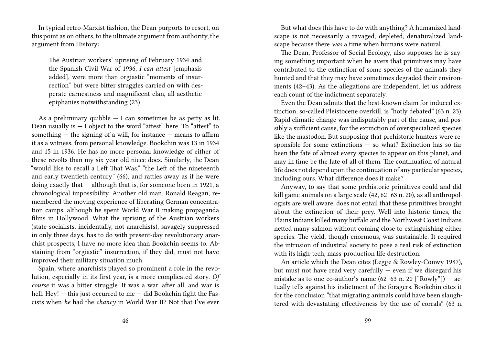In typical retro-Marxist fashion, the Dean purports to resort, on this point as on others, to the ultimate argument from authority, the argument from History:

The Austrian workers' uprising of February 1934 and the Spanish Civil War of 1936, *I can attest* [emphasis added], were more than orgiastic "moments of insurrection" but were bitter struggles carried on with desperate earnestness and magnificent elan, all aesthetic epiphanies notwithstanding (23).

As a preliminary quibble  $- I$  can sometimes be as petty as lit. Dean usually is  $-$  I object to the word "attest" here. To "attest" to something  $-$  the signing of a will, for instance  $-$  means to affirm it as a witness, from personal knowledge. Bookchin was 13 in 1934 and 15 in 1936. He has no more personal knowledge of either of these revolts than my six year old niece does. Similarly, the Dean "would like to recall a Left That Was," "the Left of the nineteenth and early twentieth century" (66), and rattles away as if he were doing exactly that — although that is, for someone born in 1921, a chronological impossibility. Another old man, Ronald Reagan, remembered the moving experience of liberating German concentration camps, although he spent World War II making propaganda films in Hollywood. What the uprising of the Austrian workers (state socialists, incidentally, not anarchists), savagely suppressed in only three days, has to do with present-day revolutionary anarchist prospects, I have no more idea than Bookchin seems to. Abstaining from "orgiastic" insurrection, if they did, must not have improved their military situation much.

Spain, where anarchists played so prominent a role in the revolution, especially in its first year, is a more complicated story. *Of course* it was a bitter struggle. It was a war, after all, and war is hell. Hey!  $-$  this just occurred to me  $-$  did Bookchin fight the Fascists when *he* had the *chancy* in World War II? Not that I've ever

But what does this have to do with anything? A humanized landscape is not necessarily a ravaged, depleted, denaturalized landscape because there *was* a time when humans were natural.

The Dean, Professor of Social Ecology, also supposes he is saying something important when he avers that primitives may have contributed to the extinction of some species of the animals they hunted and that they may have sometimes degraded their environments (42–43). As the allegations are independent, let us address each count of the indictment separately.

Even the Dean admits that the best-known claim for induced extinction, so-called Pleistocene overkill, is "hotly debated" (63 n. 23). Rapid climatic change was indisputably part of the cause, and possibly a sufficient cause, for the extinction of overspecialized species like the mastodon. But supposing that prehistoric hunters were responsible for some extinctions  $-$  so what? Extinction has so far been the fate of almost every species to appear on this planet, and may in time be the fate of all of them. The continuation of natural life does not depend upon the continuation of any particular species, including ours. What difference does it make?

Anyway, to say that some prehistoric primitives could and did kill game animals on a large scale (42, 62–63 n. 20), as all anthropologists are well aware, does not entail that these primitives brought about the extinction of their prey. Well into historic times, the Plains Indians killed many buffalo and the Northwest Coast Indians netted many salmon without coming close to extinguishing either species. The yield, though enormous, was sustainable. It required the intrusion of industrial society to pose a real risk of extinction with its high-tech, mass-production life destruction.

An article which the Dean cites (Legge & Rowley-Conwy 1987), but must not have read very carefully  $-$  even if we disregard his mistake as to one co-author's name  $(62-63 \text{ n. } 20 \text{ [``Rowly'']}) - \text{ac-}$ tually tells against his indictment of the foragers. Bookchin cites it for the conclusion "that migrating animals could have been slaughtered with devastating effectiveness by the use of corrals" (63 n.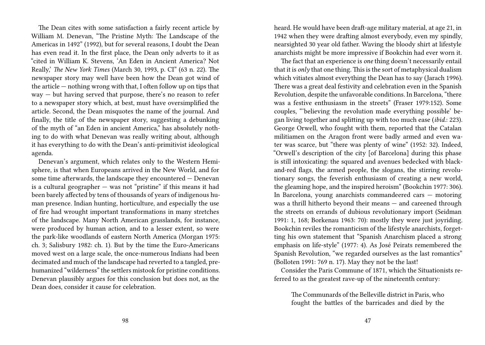The Dean cites with some satisfaction a fairly recent article by William M. Denevan, "The Pristine Myth: The Landscape of the Americas in 1492" (1992), but for several reasons, I doubt the Dean has even read it. In the first place, the Dean only adverts to it as "cited in William K. Stevens, 'An Eden in Ancient America? Not Really,' *The New York Times* (March 30, 1993, p. CI" (63 n. 22). The newspaper story may well have been how the Dean got wind of the article — nothing wrong with that, I often follow up on tips that way — but having served that purpose, there's no reason to refer to a newspaper story which, at best, must have oversimplified the article. Second, the Dean misquotes the name of the journal. And finally, the title of the newspaper story, suggesting a debunking of the myth of "an Eden in ancient America," has absolutely nothing to do with what Denevan was really writing about, although it has everything to do with the Dean's anti-primitivist ideological agenda.

Denevan's argument, which relates only to the Western Hemisphere, is that when Europeans arrived in the New World, and for some time afterwards, the landscape they encountered — Denevan is a cultural geographer  $-$  was not "pristine" if this means it had been barely affected by tens of thousands of years of indigenous human presence. Indian hunting, horticulture, and especially the use of fire had wrought important transformations in many stretches of the landscape. Many North American grasslands, for instance, were produced by human action, and to a lesser extent, so were the park-like woodlands of eastern North America (Morgan 1975: ch. 3; Salisbury 1982: ch. 1). But by the time the Euro-Americans moved west on a large scale, the once-numerous Indians had been decimated and much of the landscape had reverted to a tangled, prehumanized "wilderness" the settlers mistook for pristine conditions. Denevan plausibly argues for this conclusion but does not, as the Dean does, consider it cause for celebration.

heard. He would have been draft-age military material, at age 21, in 1942 when they were drafting almost everybody, even my spindly, nearsighted 30 year old father. Waving the bloody shirt at lifestyle anarchists might be more impressive if Bookchin had ever worn it.

The fact that an experience is *one* thing doesn't necessarily entail that it is *only* that one thing. This is the sort of metaphysical dualism which vitiates almost everything the Dean has to say (Jarach 1996). There was a great deal festivity and celebration even in the Spanish Revolution, despite the unfavorable conditions. In Barcelona, "there was a festive enthusiasm in the streets" (Fraser 1979:152). Some couples, "'believing the revolution made everything possible' began living together and splitting up with too much ease (*ibid*.: 223). George Orwell, who fought with them, reported that the Catalan militiamen on the Aragon front were badly armed and even water was scarce, but "there was plenty of wine" (1952: 32). Indeed, "Orwell's description of the city [of Barcelona] during this phase is still intoxicating: the squared and avenues bedecked with blackand-red flags, the armed people, the slogans, the stirring revolutionary songs, the feverish enthusiasm of creating a new world, the gleaming hope, and the inspired heroism" (Bookchin 1977: 306). In Barcelona, young anarchists commandeered cars — motoring was a thrill hitherto beyond their means — and careened through the streets on errands of dubious revolutionary import (Seidman 1991: 1, 168; Borkenau 1963: 70): mostly they were just joyriding. Bookchin reviles the romanticism of the lifestyle anarchists, forgetting his own statement that "Spanish Anarchism placed a strong emphasis on life-style" (1977: 4). As José Peirats remembered the Spanish Revolution, "we regarded ourselves as the last romantics" (Bolloten 1991: 769 n. 17). May they not be the last!

Consider the Paris Commune of 1871, which the Situationists referred to as the greatest rave-up of the nineteenth century:

The Communards of the Belleville district in Paris, who fought the battles of the barricades and died by the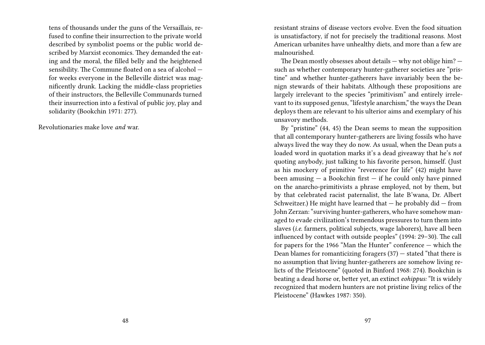tens of thousands under the guns of the Versaillais, refused to confine their insurrection to the private world described by symbolist poems or the public world described by Marxist economics. They demanded the eating and the moral, the filled belly and the heightened sensibility. The Commune floated on a sea of alcohol for weeks everyone in the Belleville district was magnificently drunk. Lacking the middle-class proprieties of their instructors, the Belleville Communards turned their insurrection into a festival of public joy, play and solidarity (Bookchin 1971: 277).

Revolutionaries make love *and* war.

resistant strains of disease vectors evolve. Even the food situation is unsatisfactory, if not for precisely the traditional reasons. Most American urbanites have unhealthy diets, and more than a few are malnourished.

The Dean mostly obsesses about details  $-$  why not oblige him?  $$ such as whether contemporary hunter-gatherer societies are "pristine" and whether hunter-gatherers have invariably been the benign stewards of their habitats. Although these propositions are largely irrelevant to the species "primitivism" and entirely irrelevant to its supposed genus, "lifestyle anarchism," the ways the Dean deploys them are relevant to his ulterior aims and exemplary of his unsavory methods.

By "pristine" (44, 45) the Dean seems to mean the supposition that all contemporary hunter-gatherers are living fossils who have always lived the way they do now. As usual, when the Dean puts a loaded word in quotation marks it's a dead giveaway that he's *not* quoting anybody, just talking to his favorite person, himself. (Just as his mockery of primitive "reverence for life" (42) might have been amusing  $-$  a Bookchin first  $-$  if he could only have pinned on the anarcho-primitivists a phrase employed, not by them, but by that celebrated racist paternalist, the late B'wana, Dr. Albert Schweitzer.) He might have learned that  $-$  he probably did  $-$  from John Zerzan: "surviving hunter-gatherers, who have somehow managed to evade civilization's tremendous pressures to turn them into slaves (*i.e.* farmers, political subjects, wage laborers), have all been influenced by contact with outside peoples" (1994: 29–30). The call for papers for the 1966 "Man the Hunter" conference — which the Dean blames for romanticizing foragers  $(37)$  - stated "that there is no assumption that living hunter-gatherers are somehow living relicts of the Pleistocene" (quoted in Binford 1968: 274). Bookchin is beating a dead horse or, better yet, an extinct *eohippus:* "It is widely recognized that modern hunters are not pristine living relics of the Pleistocene" (Hawkes 1987: 350).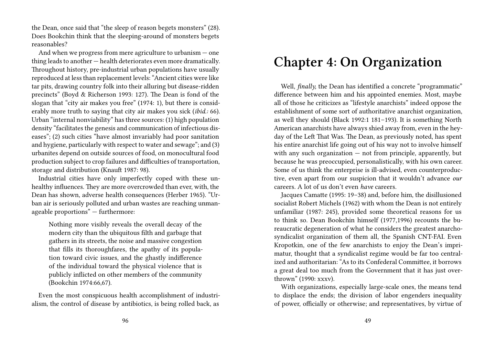the Dean, once said that "the sleep of reason begets monsters" (28). Does Bookchin think that the sleeping-around of monsters begets reasonables?

And when we progress from mere agriculture to urbanism — one thing leads to another — health deteriorates even more dramatically. Throughout history, pre-industrial urban populations have usually reproduced at less than replacement levels: "Ancient cities were like tar pits, drawing country folk into their alluring but disease-ridden precincts" (Boyd & Richerson 1993: 127). The Dean is fond of the slogan that "city air makes you free" (1974: 1), but there is considerably more truth to saying that city air makes you sick (*ibid.:* 66). Urban "internal nonviability" has three sources: (1) high population density "facilitates the genesis and communication of infectious diseases"; (2) such cities "have almost invariably had poor sanitation and hygiene, particularly with respect to water and sewage"; and (3) urbanites depend on outside sources of food, on monocultural food production subject to crop failures and difficulties of transportation, storage and distribution (Knauft 1987: 98).

Industrial cities have only imperfectly coped with these unhealthy influences. They are more overcrowded than ever, with, the Dean has shown, adverse health consequences (Herber 1965). "Urban air is seriously polluted and urban wastes are reaching unmanageable proportions" — furthermore:

Nothing more visibly reveals the overall decay of the modern city than the ubiquitous filth and garbage that gathers in its streets, the noise and massive congestion that fills its thoroughfares, the apathy of its population toward civic issues, and the ghastly indifference of the individual toward the physical violence that is publicly inflicted on other members of the community (Bookchin 1974:66,67).

Even the most conspicuous health accomplishment of industrialism, the control of disease by antibiotics, is being rolled back, as

#### **Chapter 4: On Organization**

Well, *finally*, the Dean has identified a concrete "programmatic" difference between him and his appointed enemies. Most, maybe all of those he criticizes as "lifestyle anarchists" indeed oppose the establishment of some sort of authoritative anarchist organization, as well they should (Black 1992:1 181–193). It is something North American anarchists have always shied away from, even in the heyday of the Left That Was. The Dean, as previously noted, has spent his entire anarchist life going out of his way not to involve himself with any such organization  $-$  not from principle, apparently, but because he was preoccupied, personalistically, with his own career. Some of us think the enterprise is ill-advised, even counterproductive, even apart from our suspicion that it wouldn't advance *our* careers. A lot of us don't even *have* careers.

Jacques Camatte (1995: 19–38) and, before him, the disillusioned socialist Robert Michels (1962) with whom the Dean is not entirely unfamiliar (1987: 245), provided some theoretical reasons for us to think so. Dean Bookchin himself (1977,1996) recounts the bureaucratic degeneration of what he considers the greatest anarchosyndicalist organization of them all, the Spanish CNT-FAI. Even Kropotkin, one of the few anarchists to enjoy the Dean's imprimatur, thought that a syndicalist regime would be far too centralized and authoritarian: "As to its Confederal Committee, it borrows a great deal too much from the Government that it has just overthrown" (1990: xxxv).

With organizations, especially large-scale ones, the means tend to displace the ends; the division of labor engenders inequality of power, officially or otherwise; and representatives, by virtue of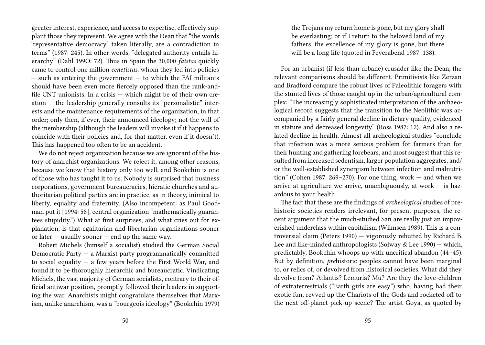greater interest, experience, and access to expertise, effectively supplant those they represent. We agree with the Dean that "the words 'representative democracy,' taken literally, are a contradiction in terms" (1987: 245). In other words, "delegated authority entails hierarchy" (Dahl 199O: 72). Thus in Spain the 30,000 *faistas* quickly came to control one million *cenetistas*, whom they led into policies  $-$  such as entering the government  $-$  to which the FAI militants should have been even more fiercely opposed than the rank-andfile CNT unionists. In a crisis — which might be of their own creation  $-$  the leadership generally consults its "personalistic" interests and the maintenance requirements of the organization, in that order; only then, if ever, their announced ideology; not the will of the membership (although the leaders will invoke it if it happens to coincide with their policies and, for that matter, even if it doesn't). This has happened too often to be an accident.

We do not reject organization because we are ignorant of the history of anarchist organizations. We reject it, among other reasons, because we know that history only too well, and Bookchin is one of those who has taught it to us. Nobody is surprised that business corporations, government bureaucracies, hieratic churches and authoritarian political parties are in practice, as in theory, inimical to liberty, equality and fraternity. (Also incompetent: as Paul Goodman put it [1994: 58], central organization "mathematically guarantees stupidity.") What at first surprises, and what cries out for explanation, is that egalitarian and libertarian organizations sooner or later  $-$  usually sooner  $-$  end up the same way.

Robert Michels (himself a socialist) studied the German Social Democratic Party — a Marxist party programmatically committed to social equality  $-$  a few years before the First World War, and found it to be thoroughly hierarchic and bureaucratic. Vindicating Michels, the vast majority of German socialists, contrary to their official antiwar position, promptly followed their leaders in supporting the war. Anarchists might congratulate themselves that Marxism, unlike anarchism, was a "bourgeois ideology" (Bookchin 1979)

the Trojans my return home is gone, but my glory shall be everlasting; or if I return to the beloved land of my fathers, the excellence of my glory is gone, but there will be a long life (quoted in Feyerabend 1987: 138).

For an urbanist (if less than urbane) crusader like the Dean, the relevant comparisons should be different. Primitivists like Zerzan and Bradford compare the robust lives of Paleolithic foragers with the stunted lives of those caught up in the urban/agricultural complex: "The increasingly sophisticated interpretation of the archaeological record suggests that the transition to the Neolithic was accompanied by a fairly general decline in dietary quality, evidenced in stature and decreased longevity" (Ross 1987: 12). And also a related decline in health. Almost all archeological studies "conclude that infection was a more serious problem for farmers than for their hunting and gathering forebears, and most suggest that this resulted from increased sedentism, larger population aggregates, and/ or the well-established synergism between infection and malnutrition" (Cohen 1987: 269–270). For one thing, work — and when we arrive at agriculture we arrive, unambiguously, at work  $-$  is hazardous to your health.

The fact that these are the findings of *archeological* studies of prehistoric societies renders irrelevant, for present purposes, the recent argument that the much-studied San are really just an impoverished underclass within capitalism (Wilmsen 1989). This is a controversial claim (Peters 1990) — vigorously rebutted by Richard B. Lee and like-minded anthropologists (Solway & Lee 1990) — which, predictably, Bookchin whoops up with uncritical abandon (44–45). But by definition, *pre*historic peoples cannot have been marginal to, or relics of, or devolved from historical societies. What did they devolve from? Atlantis? Lemuria? Mu? Are they the love-children of extraterrestrials ("Earth girls are easy") who, having had their exotic fun, revved up the Chariots of the Gods and rocketed off to the next off-planet pick-up scene? The artist Goya, as quoted by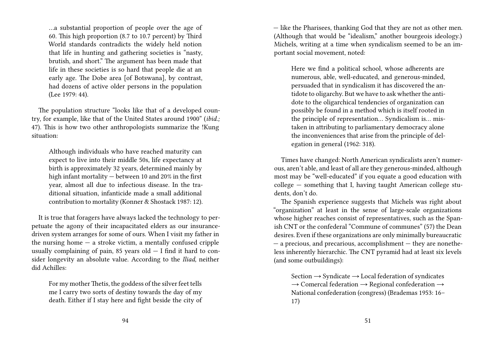…a substantial proportion of people over the age of 60. This high proportion (8.7 to 10.7 percent) by Third World standards contradicts the widely held notion that life in hunting and gathering societies is "nasty, brutish, and short." The argument has been made that life in these societies is so hard that people die at an early age. The Dobe area [of Botswana], by contrast, had dozens of active older persons in the population (Lee 1979: 44).

The population structure "looks like that of a developed country, for example, like that of the United States around 1900" (*ibid.;* 47). This is how two other anthropologists summarize the !Kung situation:

Although individuals who have reached maturity can expect to live into their middle 50s, life expectancy at birth is approximately 32 years, determined mainly by high infant mortality — between 10 and 20% in the first year, almost all due to infectious disease. In the traditional situation, infanticide made a small additional contribution to mortality (Konner & Shostack 1987: 12).

It is true that foragers have always lacked the technology to perpetuate the agony of their incapacitated elders as our insurancedriven system arranges for some of ours. When I visit my father in the nursing home  $-$  a stroke victim, a mentally confused cripple usually complaining of pain, 85 years old  $-$  I find it hard to consider longevity an absolute value. According to the *Iliad,* neither did Achilles:

For my mother Thetis, the goddess of the silver feet tells me I carry two sorts of destiny towards the day of my death. Either if I stay here and fight beside the city of — like the Pharisees, thanking God that they are not as other men. (Although that would be "idealism," another bourgeois ideology.) Michels, writing at a time when syndicalism seemed to be an important social movement, noted:

Here we find a political school, whose adherents are numerous, able, well-educated, and generous-minded, persuaded that in syndicalism it has discovered the antidote to oligarchy. But we have to ask whether the antidote to the oligarchical tendencies of organization can possibly be found in a method which is itself rooted in the principle of representation… Syndicalism is… mistaken in attributing to parliamentary democracy alone the inconveniences that arise from the principle of delegation in general (1962: 318).

Times have changed: North American syndicalists aren't numerous, aren't able, and least of all are they generous-minded, although most may be "well-educated" if you equate a good education with college — something that I, having taught American college students, don't do.

The Spanish experience suggests that Michels was right about "organization" at least in the sense of large-scale organizations whose higher reaches consist of representatives, such as the Spanish CNT or the confederal "Commune of communes" (57) the Dean desires. Even if these organizations are only minimally bureaucratic  $-$  a precious, and precarious, accomplishment  $-$  they are nonetheless inherently hierarchic. The CNT pyramid had at least six levels (and some outbuildings):

Section  $\rightarrow$  Syndicate  $\rightarrow$  Local federation of syndicates  $\rightarrow$  Comercal federation  $\rightarrow$  Regional confederation  $\rightarrow$ National confederation (congress) (Brademas 1953: 16– 17)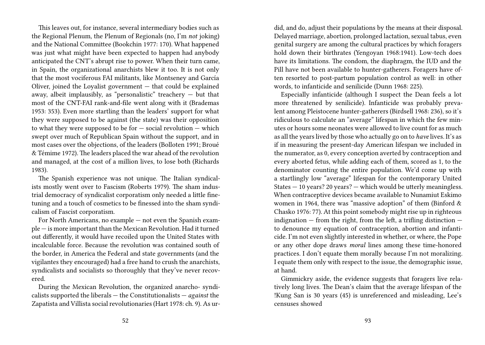This leaves out, for instance, several intermediary bodies such as the Regional Plenum, the Plenum of Regionals (no, I'm *not* joking) and the National Committee (Bookchin 1977: 170). What happened was just what might have been expected to happen had anybody anticipated the CNT's abrupt rise to power. When their turn came, in Spain, the organizational anarchists blew it too. It is not only that the most vociferous FAI militants, like Montseney and García Oliver, joined the Loyalist government — that could be explained away, albeit implausibly, as "personalistic" treachery  $-$  but that most of the CNT-FAI rank-and-file went along with it (Brademas 1953: 353). Even more startling than the leaders' support for what they were supposed to be against (the state) was their opposition to what they were supposed to be for  $-$  social revolution  $-$  which swept over much of Republican Spain without the support, and in most cases over the objections, of the leaders (Bolloten 1991; Broué & Témime 1972). The leaders placed the war ahead of the revolution and managed, at the cost of a million lives, to lose both (Richards 1983).

The Spanish experience was not unique. The Italian syndicalists mostly went over to Fascism (Roberts 1979). The sham industrial democracy of syndicalist corporatism only needed a little finetuning and a touch of cosmetics to be finessed into the sham syndicalism of Fascist corporatism.

For North Americans, no example — not even the Spanish example — is more important than the Mexican Revolution. Had it turned out differently, it would have recoiled upon the United States with incalculable force. Because the revolution was contained south of the border, in America the Federal and state governments (and the vigilantes they encouraged) had a free hand to crush the anarchists, syndicalists and socialists so thoroughly that they've never recovered.

During the Mexican Revolution, the organized anarcho- syndicalists supported the liberals — the Constitutionalists — *against* the Zapatista and Villista social revolutionaries (Hart 1978: ch. 9). As urdid, and do, adjust their populations by the means at their disposal. Delayed marriage, abortion, prolonged lactation, sexual tabus, even genital surgery are among the cultural practices by which foragers hold down their birthrates (Yengoyan 1968:1941). Low-tech does have its limitations. The condom, the diaphragm, the IUD and the Pill have not been available to hunter-gatherers. Foragers have often resorted to post-partum population control as well: in other words, to infanticide and senilicide (Dunn 1968: 225).

Especially infanticide (although I suspect the Dean feels a lot more threatened by senilicide). Infanticide was probably prevalent among Pleistocene hunter-gatherers (Birdsell 1968: 236), so it's ridiculous to calculate an "average" lifespan in which the few minutes or hours some neonates were allowed to live count for as much as all the years lived by those who actually go on to *have* lives. It's as if in measuring the present-day American lifespan we included in the numerator, as 0, every conception averted by contraception and every aborted fetus, while adding each of them, scored as 1, to the denominator counting the entire population. We'd come up with a startlingly low "average" lifespan for the contemporary United States — 10 years? 20 years? — which would be utterly meaningless. When contraceptive devices became available to Nunamiut Eskimo women in 1964, there was "massive adoption" of them (Binford & Chasko 1976: 77). At this point somebody might rise up in righteous indignation  $-$  from the right, from the left, a trifling distinction  $$ to denounce my equation of contraception, abortion and infanticide. I'm not even slightly interested in whether, or where, the Pope or any other dope draws *moral* lines among these time-honored practices. I don't equate them morally because I'm not moralizing. I equate them only with respect to the issue, the demographic issue, at hand.

Gimmickry aside, the evidence suggests that foragers live relatively long lives. The Dean's claim that the average lifespan of the !Kung San is 30 years (45) is unreferenced and misleading, Lee's censuses showed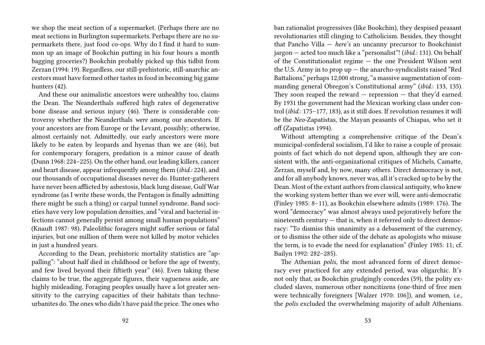we shop the meat section of a supermarket. (Perhaps there are no meat sections in Burlington supermarkets. Perhaps there are no supermarkets there, just food co-ops. Why do I find it hard to summon up an image of Bookchin putting in his four hours a month bagging groceries?) Bookchin probably picked up this tidbit from Zerzan (1994: 19). Regardless, our still-prehistoric, still-anarchic ancestors must have formed other tastes in food in becoming big game hunters (42).

And these our animalistic ancestors were unhealthy too, claims the Dean. The Neanderthals suffered high rates of degenerative bone disease and serious injury (46). There is considerable controversy whether the Neanderthals *were* among our ancestors. If your ancestors are from Europe or the Levant, possibly; otherwise, almost certainly not. Admittedly, our early ancestors were more likely to be eaten by leopards and hyenas than we are (46), but for contemporary foragers, predation is a minor cause of death (Dunn 1968: 224–225). On the other hand, our leading killers, cancer and heart disease, appear infrequently among them (*ibid.:* 224), and our thousands of occupational diseases never do. Hunter-gatherers have never been afflicted by asbestosis, black lung disease, Gulf War syndrome (as I write these words, the Pentagon is finally admitting there might be such a thing) or carpal tunnel syndrome. Band societies have very low population densities, and "viral and bacterial infections cannot generally persist among small human populations" (Knauft 1987: 98). Paleolithic foragers might suffer serious or fatal injuries, but one million of them were not killed by motor vehicles in just a hundred years.

According to the Dean, prehistoric mortality statistics are "appalling": "about half died in childhood or before the age of twenty, and few lived beyond their fiftieth year" (46). Even taking these claims to be true, the aggregate figures, their vagueness aside, are highly misleading. Foraging peoples usually have a lot greater sensitivity to the carrying capacities of their habitats than technourbanites do. The ones who didn't have paid the price. The ones who

ban rationalist progressives (like Bookchin), they despised peasant revolutionaries still clinging to Catholicism. Besides, they thought that Pancho Villa — *here's* an uncanny precursor to Bookchinist jargon — acted too much like a "personalist"! (*ibid*.: 131). On behalf of the Constitutionalist regime — the one President Wilson sent the U.S. Army in to prop up — the anarcho-syndicalists raised "Red Battalions," perhaps 12,000 strong, "a massive augmentation of commanding general Obregon's Constitutional army" (*ibid*.: 133, 135). They soon reaped the reward  $-$  repression  $-$  that they'd earned. By 1931 the government had the Mexican working class under control (*ibid*.: 175–177, 183), as it still does. If revolution resumes it will be the *Neo-*Zapatistas, the Mayan peasants of Chiapas, who set it off (Zapatistas 1994).

Without attempting a comprehensive critique of the Dean's municipal-confederal socialism, I'd like to raise a couple of prosaic points of fact which do not depend upon, although they are consistent with, the anti-organizational critiques of Michels, Camatte, Zerzan, myself and, by now, many others. Direct democracy is not, and for all anybody knows, never was, all it's cracked up to be by the Dean. Most of the extant authors from classical antiquity, who knew the working system better than we ever will, were anti-democratic (Finley 1985: 8–11), as Bookchin elsewhere admits (1989: 176). The word "democracy" was almost always used pejoratively before the nineteenth century — that is, when it referred only to direct democracy: "To dismiss this unanimity as a debasement of the currency, or to dismiss the other side of the debate as apologists who misuse the term, is to evade the need for explanation" (Finley 1985: 11; cf. Bailyn 1992: 282–285).

The Athenian *polis*, the most advanced form of direct democracy ever practiced for any extended period, was oligarchic. It's not only that, as Bookchin grudgingly concedes (59), the polity excluded slaves, numerous other noncitizens (one-third of free men were technically foreigners [Walzer 1970: 106]), and women, *i.e.,* the *polis* excluded the overwhelming majority of adult Athenians.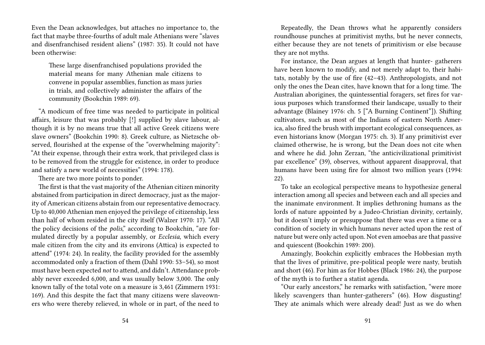Even the Dean acknowledges, but attaches no importance to, the fact that maybe three-fourths of adult male Athenians were "slaves and disenfranchised resident aliens" (1987: 35). It could not have been otherwise:

These large disenfranchised populations provided the material means for many Athenian male citizens to convene in popular assemblies, function as mass juries in trials, and collectively administer the affairs of the community (Bookchin 1989: 69).

"A modicum of free time was needed to participate in political affairs, leisure that was probably [!] supplied by slave labour, although it is by no means true that all active Greek citizens were slave owners" (Bookchin 1990: 8). Greek culture, as Nietzsche observed, flourished at the expense of the "overwhelming majority": "At their expense, through their extra work, that privileged class is to be removed from the struggle for existence, in order to produce and satisfy a new world of necessities" (1994: 178).

There are two more points to ponder.

The first is that the vast majority of the Athenian citizen minority abstained from participation in direct democracy, just as the majority of American citizens abstain from our representative democracy. Up to 40,000 Athenian men enjoyed the privilege of citizenship, less than half of whom resided in the city itself (Walzer 1970: 17). "All the policy decisions of the *polis*," according to Bookchin, "are formulated directly by a popular assembly, or *Ecclesia*, which every male citizen from the city and its environs (Attica) is expected to attend" (1974: 24). In reality, the facility provided for the assembly accommodated only a fraction of them (Dahl 1990: 53–54), so most must have been expected *not* to attend, and didn't. Attendance probably never exceeded 6,000, and was usually below 3,000. The only known tally of the total vote on a measure is 3,461 (Zimmern 1931: 169). And this despite the fact that many citizens were slaveowners who were thereby relieved, in whole or in part, of the need to

Repeatedly, the Dean throws what he apparently considers roundhouse punches at primitivist myths, but he never connects, either because they are not tenets of primitivism or else because they are not myths.

For instance, the Dean argues at length that hunter- gatherers have been known to modify, and not merely adapt to, their habitats, notably by the use of fire (42–43). Anthropologists, and not only the ones the Dean cites, have known that for a long time. The Australian aborigines, the quintessential foragers, set fires for various purposes which transformed their landscape, usually to their advantage (Blainey 1976: ch. 5 ["A Burning Continent"]). Shifting cultivators, such as most of the Indians of eastern North America, also fired the brush with important ecological consequences, as even historians know (Morgan 1975: ch. 3). If any primitivist ever claimed otherwise, he is wrong, but the Dean does not cite when and where he did. John Zerzan, "the anticivilizational primitivist par excellence" (39), observes, without apparent disapproval, that humans have been using fire for almost two million years (1994: 22).

To take an ecological perspective means to hypothesize general interaction among all species and between each and all species and the inanimate environment. It implies dethroning humans as the lords of nature appointed by a Judeo-Christian divinity, certainly, but it doesn't imply or presuppose that there was ever a time or a condition of society in which humans never acted upon the rest of nature but were only acted upon. Not even amoebas are that passive and quiescent (Bookchin 1989: 200).

Amazingly, Bookchin explicitly embraces the Hobbesian myth that the lives of primitive, pre-political people were nasty, brutish and short (46). For him as for Hobbes (Black 1986: 24), the purpose of the myth is to further a statist agenda.

"Our early ancestors," he remarks with satisfaction, "were more likely scavengers than hunter-gatherers" (46). How disgusting! They ate animals which were already dead! Just as we do when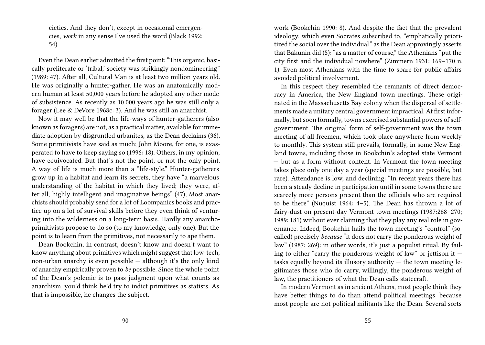cieties. And they don't, except in occasional emergencies, *work* in any sense I've used the word (Black 1992: 54).

Even the Dean earlier admitted the first point: "This organic, basically preliterate or 'tribal,' society was strikingly nondomineering" (1989: 47). After all, Cultural Man is at least two million years old. He was originally a hunter-gather. He was an anatomically modern human at least 50,000 years before he adopted any other mode of subsistence. As recently as 10,000 years ago he was still only a forager (Lee & DeVore 1968c: 3). And he was still an anarchist.

Now it may well be that the life-ways of hunter-gatherers (also known as foragers) are not, as a practical matter, available for immediate adoption by disgruntled urbanites, as the Dean declaims (36). Some primitivists have said as much; John Moore, for one, is exasperated to have to keep saying so (1996: 18). Others, in my opinion, have equivocated. But that's not the point, or not the only point. A way of life is much more than a "life-style." Hunter-gatherers grow up in a habitat and learn its secrets, they have "a marvelous understanding of the habitat in which they lived; they were, after all, highly intelligent and imaginative beings" (47), Most anarchists should probably send for a lot of Loompanics books and practice up on a lot of survival skills before they even think of venturing into the wilderness on a long-term basis. Hardly any anarchoprimitivists propose to do so (to my knowledge, only one). But the point is to learn from the primitives, not necessarily to ape them.

Dean Bookchin, in contrast, doesn't know and doesn't want to know anything about primitives which might suggest that low-tech, non-urban anarchy is even possible — although it's the only kind of anarchy empirically proven to *be* possible. Since the whole point of the Dean's polemic is to pass judgment upon what counts as anarchism, you'd think he'd try to indict primitives as statists. As that is impossible, he changes the subject.

work (Bookchin 1990: 8). And despite the fact that the prevalent ideology, which even Socrates subscribed to, "emphatically prioritized the social over the individual," as the Dean approvingly asserts that Bakunin did (5): "as a matter of course," the Athenians "put the city first and the individual nowhere" (Zimmern 1931: 169–170 n. 1). Even most Athenians with the time to spare for public affairs avoided political involvement.

In this respect they resembled the remnants of direct democracy in America, the New England town meetings. These originated in the Massachusetts Bay colony when the dispersal of settlements made a unitary central government impractical. At first informally, but soon formally, towns exercised substantial powers of selfgovernment. The original form of self-government was the town meeting of all freemen, which took place anywhere from weekly to monthly. This system still prevails, formally, in some New England towns, including those in Bookchin's adopted state Vermont — but as a form without content. In Vermont the town meeting takes place only one day a year (special meetings are possible, but rare). Attendance is low, and declining: "In recent years there has been a steady decline in participation until in some towns there are scarcely more persons present than the officials who are required to be there" (Nuquist 1964: 4–5). The Dean has thrown a lot of fairy-dust on present-day Vermont town meetings (1987:268–270; 1989: 181) without ever claiming that they play any real role in governance. Indeed, Bookchin hails the town meeting's "control" (socalled) precisely *because* "it does not carry the ponderous weight of law" (1987: 269): in other words, it's just a populist ritual. By failing to either "carry the ponderous weight of law" or jettison it  $$ tasks equally beyond its illusory authority  $-$  the town meeting legitimates those who do carry, willingly, the ponderous weight of law, the practitioners of what the Dean calls statecraft.

In modern Vermont as in ancient Athens, most people think they have better things to do than attend political meetings, because most people are not political militants like the Dean. Several sorts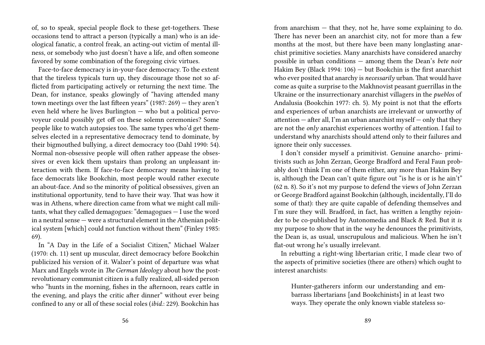of, so to speak, special people flock to these get-togethers. These occasions tend to attract a person (typically a man) who is an ideological fanatic, a control freak, an acting-out victim of mental illness, or somebody who just doesn't have a life, and often someone favored by some combination of the foregoing civic virtues.

Face-to-face democracy is in-your-face democracy. To the extent that the tireless typicals turn up, they discourage those not so afflicted from participating actively or returning the next time. The Dean, for instance, speaks glowingly of "having attended many town meetings over the last fifteen years" (1987: 269) — they aren't even held where he lives Burlington — who but a political pervovoyeur could possibly get off on these solemn ceremonies? Some people like to watch autopsies too. The same types who'd get themselves elected in a representative democracy tend to dominate, by their bigmouthed bullying, a direct democracy too (Dahl 1990: 54). Normal non-obsessive people will often rather appease the obsessives or even kick them upstairs than prolong an unpleasant interaction with them. If face-to-face democracy means having to face democrats like Bookchin, most people would rather execute an about-face. And so the minority of political obsessives, given an institutional opportunity, tend to have their way. That was how it was in Athens, where direction came from what we might call militants, what they called demagogues: "demagogues — I use the word in a neutral sense — were a structural element in the Athenian political system [which] could not function without them" (Finley 1985: 69).

In "A Day in the Life of a Socialist Citizen," Michael Walzer (1970: ch. 11) sent up muscular, direct democracy before Bookchin publicized his version of it. Walzer's point of departure was what Marx and Engels wrote in *The German Ideology* about how the postrevolutionary communist citizen is a fully realized, all-sided person who "hunts in the morning, fishes in the afternoon, rears cattle in the evening, and plays the critic after dinner" without ever being confined to any or all of these social roles (*ibid*.: 229). Bookchin has

from anarchism — that they, not he, have some explaining to do. There has never been an anarchist city, not for more than a few months at the most, but there have been many longlasting anarchist primitive societies. Many anarchists have considered anarchy possible in urban conditions — among them the Dean's *bete noir* Hakim Bey (Black 1994: 106) — but Bookchin is the first anarchist who ever posited that anarchy is *necessarily* urban. That would have come as quite a surprise to the Makhnovist peasant guerrillas in the Ukraine or the insurrectionary anarchist villagers in the *pueblos* of Andalusia (Bookchin 1977: ch. 5). My point is not that the efforts and experiences of urban anarchists are irrelevant or unworthy of attention  $-$  after all, I'm an urban anarchist myself  $-$  only that they are not the *only* anarchist experiences worthy of attention. I fail to understand why anarchists should attend only to their failures and ignore their only successes.

I don't consider myself a primitivist. Genuine anarcho- primitivists such as John Zerzan, George Bradford and Feral Faun probably don't think I'm one of them either, any more than Hakim Bey is, although the Dean can't quite figure out "is he is or is he ain't" (62 n. 8). So it's not my purpose to defend the views of John Zerzan or George Bradford against Bookchin (although, incidentally, I'll do some of that): they are quite capable of defending themselves and I'm sure they will. Bradford, in fact, has written a lengthy rejoinder to be co-published by Autonomedia and Black & Red. But it *is* my purpose to show that in the *way* he denounces the primitivists, the Dean is, as usual, unscrupulous and malicious. When he isn't flat-out wrong he's usually irrelevant.

In rebutting a right-wing libertarian critic, I made clear two of the aspects of primitive societies (there are others) which ought to interest anarchists:

Hunter-gatherers inform our understanding and embarrass libertarians [and Bookchinists] in at least two ways. They operate the only known viable stateless so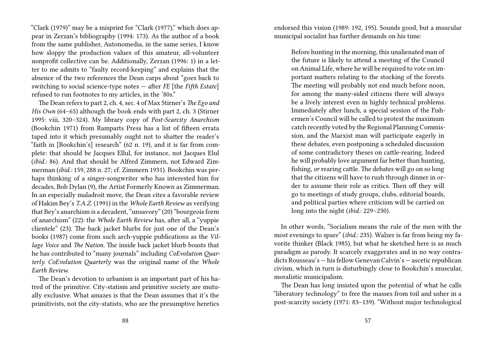"Clark (1979)" may be a misprint for "Clark (1977)," which does appear in Zerzan's bibliography (1994: 173). As the author of a book from the same publisher, Autonomedia, in the same series, I know how sloppy the production values of this amateur, all-volunteer nonprofit collective can be. Additionally, Zerzan (1996: 1) in a letter to me admits to "faulty record-keeping" and explains that the absence of the two references the Dean carps about "goes back to switching to social science-type notes — after *FE* [the *Fifth Estate*] refused to run footnotes to my articles, in the '80s."

The Dean refers to part 2, ch. 4, sec. 4 of Max Stirner's *The Ego and His Own* (64–65) although the book ends with part 2, ch. 3 (Stirner 1995: viii, 320–324). My library copy of *Post-Scarcity Anarchism* (Bookchin 1971) from Ramparts Press has a list of fifteen errata taped into it which presumably ought not to shatter the reader's "faith in [Bookchin's] research" (62 n. 19), and it is far from complete: that should be Jacques Ellul, for instance, not Jacques Elul (*ibid.:* 86). And that should be Alfred Zimmern, not Edward Zimmerman (*ibid.:* 159, 288 n. 27; cf. Zimmern 1931). Bookchin was perhaps thinking of a singer-songwriter who has interested him for decades, Bob Dylan (9), the Artist Formerly Known as Zimmerman. In an especially maladroit move, the Dean cites a favorable review of Hakim Bey's *T.A.Z.* (1991) in the *Whole Earth Review* as verifying that Bey's anarchism is a decadent, "unsavory" (20) "bourgeois form of anarchism" (22): the *Whole Earth Review* has, after all, a "yuppie clientele" (23). The back jacket blurbs for just one of the Dean's books (1987) come from such arch-yuppie publications as the *Village Voice* and *The Nation.* The inside back jacket blurb boasts that he has contributed to "many journals" including *CoEvolution Quarterly. CoEvolution Quarterly* was the original name of the *Whole Earth Review.*

The Dean's devotion to urbanism is an important part of his hatred of the primitive. City-statism and primitive society are mutually exclusive. What amazes is that the Dean assumes that it's the primitivists, not the city-statists, who are the presumptive heretics

endorsed this vision (1989: 192, 195). Sounds good, but a muscular municipal socialist has further demands on his time:

Before hunting in the morning, this unalienated man of the future is likely to attend a meeting of the Council on Animal Life, where he will be required to vote on important matters relating to the stocking of the forests. The meeting will probably not end much before noon, for among the many-sided citizens there will always be a lively interest even in highly technical problems. Immediately after lunch, a special session of the Fishermen's Council will be called to protest the maximum catch recently voted by the Regional Planning Commission, and the Marxist man will participate eagerly in these debates, even postponing a scheduled discussion of some contradictory theses on cattle-rearing. Indeed he will probably love argument far better than hunting, fishing, *or* rearing cattle. The debates will go on so long that the citizens will have to rush through dinner in order to assume their role as critics. Then off they will go to meetings of study groups, clubs, editorial boards, and political parties where criticism will be carried on long into the night (*ibid*.: 229–230).

In other words, "Socialism means the rule of the men with the most evenings to spare" (*ibid*.: 235). Walzer is far from being my favorite thinker (Black 1985), but what he sketched here is as much paradigm as parody. It scarcely exaggerates and in no way contradicts Rousseau's — his fellow Genevan Calvin's — ascetic republican civism, which in turn is disturbingly close to Bookchin's muscular, moralistic municipalism.

The Dean has long insisted upon the potential of what he calls "liberatory technology" to free the masses from toil and usher in a post-scarcity society (1971: 83–139). "Without major technological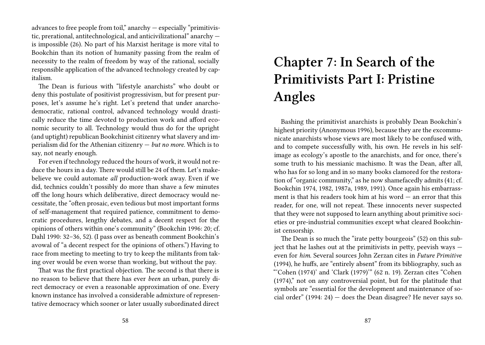advances to free people from toil," anarchy — especially "primitivistic, prerational, antitechnological, and anticivilizational" anarchy is impossible (26). No part of his Marxist heritage is more vital to Bookchin than its notion of humanity passing from the realm of necessity to the realm of freedom by way of the rational, socially responsible application of the advanced technology created by capitalism.

The Dean is furious with "lifestyle anarchists" who doubt or deny this postulate of positivist progressivism, but for present purposes, let's assume he's right. Let's pretend that under anarchodemocratic, rational control, advanced technology would drastically reduce the time devoted to production work and afford economic security to all. Technology would thus do for the upright (and uptight) republican Bookchinist citizenry what slavery and imperialism did for the Athenian citizenry — *but no more*. Which is to say, not nearly enough.

For even if technology reduced the hours of work, it would not reduce the hours in a day. There would still be 24 of them. Let's makebelieve we could automate *all* production-work away. Even if we did, technics couldn't possibly do more than shave a few minutes off the long hours which deliberative, direct democracy would necessitate, the "often prosaic, even tedious but most important forms of self-management that required patience, commitment to democratic procedures, lengthy debates, and a decent respect for the opinions of others within one's community" (Bookchin 1996: 20; cf. Dahl 1990: 32–36, 52). (I pass over as beneath comment Bookchin's avowal of "a decent respect for the opinions of others.") Having to race from meeting to meeting to try to keep the militants from taking over would be even worse than working, but without the pay.

That was the first practical objection. The second is that there is no reason to believe that there has ever *been* an urban, purely direct democracy or even a reasonable approximation of one. Every known instance has involved a considerable admixture of representative democracy which sooner or later usually subordinated direct

# **Chapter 7: In Search of the Primitivists Part I: Pristine Angles**

Bashing the primitivist anarchists is probably Dean Bookchin's highest priority (Anonymous 1996), because they are the excommunicate anarchists whose views are most likely to be confused with, and to compete successfully with, his own. He revels in his selfimage as ecology's apostle to the anarchists, and for once, there's some truth to his messianic machismo. It was the Dean, after all, who has for so long and in so many books clamored for the restoration of "organic community," as he now shamefacedly admits (41; cf. Bookchin 1974, 1982, 1987a, 1989, 1991). Once again his embarrassment is that his readers took him at his word  $-$  an error that this reader, for one, will not repeat. These innocents never suspected that they were not supposed to learn anything about primitive societies or pre-industrial communities except what cleared Bookchinist censorship.

The Dean is so much the "irate petty bourgeois" (52) on this subject that he lashes out at the primitivists in petty, peevish ways even for *him*. Several sources John Zerzan cites in *Future Primitive* (1994), he huffs, are "entirely absent" from its bibliography, such as "'Cohen (1974)' and 'Clark (1979)'" (62 n. 19). Zerzan cites "Cohen (1974)," not on any controversial point, but for the platitude that symbols are "essential for the development and maintenance of social order" (1994: 24)  $-$  does the Dean disagree? He never says so.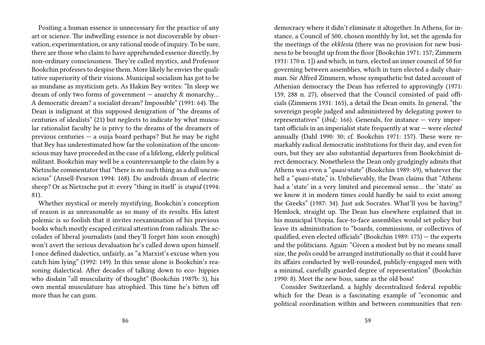Positing a human essence is unnecessary for the practice of any art or science. The indwelling essence is not discoverable by observation, experimentation, or any rational mode of inquiry. To be sure, there are those who claim to have apprehended essence directly, by non-ordinary consciousness. They're called mystics, and Professor Bookchin professes to despise them. More likely he envies the qualitative superiority of their visions. Municipal socialism has got to be as mundane as mysticism gets. As Hakim Bey writes: "In sleep we dream of only two forms of government — anarchy & monarchy… A democratic dream? a socialist dream? Impossible" (1991: 64). The Dean is indignant at this supposed denigration of "the dreams of centuries of idealists" (21) but neglects to indicate by what muscular rationalist faculty he is privy to the dreams of the dreamers of previous centuries — a ouija board perhaps? But he may be right that Bey has underestimated how far the colonization of the unconscious may have proceeded in the case of a lifelong, elderly political militant. Bookchin may well be a counterexample to the claim by a Nietzsche commentator that "there is no such thing as a dull unconscious" (Ansell-Pearson 1994: 168). Do androids dream of electric sheep? Or as Nietzsche put it: every "thing in itself' is *stupid* (1994: 81).

Whether mystical or merely mystifying, Bookchin's conception of reason is as unreasonable as so many of its results. His latest polemic is so foolish that it invites reexamination of his previous books which mostly escaped critical attention from radicals. The accolades of liberal journalists (and they'll forget him soon enough) won't avert the serious devaluation he's called down upon himself. I once defined dialectics, unfairly, as "a Marxist's excuse when you catch him lying" (1992: 149). In this sense alone is Bookchin's reasoning dialectical. After decades of talking down to eco- hippies who disdain "all muscularity of thought" (Bookchin 1987b: 3), his own mental musculature has atrophied. This time he's bitten off more than he can gum.

democracy where it didn't eliminate it altogether. In Athens, for instance, a Council of 500, chosen monthly by lot, set the agenda for the meetings of the *ekklesia* (there was no provision for new business to be brought up from the floor [Bookchin 1971: 157; Zimmern 1931: 170 n. 1]) and which, in turn, elected an inner council of 50 for governing between assemblies, which in turn elected a daily chairman. Sir Alfred Zimmern, whose sympathetic but dated account of Athenian democracy the Dean has referred to approvingly (1971: 159, 288 n. 27), observed that the Council consisted of paid officials (Zimmern 1931: 165), a detail the Dean omits. In general, "the sovereign people judged and administered by delegating power to representatives" (*ibid*,: 166). Generals, for instance — very important officials in an imperialist state frequently at war — were *elected* annually (Dahl 1990: 30; cf. Bookchin 1971: 157). These were remarkably radical democratic institutions for their day, and even for ours, but they are also substantial departures from Bookchinist direct democracy. Nonetheless the Dean only grudgingly admits that Athens was even a "*quasi-*state" (Bookchin 1989: 69), whatever the hell a "*quasi*-state," is. Unbelievably, the Dean claims that "Athens had a 'state' in a very limited and piecemeal sense… the 'state' as we know it in modern times could hardly be said to exist among the Greeks" (1987: 34). Just ask Socrates. What'll you be having? Hemlock, straight up. The Dean has elsewhere explained that in his municipal Utopia, face-to-face assemblies would set policy but leave its administration to "boards, commissions, or collectives of qualified, even elected officials" (Bookchin 1989: 175) — the experts and the politicians. Again: "Given a modest but by no means small size, the *polis* could be arranged institutionally so that it could have its affairs conducted by well-rounded, publicly-engaged men with a minimal, carefully guarded degree of representation" (Bookchin 1990: 8). Meet the new boss, same as the old boss!

Consider Switzerland, a highly decentralized federal republic which for the Dean is a fascinating example of "economic and political coordination within and between communities that ren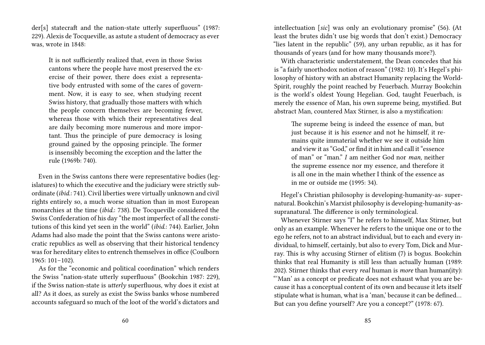der<sup>[s]</sup> statecraft and the nation-state utterly superfluous" (1987: 229). Alexis de Tocqueville, as astute a student of democracy as ever was, wrote in 1848:

It is not sufficiently realized that, even in those Swiss cantons where the people have most preserved the exercise of their power, there does exist a representative body entrusted with some of the cares of government. Now, it is easy to see, when studying recent Swiss history, that gradually those matters with which the people concern themselves are becoming fewer, whereas those with which their representatives deal are daily becoming more numerous and more important. Thus the principle of pure democracy is losing ground gained by the opposing principle. The former is insensibly becoming the exception and the latter the rule (1969b: 740).

Even in the Swiss cantons there were representative bodies (legislatures) to which the executive and the judiciary were strictly subordinate (*ibid*.: 741). Civil liberties were virtually unknown and civil rights entirely so, a much worse situation than in most European monarchies at the time (*ibid*.: 738). De Tocqueville considered the Swiss Confederation of his day "the most imperfect of all the constitutions of this kind yet seen in the world" (*ibid*.: 744). Earlier, John Adams had also made the point that the Swiss cantons were aristocratic republics as well as observing that their historical tendency was for hereditary elites to entrench themselves in office (Coulborn 1965: 101–102).

As for the "economic and political coordination" which renders the Swiss "nation-state utterly superfluous" (Bookchin 1987: 229), if the Swiss nation-state is *utterly* superfluous, why does it exist at all? As it does, as surely as exist the Swiss banks whose numbered accounts safeguard so much of the loot of the world's dictators and

intellectuation [*sic*] was only an evolutionary promise" (56). (At least the brutes didn't use big words that don't exist.) Democracy "lies latent in the republic" (59), any urban republic, as it has for thousands of years (and for how many thousands more?).

With characteristic understatement, the Dean concedes that his is "a fairly unorthodox notion of reason" (1982: 10). It's Hegel's philosophy of history with an abstract Humanity replacing the World-Spirit, roughly the point reached by Feuerbach. Murray Bookchin is the world's oldest Young Hegelian. God, taught Feuerbach, is merely the essence of Man, his own supreme being, mystified. But abstract Man, countered Max Stirner, is also a mystification:

The supreme being is indeed the essence of man, but just because it is his *essence* and not he himself, it remains quite immaterial whether we see it outside him and view it as "God," or find it in him and call it "essence of man" or "man." *I* am neither God nor *man,* neither the supreme essence nor my essence, and therefore it is all one in the main whether I think of the essence as in me or outside me (1995: 34).

Hegel's Christian philosophy is developing-humanity-as- supernatural. Bookchin's Marxist philosophy is developing-humanity-assupranatural. The difference is only terminological.

Whenever Stirner says "I" he refers to himself, Max Stirner, but only as an example. Whenever he refers to the unique one or to the ego he refers, not to an abstract individual, but to each and every individual, to himself, certainly, but also to every Tom, Dick and Murray. This is why accusing Stirner of elitism (7) is bogus. Bookchin thinks that real Humanity is still less than actually human (1989: 202). Stirner thinks that every *real* human is *more* than human(ity): "'Man' as a concept or predicate does not exhaust what you are because it has a conceptual content of its own and because it lets itself stipulate what is human, what is a 'man,' because it can be defined… But can you define yourself? Are you a concept?" (1978: 67).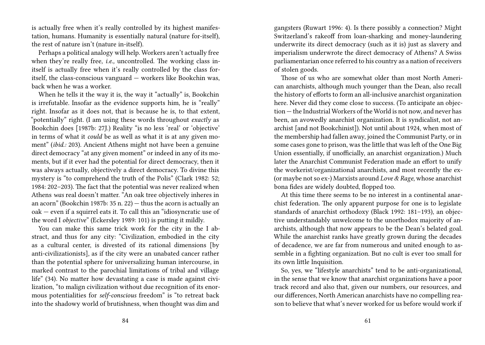is actually free when it's really controlled by its highest manifestation, humans. Humanity is essentially natural (nature for-itself), the rest of nature isn't (nature in-itself).

Perhaps a political analogy will help. Workers aren't actually free when they're really free, *i.e.,* uncontrolled. The working class initself is actually free when it's really controlled by the class foritself, the class-conscious vanguard — workers like Bookchin was, back when he was a worker.

When he tells it the way it is, the way it "actually" is, Bookchin is irrefutable. Insofar as the evidence supports him, he is "really" right. Insofar as it does not, that is because he is, to that extent, "potentially" right. (I am using these words throughout *exactly* as Bookchin does [1987b: 27J.) Reality "is no less 'real' or 'objective' in terms of what it *could* be as well as what it is at any given moment" (*ibid.:* 203). Ancient Athens might not have been a genuine direct democracy "at any given moment" or indeed in any of its moments, but if it ever had the potential for direct democracy, then it was always actually, objectively a direct democracy. To divine this mystery is "to comprehend the truth of the Polis" (Clark 1982: 52; 1984: 202–203). The fact that the potential was never realized when Athens *was* real doesn't matter. "An oak tree objectively inheres in an acorn" (Bookchin 1987b: 35 n. 22) — thus the acorn is actually an oak — even if a squirrel eats it. To call this an "idiosyncratic use of the word I *objective*" (Eckersley 1989: 101) is putting it mildly.

You can make this same trick work for the city in the I abstract, and thus for any city: "Civilization, embodied in the city as a cultural center, is divested of its rational dimensions [by anti-civilizationists], as if the city were an unabated cancer rather than the potential sphere for universalizing human intercourse, in marked contrast to the parochial limitations of tribal and village life" (34). No matter how devastating a case is made against civilization, "to malign civilization without due recognition of its enormous potentialities for *self-conscious* freedom" is "to retreat back into the shadowy world of brutishness, when thought was dim and

gangsters (Ruwart 1996: 4). Is there possibly a connection? Might Switzerland's rakeoff from loan-sharking and money-laundering underwrite its direct democracy (such as it is) just as slavery and imperialism underwrote the direct democracy of Athens? A Swiss parliamentarian once referred to his country as a nation of receivers of stolen goods.

Those of us who are somewhat older than most North American anarchists, although much younger than the Dean, also recall the history of efforts to form an all-inclusive anarchist organization here. Never did they come close to success. (To anticipate an objection — the Industrial Workers of the World is not now, and never has been, an avowedly anarchist organization. It is syndicalist, not anarchist [and not Bookchinist]). Not until about 1924, when most of the membership had fallen away, joined the Communist Party, or in some cases gone to prison, was the little that was left of the One Big Union essentially, if unofficially, an anarchist organization.) Much later the Anarchist Communist Federation made an effort to unify the workerist/organizational anarchists, and most recently the ex- (or maybe not so ex-) Marxists around *Love & Rage*, whose anarchist bona fides are widely doubted, flopped too.

At this time there seems to be no interest in a continental anarchist federation. The only apparent purpose for one is to legislate standards of anarchist orthodoxy (Black 1992: 181–193), an objective understandably unwelcome to the unorthodox majority of anarchists, although that now appears to be the Dean's belated goal. While the anarchist ranks have greatly grown during the decades of decadence, we are far from numerous and united enough to assemble in a fighting organization. But no cult is ever too small for its own little Inquisition.

So, yes, we "lifestyle anarchists" tend to be anti-organizational, in the sense that we know that anarchist organizations have a poor track record and also that, given our numbers, our resources, and our differences, North American anarchists have no compelling reason to believe that what's never worked for us before would work if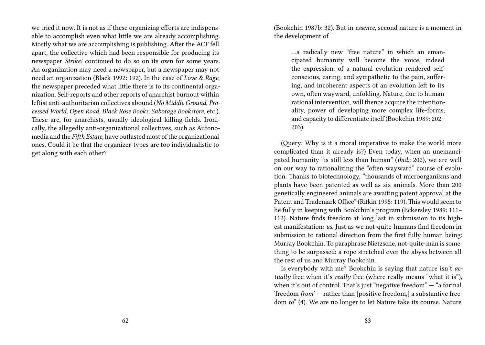we tried it now. It is not as if these organizing efforts are indispensable to accomplish even what little we are already accomplishing. Mostly what we are accomplishing is publishing. After the ACF fell apart, the collective which had been responsible for producing its newspaper *Strike!* continued to do so on its own for some years. An organization may need a newspaper, but a newspaper may not need an organization (Black 1992: 192). In the case of *Love & Rage*, the newspaper preceded what little there is to its continental organization. Self-reports and other reports of anarchist burnout within leftist anti-authoritarian collectives abound (*No Middle Ground*, *Processed World, Open Road*, *Black Rose Books*, *Sabotage Bookstore*, etc.). These are, for anarchists, usually ideological killing-fields. Ironically, the allegedly anti-organizational collectives, such as Autonomedia and the *Fifth Estate,* have outlasted most of the organizational ones. Could it be that the organizer-types are too individualistic to get along with each other?

(Bookchin 1987b: 32). But in *essence,* second nature is a moment in the development of

…a radically new "free nature" in which an emancipated humanity will become the voice, indeed the expression, of a natural evolution rendered selfconscious, caring, and sympathetic to the pain, suffering, and incoherent aspects of an evolution left to its own, often wayward, unfolding. Nature, due to human rational intervention, will thence acquire the intentionality, power of developing more complex life-forms, and capacity to differentiate itself (Bookchin 1989: 202– 203).

(Query: Why is it a moral imperative to make the world more complicated than it already is?) Even today, when an unemancipated humanity "is still less than human" (*ibid*.: 202), we are well on our way to rationalizing the "often wayward" course of evolution. Thanks to biotechnology, "thousands of microorganisms and plants have been patented as well as six animals. More than 200 genetically engineered animals are awaiting patent approval at the Patent and Trademark Office" (Rifkin 1995: 119). This would seem to he fully in keeping with Bookchin's program (Eckersley 1989: 111– 112). Nature finds freedom at long last in submission to its highest manifestation: *us.* Just as we not-quite-humans find freedom in submission to rational direction from the first fully human being: Murray Bookchin. To paraphrase Nietzsche, not-quite-man is something to be surpassed: a rope stretched over the abyss between all the rest of us and Murray Bookchin.

Is everybody with me? Bookchin is saying that nature isn't *actually* free when it's *really* free (where really means "what it is"), when it's out of control. That's just "negative freedom" — "a formal 'freedom *from*' — rather than [positive freedom,] a substantive freedom *to*" (4). We are no longer to let Nature take its course. Nature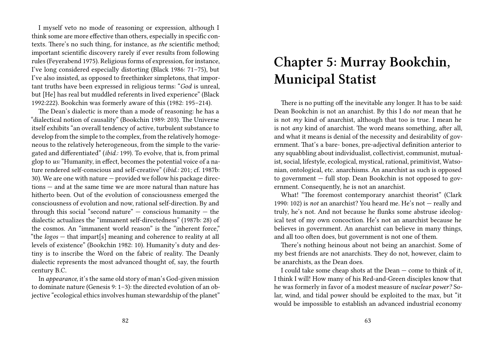I myself veto no mode of reasoning or expression, although I think some are more effective than others, especially in specific contexts. There's no such thing, for instance, as *the* scientific method; important scientific discovery rarely if ever results from following rules (Feyerabend 1975). Religious forms of expression, for instance, I've long considered especially distorting (Black 1986: 71–75), but I've also insisted, as opposed to freethinker simpletons, that important truths have been expressed in religious terms: "*God* is unreal, but [He] has real but muddled referents in lived experience" (Black 1992:222). Bookchin was formerly aware of this (1982: 195–214).

The Dean's dialectic is more than a mode of reasoning: he has a "dialectical notion of causality" (Bookchin 1989: 203). The Universe itself exhibits "an overall tendency of active, turbulent substance to develop from the simple to the complex, from the relatively homogeneous to the relatively heterogeneous, from the simple to the variegated and differentiated" (*ibid.:* 199). To evolve, that is, from primal glop to *us:* "Humanity, in effect, becomes the potential voice of a nature rendered self-conscious and self-creative" (*ibid.:* 201; cf. 1987b: 30). We are one with nature — provided we follow his package directions — and at the same time we are more natural than nature has hitherto been. Out of the evolution of consciousness emerged the consciousness of evolution and now, rational self-direction. By and through this social "second nature"  $-$  conscious humanity  $-$  the dialectic actualizes the "immanent self-directedness" (1987b: 28) of the cosmos. An "immanent world reason" is the "inherent force," "the *logos* — that impart[s] meaning and coherence to reality at all levels of existence" (Bookchin 1982: 10). Humanity's duty and destiny is to inscribe the Word on the fabric of reality. The Deanly dialectic represents the most advanced thought of, say, the fourth century B.C.

In *appearance,* it's the same old story of man's God-given mission to dominate nature (Genesis 9: 1–3): the directed evolution of an objective "ecological ethics involves human stewardship of the planet"

### **Chapter 5: Murray Bookchin, Municipal Statist**

There is no putting off the inevitable any longer. It has to be said: Dean Bookchin is not an anarchist. By this I do *not* mean that he is not *my* kind of anarchist, although that too is true. I mean he is not *any* kind of anarchist. The word means something, after all, and what it means is denial of the necessity and desirability of government. That's a bare- bones, pre-adjectival definition anterior to any squabbling about individualist, collectivist, communist, mutualist, social, lifestyle, ecological, mystical, rational, primitivist, Watsonian, ontological, etc. anarchisms. An anarchist as such is opposed to government — full stop. Dean Bookchin is not opposed to government. Consequently, he is not an anarchist.

What! "The foremost contemporary anarchist theorist" (Clark 1990: 102) is *not* an anarchist? You heard me. He's not — really and truly, he's not. And not because he flunks some abstruse ideological test of my own concoction. He's not an anarchist because he believes in government. An anarchist can believe in many things, and all too often does, but government is not one of them.

There's nothing heinous about not being an anarchist. Some of my best friends are not anarchists. They do not, however, claim to be anarchists, as the Dean does.

I could take some cheap shots at the Dean — come to think of it, I think I will! How many of his Red-and-Green disciples know that he was formerly in favor of a modest measure of *nuclear power?* Solar, wind, and tidal power should be exploited to the max, but "it would be impossible to establish an advanced industrial economy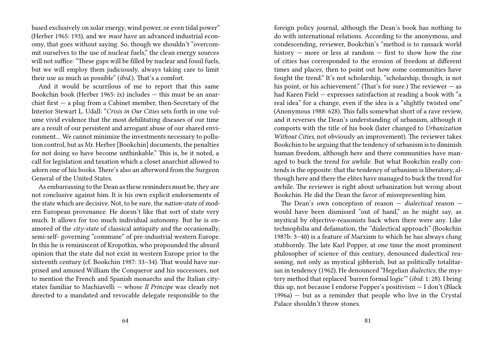based exclusively on solar energy, wind power, or even tidal power" (Herber 1965: 193), and we *must* have an advanced industrial economy, that goes without saying. So, though we shouldn't "overcommit ourselves to the use of nuclear fuels," the clean energy sources will not suffice: "These gaps will be filled by nuclear and fossil fuels, but we will employ them judiciously, always taking care to limit their use as much as possible" (*ibid*.). That's a comfort.

And it would be scurrilous of me to report that this same Bookchin book (Herber 1965: ix) includes — this must be an anarchist first  $-$  a plug from a Cabinet member, then-Secretary of the Interior Stewart L. Udall: "*Crisis in Our Cities* sets forth in one volume vivid evidence that the most debilitating diseases of our time are a result of our persistent and arrogant abuse of our shared environment… We cannot minimize the investments necessary to pollution control, but as Mr. Herber [Bookchin] documents, the penalties for not doing so have become unthinkable." This is, be it noted, a call for legislation and taxation which a closet anarchist allowed to adorn one of his books. There's also an afterword from the Surgeon General of the United States.

As embarrassing to the Dean as these reminders must be, they are not conclusive against him. It is his own explicit endorsements of the state which are decisive. Not, to be sure, the *nation-state* of modern European provenance. He doesn't like that sort of state very much. It allows for too much individual autonomy. But he is enamored of the *city-state* of classical antiquity and the occasionally, semi-self- governing "commune" of pre-industrial western Europe. In this he is reminiscent of Kropotkin, who propounded the absurd opinion that the state did not exist in western Europe prior to the sixteenth century (cf. Bookchin 1987: 33–34). That would have surprised and amused William the Conqueror and his successors, not to mention the French and Spanish monarchs and the Italian citystates familiar to Machiavelli — whose *Il Principe* was clearly not directed to a mandated and revocable delegate responsible to the

foreign policy journal, although the Dean's book has nothing to do with international relations. According to the anonymous, and condescending, reviewer, Bookchin's "method is to ransack world history  $-$  more or less at random  $-$  first to show how the rise of cities has corresponded to the erosion of freedom at different times and places, then to point out how some communities have fought the trend." It's not scholarship, "scholarship, though, is not his point, or his achievement." (That's for sure.) The reviewer  $-$  as had Karen Field — expresses satisfaction at reading a book with "a real idea" for a change, even if the idea is a "slightly twisted one" (Anonymous 1988: 628). This falls somewhat short of a rave review, and it reverses the Dean's understanding of urbanism, although it comports with the title of his book (later changed to *Urbanization Without Cities*, not obviously an improvement). The reviewer takes Bookchin to be arguing that the tendency of urbanism is to diminish human freedom, although here and there communities have managed to buck the trend for awhile. But what Bookchin really contends is the opposite: that the tendency of urbanism is liberatory, although here and there the elites have managed to buck the trend for awhile. The reviewer is right about urbanization but wrong about Bookchin. He did the Dean the favor of misrepresenting him.

The Dean's own conception of reason — *dialectical* reason would have been dismissed "out of hand," as he might say, as mystical by objective-reasonists back when there were any. Like technophilia and defamation, the "dialectical approach" (Bookchin 1987b: 3–40) is a feature of Marxism to which he has always clung stubbornly. The late Karl Popper, at one time the most prominent philosopher of science of this century, denounced dialectical reasoning, not only as mystical gibberish, but as politically totalitarian in tendency (1962). He denounced "Hegelian *dialectics*; the mystery method that replaced 'barren formal logic'" (*ibid:* 1: 28). I bring this up, not because I endorse Popper's positivism — I don't (Black 1996a) — but as a reminder that people who live in the Crystal Palace shouldn't throw stones.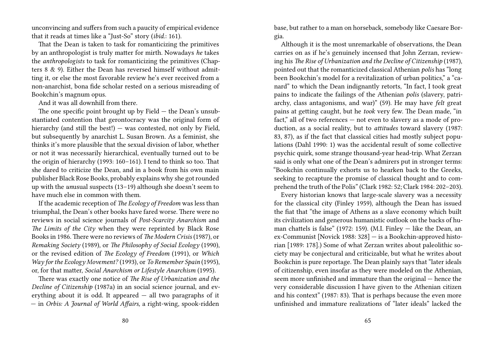unconvincing and suffers from such a paucity of empirical evidence that it reads at times like a "Just-So" story (*ibid*.: 161).

That the Dean is taken to task for romanticizing the primitives by an anthropologist is truly matter for mirth. Nowadays *he* takes the *anthropologists* to task for romanticizing the primitives (Chapters 8 & 9). Either the Dean has reversed himself without admitting it, or else the most favorable review he's ever received from a non-anarchist, bona fide scholar rested on a serious misreading of Bookchin's magnum opus.

And it was all downhill from there.

The one specific point brought up by Field  $-$  the Dean's unsubstantiated contention that gerontocracy was the original form of hierarchy (and still the best!) — was contested, not only by Field, but subsequently by anarchist L. Susan Brown. As a feminist, she thinks it's more plausible that the sexual division of labor, whether or not it was necessarily hierarchical, eventually turned out to be the origin of hierarchy (1993: 160–161). I tend to think so too. That she dared to criticize the Dean, and in a book from his own main publisher Black Rose Books, probably explains why she got rounded up with the *un*usual suspects (13–19) although she doesn't seem to have much else in common with them.

If the academic reception of *The Ecology of Freedom* was less than triumphal, the Dean's other books have fared worse. There were no reviews in social science journals of *Post-Scarcity Anarchism* and *The Limits of the City* when they were reprinted by Black Rose Books in 1986. There were no reviews of *The Modern Crisis* (1987), or *Remaking Society* (1989), or *The Philosophy of Social Ecology* (1990), or the revised edition of *The Ecology of Freedom* (1991), or *Which Way for the Ecology Movement?* (1993), or *To Remember Spain* (1995), or, for that matter, *Social Anarchism or Lifestyle Anarchism* (1995).

There was exactly one notice of *The Rise of Urbanization and the Decline of Citizenship* (1987a) in an social science journal, and everything about it is odd. It appeared  $-$  all two paragraphs of it — in *Orbis: A Journal of World Affairs,* a right-wing, spook-ridden

base, but rather to a man on horseback, somebody like Caesare Borgia.

Although it is the most unremarkable of observations, the Dean carries on as if he's genuinely incensed that John Zerzan, reviewing his *The Rise of Urbanization and the Decline of Citizenship* (1987), pointed out that the romanticized classical Athenian *polis* has "long been Bookchin's model for a revitalization of urban politics," a "canard" to which the Dean indignantly retorts, "In fact, I took great pains to indicate the failings of the Athenian *polis* (slavery, patriarchy, class antagonisms, and war)" (59). He may have *felt* great pains at getting caught, but he *took* very few. The Dean made, "in fact," all of two references — not even to slavery as a mode of production, as a social reality, but to *attitudes* toward slavery (1987: 83, 87), as if the fact that classical cities had mostly subject populations (Dahl 1990: 1) was the accidental result of some collective psychic quirk, some strange thousand-year head-trip. What Zerzan said is only what one of the Dean's admirers put in stronger terms: "Bookchin continually exhorts us to hearken back to the Greeks, seeking to recapture the promise of classical thought and to comprehend the truth of the Polis" (Clark 1982: 52; Clark 1984: 202–203).

Every historian knows that large-scale slavery was a necessity for the classical city (Finley 1959), although the Dean has issued the fiat that "the image of Athens as a slave economy which built its civilization and generous humanistic outlook on the backs of human chattels is false" (1972: 159). (M.I. Finley — like the Dean, an ex-Communist [Novick 1988: 328] — is a Bookchin-approved historian [1989: 178].) Some of what Zerzan writes about paleolithic society may be conjectural and criticizable, but what he writes about Bookchin is pure reportage. The Dean plainly says that "later ideals of citizenship, even insofar as they were modeled on the Athenian, seem more unfinished and immature than the original — hence the very considerable discussion I have given to the Athenian citizen and his context" (1987: 83). That is perhaps because the even more unfinished and immature realizations of "later ideals" lacked the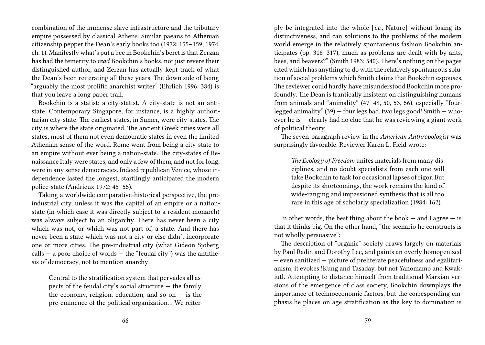combination of the immense slave infrastructure and the tributary empire possessed by classical Athens. Similar paeans to Athenian citizenship pepper the Dean's early books too (1972: 155–159; 1974: ch. 1). Manifestly what's put a bee in Bookchin's beret is that Zerzan has had the temerity to *read* Bookchin's books, not just revere their distinguished author, and Zerzan has actually kept track of what the Dean's been reiterating all these years. The down side of being "arguably the most prolific anarchist writer" (Ehrlich 1996: 384) is that you leave a long paper trail.

Bookchin is a statist: a city-statist. A city-state is not an antistate. Contemporary Singapore, for instance, is a highly authoritarian city-state. The earliest states, in Sumer, were city-states. The city is where the state originated. The ancient Greek cities were all states, most of them not even democratic states in even the limited Athenian sense of the word. Rome went from being a city-state to an empire without ever being a nation-state. The city-states of Renaissance Italy were states, and only a few of them, and not for long, were in any sense democracies. Indeed republican Venice, whose independence lasted the longest, startlingly anticipated the modern police-state (Andrieux 1972: 45–55).

Taking a worldwide comparative-historical perspective, the preindustrial city, unless it was the capital of an empire or a nationstate (in which case it was directly subject to a resident monarch) was always subject to an oligarchy. There has never been a city which was not, or which was not part of, a state. And there has never been a state which was not a city or else didn't incorporate one or more cities. The pre-industrial city (what Gideon Sjoberg calls  $-$  a poor choice of words  $-$  the "feudal city") was the antithesis of democracy, not to mention anarchy:

Central to the stratification system that pervades all aspects of the feudal city's social structure — the family, the economy, religion, education, and so on  $-$  is the pre-eminence of the political organization… We reiter-

ply be integrated into the whole [*i.e.,* Nature] without losing its distinctiveness, and can solutions to the problems of the modern world emerge in the relatively spontaneous fashion Bookchin anticipates (pp. 316–317), much as problems are dealt with by ants, bees, and beavers?" (Smith 1983: 540). There's nothing on the pages cited which has anything to do with the relatively spontaneous solution of social problems which Smith claims that Bookchin espouses. The reviewer could hardly have misunderstood Bookchin more profoundly. The Dean is frantically insistent on distinguishing humans from animals and "animality" (47–48, 50, 53, 56), especially "fourlegged animality" (39) — four legs bad, two legs good! Smith — whoever he is  $-$  clearly had no clue that he was reviewing a giant work of political theory.

The seven-paragraph review in the *American Anthropologist* was surprisingly favorable. Reviewer Karen L. Field wrote:

*The Ecology of Freedom* unites materials from many disciplines, and no doubt specialists from each one will take Bookchin to task for occasional lapses of rigor. But despite its shortcomings, the work remains the kind of wide-ranging and impassioned synthesis that is all too rare in this age of scholarly specialization (1984: 162).

In other words, the best thing about the book  $-$  and I agree  $-$  is that it thinks big. On the other hand, "the scenario he constructs is not wholly persuasive":

The description of "organic" society draws largely on materials by Paul Radin and Dorothy Lee, and paints an overly homogenized — even sanitized — picture of preliterate peacefulness and egalitarianism; it evokes !Kung and Tasaday, but not Yanomamo and Kwakiutl. Attempting to distance himself from traditional Marxian versions of the emergence of class society, Bookchin downplays the importance of technoeconomic factors, but the corresponding emphasis he places on age stratification as the key to domination is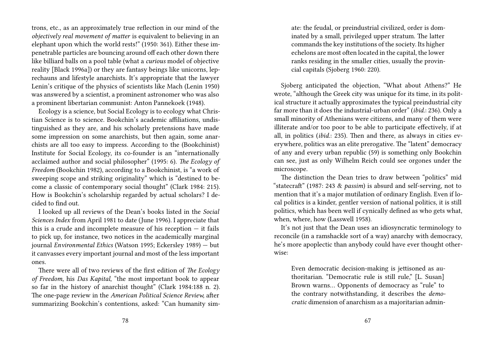trons, etc., as an approximately true reflection in our mind of the *objectively real movement of matter* is equivalent to believing in an elephant upon which the world rests!" (1950: 361). Either these impenetrable particles are bouncing around off each other down there like billiard balls on a pool table (what a *curious* model of objective reality [Black 1996a]) or they are fantasy beings like unicorns, leprechauns and lifestyle anarchists. It's appropriate that the lawyer Lenin's critique of the physics of scientists like Mach (Lenin 1950) was answered by a scientist, a prominent astronomer who was also a prominent libertarian communist: Anton Pannekoek (1948).

Ecology is a science, but Social Ecology is to ecology what Christian Science is to science. Bookchin's academic affiliations, undistinguished as they are, and his scholarly pretensions have made some impression on some anarchists, but then again, some anarchists are all too easy to impress. According to the (Bookchinist) Institute for Social Ecology, its co-founder is an "internationally acclaimed author and social philosopher" (1995: 6). *The Ecology of Freedom* (Bookchin 1982), according to a Bookchinist, is "a work of sweeping scope and striking originality" which is "destined to become a classic of contemporary social thought" (Clark 1984: 215). How is Bookchin's scholarship regarded by actual scholars? I decided to find out.

I looked up all reviews of the Dean's books listed in the *Social Sciences Index* from April 1981 to date (June 1996). I appreciate that this is a crude and incomplete measure of his reception  $-$  it fails to pick up, for instance, two notices in the academically marginal journal *Environmental Ethics* (Watson 1995; Eckersley 1989) — but it canvasses every important journal and most of the less important ones.

There were all of two reviews of the first edition of *The Ecology of Freedom,* his *Das Kapital*, "the most important book to appear so far in the history of anarchist thought" (Clark 1984:188 n. 2). The one-page review in the *American Political Science Review,* after summarizing Bookchin's contentions, asked: "Can humanity simate: the feudal, or preindustrial civilized, order is dominated by a small, privileged upper stratum. The latter commands the key institutions of the society. Its higher echelons are most often located in the capital, the lower ranks residing in the smaller cities, usually the provincial capitals (Sjoberg 1960: 220).

Sjoberg anticipated the objection, "What about Athens?" He wrote, "although the Greek city was unique for its time, in its political structure it actually approximates the typical preindustrial city far more than it does the industrial-urban order" (*ibid*.: 236). Only a small minority of Athenians were citizens, and many of them were illiterate and/or too poor to be able to participate effectively, if at all, in politics (*ibid*.: 235). Then and there, as always in cities everywhere, politics was an elite prerogative. The "latent" democracy of any and every urban republic (59) is something only Bookchin can see, just as only Wilhelm Reich could see orgones under the microscope.

The distinction the Dean tries to draw between "politics" mid "statecraft" (1987: 243 & *passim*) is absurd and self-serving, not to mention that it's a major mutilation of ordinary English. Even if local politics is a kinder, gentler version of national politics, it is still politics, which has been well if cynically defined as who gets what, when, where, how (Lasswell 1958).

It's not just that the Dean uses an idiosyncratic terminology to reconcile (in a ramshackle sort of a way) anarchy with democracy, he's more apoplectic than anybody could have ever thought otherwise:

Even democratic decision-making is jettisoned as authoritarian. "Democratic rule is still rule," [L. Susan] Brown warns… Opponents of democracy as "rule" to the contrary notwithstanding, it describes the *democratic* dimension of anarchism as a majoritarian admin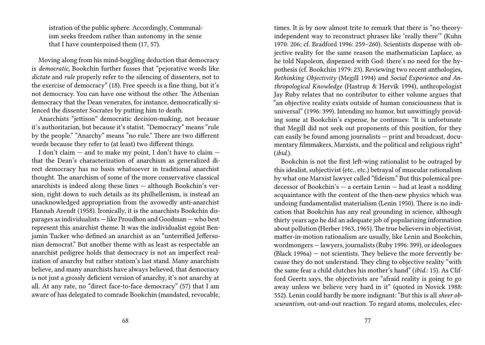istration of the public sphere. Accordingly, Communalism seeks freedom rather than autonomy in the sense that I have counterpoised them (17, 57).

Moving along from his mind-boggling deduction that democracy is *democratic,* Bookchin further fusses that "pejorative words like *dictate* and *rule* properly refer to the silencing of dissenters, not to the exercise of democracy" (18). Free speech is a fine thing, but it's not democracy. You can have one without the other. The Athenian democracy that the Dean venerates, for instance, democratically silenced the dissenter Socrates by putting him to death.

Anarchists "jettison" democratic decision-making, not because it's authoritarian, but because it's statist. "Democracy" means "rule by the people." "Anarchy" means "no rule." There are two different words because they refer to (at least) two different things.

I don't claim — and to make my point, I don't have to claim that the Dean's characterization of anarchism as generalized direct democracy has no basis whatsoever in traditional anarchist thought. The anarchism of some of the more conservative classical anarchists is indeed along these lines — although Bookchin's version, right down to such details as its philhellenism, is instead an unacknowledged appropriation from the avowedly anti-anarchist Hannah Arendt (1958). Ironically, it is the anarchists Bookchin disparages as individualists — like Proudhon and Goodman — who best represent this anarchist theme. It was the individualist egoist Benjamin Tucker who defined an anarchist as an "unterrified Jeffersonian democrat." But another theme with as least as respectable an anarchist pedigree holds that democracy is not an imperfect realization of anarchy but rather statism's last stand. Many anarchists believe, and many anarchists have always believed, that democracy is not just a grossly deficient version of anarchy, it's not anarchy at all. At any rate, no "direct face-to-face democracy" (57) that I am aware of has delegated to comrade Bookchin (mandated, revocable,

times. It is by now almost trite to remark that there is "no theoryindependent way to reconstruct phrases like 'really there'" (Kuhn 1970: 206; cf. Bradford 1996: 259–260). Scientists dispense with objective reality for the same reason the mathematician Laplace, as he told Napoleon, dispensed with God: there's no need for the hypothesis (cf. Bookchin 1979: 23). Reviewing two recent anthologies, *Rethinking Objectivity* (Megill 1994) and *Social Experience and Anthropological Knowledge* (Hastrup & Hervik 1994), anthropologist Jay Ruby relates that no contributor to either volume argues that "an objective reality exists outside of human consciousness that is universal" (1996: 399). Intending no humor, but unwittingly providing some at Bookchin's expense, he continues: "It is unfortunate that Megill did not seek out proponents of this position, for they can easily be found among journalists — print and broadcast, documentary filmmakers, Marxists, and the political and religious right" (*ibid.*).

Bookchin is not the first left-wing rationalist to be outraged by this idealist, subjectivist (etc., etc.) betrayal of muscular rationalism by what one Marxist lawyer called "fideism." But this polemical predecessor of Bookchin's — a certain Lenin — had at least a nodding acquaintance with the content of the then-new physics which was undoing fundamentalist materialism (Lenin 1950). There is no indication that Bookchin has any real grounding in science, although thirty years ago he did an adequate job of popularizing information about pollution (Herber 1963, 1965). The true believers in objectivist, matter-in-motion rationalism are usually, like Lenin and Bookchin, wordmongers — lawyers, journalists (Ruby 1996: 399), or ideologues (Black 1996a) — not scientists. They believe the more fervently because they do not understand. They cling to objective reality "with the same fear a child clutches his mother's hand" (*ibid*.: 15). As Clifford Geertz says, the objectivists are "afraid reality is going to go away unless we believe very hard in it" (quoted in Novick 1988: 552). Lenin could hardly be more indignant: "But this is all *sheer obscurantism*, out-and-out reaction. To regard atoms, molecules, elec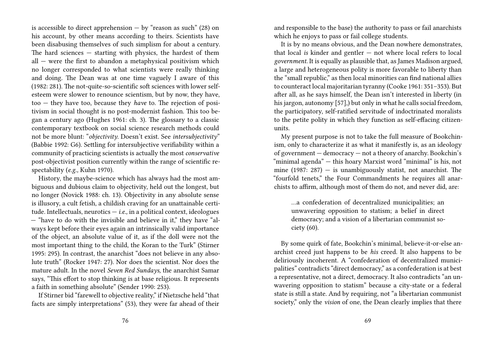is accessible to direct apprehension  $-$  by "reason as such" (28) on his account, by other means according to theirs. Scientists have been disabusing themselves of such simplism for about a century. The hard sciences  $-$  starting with physics, the hardest of them  $all$  — were the first to abandon a metaphysical positivism which no longer corresponded to what scientists were really thinking and doing. The Dean was at one time vaguely I aware of this (1982: 281). The not-quite-so-scientific soft sciences with lower selfesteem were slower to renounce scientism, but by now, they have, too — they have too, because they *have* to. The rejection of positivism in social thought is no post-modernist fashion. This too began a century ago (Hughes 1961: ch. 3). The glossary to a classic contemporary textbook on social science research methods could not be more blunt: "*objectivity*. Doesn't exist. See *intersubjectivity*" (Babbie 1992: G6). Settling for intersubjective verifiability within a community of practicing scientists is actually the most *conservative* post-objectivist position currently within the range of scientific respectability (*e.g.,* Kuhn 1970).

History, the maybe-science which has always had the most ambiguous and dubious claim to objectivity, held out the longest, but no longer (Novick 1988: ch. 13). Objectivity in any absolute sense is illusory, a cult fetish, a childish craving for an unattainable certitude. Intellectuals, neurotics — *i.e.,* in a political context, ideologues — "have to do with the invisible and believe in it," they have "always kept before their eyes again an intrinsically valid importance of the object, an absolute value of it, as if the doll were not the most important thing to the child, the Koran to the Turk" (Stirner 1995: 295). In contrast, the anarchist "does not believe in any absolute truth" (Rocker 1947: 27). Nor does the scientist. Nor does the mature adult. In the novel *Seven Red Sundays,* the anarchist Samar says, "This effort to stop thinking is at base religious. It represents a faith in something absolute" (Sender 1990: 253).

If Stirner bid "farewell to objective reality," if Nietzsche held "that facts are simply interpretations" (53), they were far ahead of their

and responsible to the base) the authority to pass or fail anarchists which he enjoys to pass or fail college students.

It is by no means obvious, and the Dean nowhere demonstrates, that local *is* kinder and gentler — not where local refers to local *government*. It is equally as plausible that, as James Madison argued, a large and heterogeneous polity is more favorable to liberty than the "small republic," as then local minorities can find national allies to counteract local majoritarian tyranny (Cooke 1961: 351–353). But after all, as he says himself, the Dean isn't interested in liberty (in his jargon, autonomy [57], but only in what he calls social freedom, the participatory, self-ratified servitude of indoctrinated moralists to the petite polity in which they function as self-effacing citizenunits.

My present purpose is not to take the full measure of Bookchinism, only to characterize it as what it manifestly is, as an ideology of government — democracy — not a theory of anarchy. Bookchin's "minimal agenda" — this hoary Marxist word "minimal" is his, not mine (1987: 287) — is unambiguously statist, not anarchist. The "fourfold tenets," the Four Commandments he requires all anarchists to affirm, although most of them do not, and never did, are:

…a confederation of decentralized municipalities; an unwavering opposition to statism; a belief in direct democracy; and a vision of a libertarian communist society (60).

By some quirk of fate, Bookchin's minimal, believe-it-or-else anarchist creed just happens to be *his* creed. It also happens to be deliriously incoherent. A "confederation of decentralized municipalities" contradicts "direct democracy," as a confederation is at best a representative, not a direct, democracy. It also contradicts "an unwavering opposition to statism" because a city-state or a federal state is still a state. And by requiring, not "a libertarian communist society," only the *vision* of one, the Dean clearly implies that there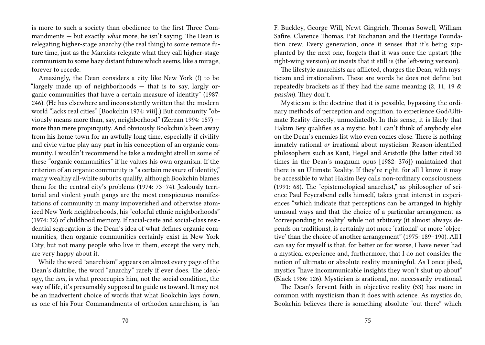is more to such a society than obedience to the first Three Commandments — but exactly *what* more, he isn't saying. The Dean is relegating higher-stage anarchy (the real thing) to some remote future time, just as the Marxists relegate what they call higher-stage communism to some hazy distant future which seems, like a mirage, forever to recede.

Amazingly, the Dean considers a city like New York (!) to be "largely made up of neighborhoods — that is to say, largly organic communities that have a certain measure of identity" (1987: 246). (He has elsewhere and inconsistently written that the modern world "lacks real cities" [Bookchin 1974: viii].) But community "obviously means more than, say, neighborhood" (Zerzan 1994: 157) more than mere propinquity. And obviously Bookchin's been away from his home town for an awfully long time, especially if civility and civic virtue play any part in his conception of an organic community. I wouldn't recommend he take a midnight stroll in some of these "organic communities" if he values his own organism. If the criterion of an organic community is "a certain measure of identity," many wealthy all-white suburbs qualify, although Bookchin blames them for the central city's problems (1974: 73–74). Jealously territorial and violent youth gangs are the most conspicuous manifestations of community in many impoverished and otherwise atomized New York neighborhoods, his "colorful ethnic neighborhoods" (1974: 72) of childhood memory. If racial-caste and social-class residential segregation is the Dean's idea of what defines organic communities, then organic communities certainly exist in New York City, but not many people who live in them, except the very rich, are very happy about it.

While the word "anarchism" appears on almost every page of the Dean's diatribe, the word "anarchy" rarely if ever does. The ideology, the *ism,* is what preoccupies him, not the social condition, the way of life, it's presumably supposed to guide us toward. It may not be an inadvertent choice of words that what Bookchin lays down, as one of his Four Commandments of orthodox anarchism, is "an

F. Buckley, George Will, Newt Gingrich, Thomas Sowell, William Safire, Clarence Thomas, Pat Buchanan and the Heritage Foundation crew. Every generation, once it senses that it's being supplanted by the next one, forgets that it was once the upstart (the right-wing version) or insists that it still is (the left-wing version).

The lifestyle anarchists are afflicted, charges the Dean, with mysticism and irrationalism. These are words he does not define but repeatedly brackets as if they had the same meaning  $(2, 11, 19 \&$ *passim*). They don't.

Mysticism is the doctrine that it is possible, bypassing the ordinary methods of perception and cognition, to experience God/Ultimate Reality directly, unmediatedly. In this sense, it is likely that Hakim Bey qualifies as a mystic, but I can't think of anybody else on the Dean's enemies list who even comes close. There is nothing innately rational *or* irrational about mysticism. Reason-identified philosophers such as Kant, Hegel and Aristotle (the latter cited 30 times in the Dean's magnum opus [1982: 376]) maintained that there is an Ultimate Reality. If they're right, for all I know it may be accessible to what Hakim Bey calls non-ordinary consciousness (1991: 68). The "epistemological anarchist," as philosopher of science Paul Feyerabend calls himself, takes great interest in experiences "which indicate that perceptions can be arranged in highly unusual ways and that the choice of a particular arrangement as 'corresponding to reality' while not arbitrary (it almost always depends on traditions), is certainly not more 'rational' or more 'objective' than the choice of another arrangement" (1975: 189–190). All I can say for myself is that, for better or for worse, I have never had a mystical experience and, furthermore, that I do not consider the notion of ultimate or absolute reality meaningful. As I once jibed, mystics "have incommunicable insights they won't shut up about" (Black 1986: 126). Mysticism is arational, not necessarily *ir*rational.

The Dean's fervent faith in objective reality (53) has more in common with mysticism than it does with science. As mystics do, Bookchin believes there is something absolute "out there" which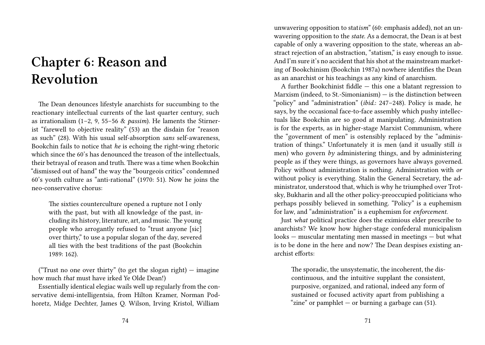### **Chapter 6: Reason and Revolution**

The Dean denounces lifestyle anarchists for succumbing to the reactionary intellectual currents of the last quarter century, such as irrationalism (1–2, 9, 55–56 & *passim*). He laments the Stirnerist "farewell to objective reality" (53) an the disdain for "reason as such" (28). With his usual self-absorption *sans* self-awareness, Bookchin fails to notice that *he* is echoing the right-wing rhetoric which since the 60's has denounced the treason of the intellectuals. their betrayal of reason and truth. There was a time when Bookchin "dismissed out of hand" the way the "bourgeois critics" condemned 60's youth culture as "anti-rational" (1970: 51). Now he joins the neo-conservative chorus:

The sixties counterculture opened a rupture not I only with the past, but with all knowledge of the past, including its history, literature, art, and music. The young people who arrogantly refused to "trust anyone [sic] over thirty," to use a popular slogan of the day, severed all ties with the best traditions of the past (Bookchin 1989: 162).

("Trust no one over thirty" (to get the slogan right)  $-$  imagine how much *that* must have irked Ye Olde Dean!)

Essentially identical elegiac wails well up regularly from the conservative demi-intelligentsia, from Hilton Kramer, Norman Podhoretz, Midge Dechter, James Q. Wilson, Irving Kristol, William

unwavering opposition to stat*ism*" (60: emphasis added), not an unwavering opposition to the *state*. As a democrat, the Dean is at best capable of only a wavering opposition to the state, whereas an abstract rejection of an abstraction, "statism," is easy enough to issue. And I'm sure it's no accident that his shot at the mainstream marketing of Bookchinism (Bookchin 1987a) nowhere identifies the Dean as an anarchist or his teachings as any kind of anarchism.

A further Bookchinist fiddle — this one a blatant regression to Marxism (indeed, to St.-Simonianism)  $-$  is the distinction between "policy" and "administration" (*ibid*.: 247–248). Policy is made, he says, by the occasional face-to-face assembly which pushy intellectuals like Bookchin are so good at manipulating. Administration is for the experts, as in higher-stage Marxist Communism, where the "government of men" is ostensibly replaced by the "administration of things." Unfortunately it is men (and it usually still *is* men) who govern *by* administering things, and by administering people as if they were things, as governors have always governed. Policy without administration is nothing. Administration with *or* without policy is everything. Stalin the General Secretary, the administrator, understood that, which is why he triumphed over Trotsky, Bukharin and all the other policy-preoccupied politicians who perhaps possibly believed in something. "Policy" is a euphemism for law, and "administration" is a euphemism for *enforcement.*

Just *what* political practice does the eximious elder prescribe to anarchists? We know how higher-stage confederal municipalism looks — muscular mentating men massed in meetings — but what is to be done in the here and now? The Dean despises existing anarchist efforts:

The sporadic, the unsystematic, the incoherent, the discontinuous, and the intuitive supplant the consistent, purposive, organized, and rational, indeed any form of sustained or focused activity apart from publishing a "zine" or pamphlet  $-$  or burning a garbage can  $(51)$ .